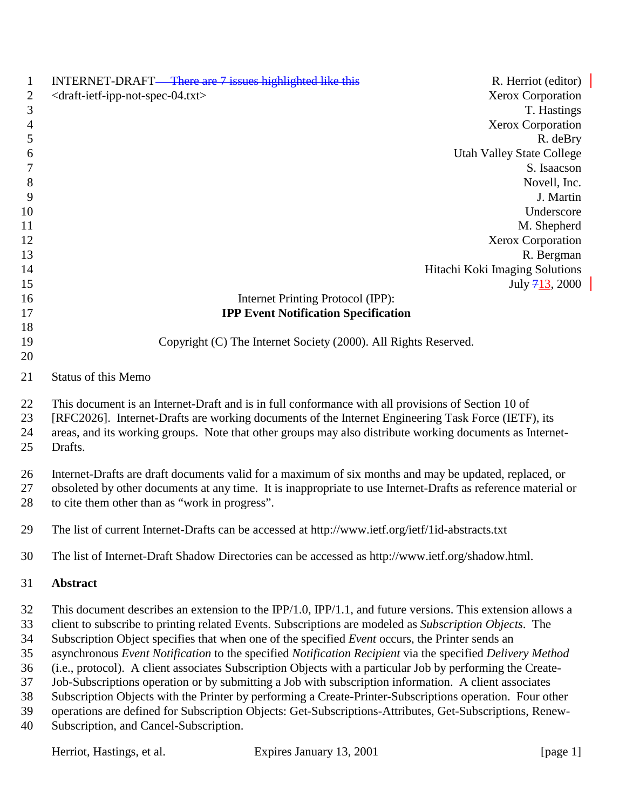| $\mathbf{1}$   | INTERNET-DRAFT—There are 7 issues highlighted like this                                                                                                                                                           |                                                                 | R. Herriot (editor)              |
|----------------|-------------------------------------------------------------------------------------------------------------------------------------------------------------------------------------------------------------------|-----------------------------------------------------------------|----------------------------------|
| $\overline{2}$ | <draft-ietf-ipp-not-spec-04.txt></draft-ietf-ipp-not-spec-04.txt>                                                                                                                                                 |                                                                 | Xerox Corporation                |
| 3              |                                                                                                                                                                                                                   |                                                                 | T. Hastings                      |
| $\overline{4}$ |                                                                                                                                                                                                                   |                                                                 | <b>Xerox Corporation</b>         |
| 5              |                                                                                                                                                                                                                   |                                                                 | R. deBry                         |
| 6              |                                                                                                                                                                                                                   |                                                                 | <b>Utah Valley State College</b> |
| 7              |                                                                                                                                                                                                                   |                                                                 | S. Isaacson                      |
| $\,8\,$        |                                                                                                                                                                                                                   |                                                                 | Novell, Inc.                     |
| 9<br>10        |                                                                                                                                                                                                                   |                                                                 | J. Martin<br>Underscore          |
| 11             |                                                                                                                                                                                                                   |                                                                 | M. Shepherd                      |
| 12             |                                                                                                                                                                                                                   |                                                                 | Xerox Corporation                |
| 13             |                                                                                                                                                                                                                   |                                                                 | R. Bergman                       |
| 14             |                                                                                                                                                                                                                   |                                                                 | Hitachi Koki Imaging Solutions   |
| 15             |                                                                                                                                                                                                                   |                                                                 | July $713, 2000$                 |
| 16             |                                                                                                                                                                                                                   | Internet Printing Protocol (IPP):                               |                                  |
| 17             |                                                                                                                                                                                                                   | <b>IPP Event Notification Specification</b>                     |                                  |
| 18             |                                                                                                                                                                                                                   |                                                                 |                                  |
| 19             |                                                                                                                                                                                                                   | Copyright (C) The Internet Society (2000). All Rights Reserved. |                                  |
| 20             |                                                                                                                                                                                                                   |                                                                 |                                  |
| 21             | <b>Status of this Memo</b>                                                                                                                                                                                        |                                                                 |                                  |
| 22             | This document is an Internet-Draft and is in full conformance with all provisions of Section 10 of                                                                                                                |                                                                 |                                  |
| 23             | [RFC2026]. Internet-Drafts are working documents of the Internet Engineering Task Force (IETF), its                                                                                                               |                                                                 |                                  |
| 24             | areas, and its working groups. Note that other groups may also distribute working documents as Internet-                                                                                                          |                                                                 |                                  |
| 25             | Drafts.                                                                                                                                                                                                           |                                                                 |                                  |
| 26             | Internet-Drafts are draft documents valid for a maximum of six months and may be updated, replaced, or                                                                                                            |                                                                 |                                  |
| 27             | obsoleted by other documents at any time. It is inappropriate to use Internet-Drafts as reference material or                                                                                                     |                                                                 |                                  |
| 28             | to cite them other than as "work in progress".                                                                                                                                                                    |                                                                 |                                  |
| 29             | The list of current Internet-Drafts can be accessed at http://www.ietf.org/ietf/1id-abstracts.txt                                                                                                                 |                                                                 |                                  |
|                |                                                                                                                                                                                                                   |                                                                 |                                  |
| 30             | The list of Internet-Draft Shadow Directories can be accessed as http://www.ietf.org/shadow.html.                                                                                                                 |                                                                 |                                  |
| 31             | Abstract                                                                                                                                                                                                          |                                                                 |                                  |
| 32             | This document describes an extension to the IPP/1.0, IPP/1.1, and future versions. This extension allows a                                                                                                        |                                                                 |                                  |
| 33             | client to subscribe to printing related Events. Subscriptions are modeled as Subscription Objects. The                                                                                                            |                                                                 |                                  |
| 34             | Subscription Object specifies that when one of the specified Event occurs, the Printer sends an                                                                                                                   |                                                                 |                                  |
| 35             | asynchronous Event Notification to the specified Notification Recipient via the specified Delivery Method                                                                                                         |                                                                 |                                  |
| 36             | (i.e., protocol). A client associates Subscription Objects with a particular Job by performing the Create-                                                                                                        |                                                                 |                                  |
| 37<br>38       | Job-Subscriptions operation or by submitting a Job with subscription information. A client associates<br>Subscription Objects with the Printer by performing a Create-Printer-Subscriptions operation. Four other |                                                                 |                                  |
| 39             | operations are defined for Subscription Objects: Get-Subscriptions-Attributes, Get-Subscriptions, Renew-                                                                                                          |                                                                 |                                  |
| 40             | Subscription, and Cancel-Subscription.                                                                                                                                                                            |                                                                 |                                  |
|                |                                                                                                                                                                                                                   |                                                                 |                                  |
|                | Herriot, Hastings, et al.                                                                                                                                                                                         | Expires January 13, 2001                                        | [page 1]                         |
|                |                                                                                                                                                                                                                   |                                                                 |                                  |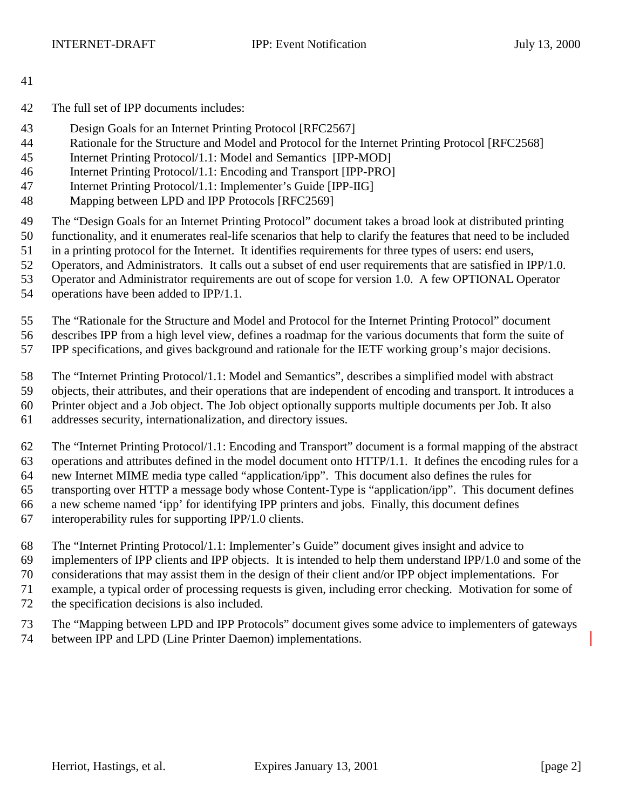- The full set of IPP documents includes:
- Design Goals for an Internet Printing Protocol [RFC2567]
- Rationale for the Structure and Model and Protocol for the Internet Printing Protocol [RFC2568]
- Internet Printing Protocol/1.1: Model and Semantics [IPP-MOD]
- Internet Printing Protocol/1.1: Encoding and Transport [IPP-PRO]
- Internet Printing Protocol/1.1: Implementer's Guide [IPP-IIG]
- Mapping between LPD and IPP Protocols [RFC2569]
- The "Design Goals for an Internet Printing Protocol" document takes a broad look at distributed printing
- functionality, and it enumerates real-life scenarios that help to clarify the features that need to be included
- in a printing protocol for the Internet. It identifies requirements for three types of users: end users,
- Operators, and Administrators. It calls out a subset of end user requirements that are satisfied in IPP/1.0.
- Operator and Administrator requirements are out of scope for version 1.0. A few OPTIONAL Operator
- operations have been added to IPP/1.1.
- The "Rationale for the Structure and Model and Protocol for the Internet Printing Protocol" document
- describes IPP from a high level view, defines a roadmap for the various documents that form the suite of
- IPP specifications, and gives background and rationale for the IETF working group's major decisions.
- The "Internet Printing Protocol/1.1: Model and Semantics", describes a simplified model with abstract
- objects, their attributes, and their operations that are independent of encoding and transport. It introduces a
- Printer object and a Job object. The Job object optionally supports multiple documents per Job. It also
- addresses security, internationalization, and directory issues.
- The "Internet Printing Protocol/1.1: Encoding and Transport" document is a formal mapping of the abstract operations and attributes defined in the model document onto HTTP/1.1. It defines the encoding rules for a new Internet MIME media type called "application/ipp". This document also defines the rules for transporting over HTTP a message body whose Content-Type is "application/ipp". This document defines
- a new scheme named 'ipp' for identifying IPP printers and jobs. Finally, this document defines
- interoperability rules for supporting IPP/1.0 clients.
- The "Internet Printing Protocol/1.1: Implementer's Guide" document gives insight and advice to
- implementers of IPP clients and IPP objects. It is intended to help them understand IPP/1.0 and some of the
- considerations that may assist them in the design of their client and/or IPP object implementations. For
- example, a typical order of processing requests is given, including error checking. Motivation for some of
- the specification decisions is also included.
- The "Mapping between LPD and IPP Protocols" document gives some advice to implementers of gateways
- between IPP and LPD (Line Printer Daemon) implementations.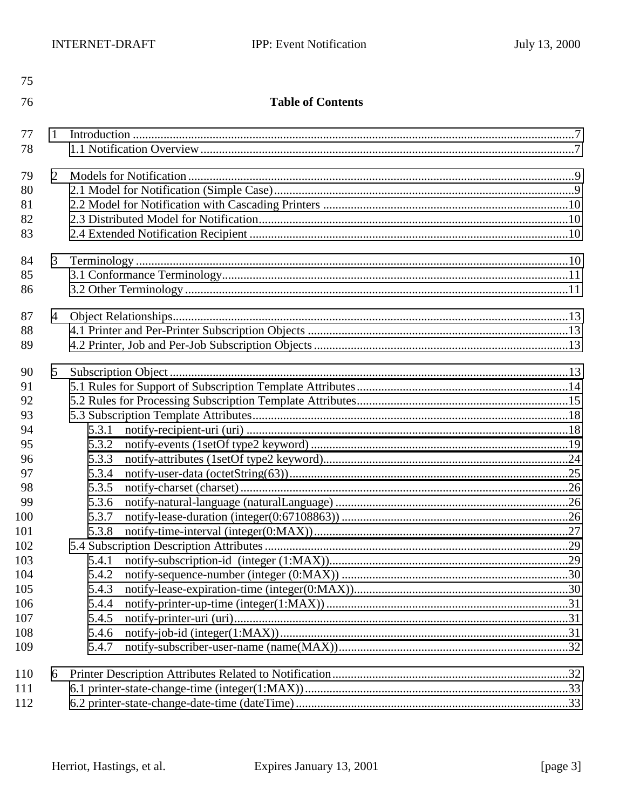| 75  |                |                          |  |  |  |
|-----|----------------|--------------------------|--|--|--|
| 76  |                | <b>Table of Contents</b> |  |  |  |
|     |                |                          |  |  |  |
| 77  | 1              |                          |  |  |  |
| 78  |                |                          |  |  |  |
| 79  | $\overline{2}$ |                          |  |  |  |
| 80  |                |                          |  |  |  |
| 81  |                |                          |  |  |  |
| 82  |                |                          |  |  |  |
| 83  |                |                          |  |  |  |
| 84  | 3              |                          |  |  |  |
| 85  |                |                          |  |  |  |
| 86  |                |                          |  |  |  |
|     |                |                          |  |  |  |
| 87  | 4              |                          |  |  |  |
| 88  |                |                          |  |  |  |
| 89  |                |                          |  |  |  |
| 90  | 5              |                          |  |  |  |
| 91  |                |                          |  |  |  |
| 92  |                |                          |  |  |  |
| 93  |                |                          |  |  |  |
| 94  |                | 5.3.1                    |  |  |  |
| 95  |                | 5.3.2                    |  |  |  |
| 96  |                | 5.3.3                    |  |  |  |
| 97  |                | 5.3.4                    |  |  |  |
| 98  |                | 5.3.5                    |  |  |  |
| 99  |                | 5.3.6                    |  |  |  |
| 100 |                | 5.3.7                    |  |  |  |
| 101 |                | 5.3.8                    |  |  |  |
| 102 |                |                          |  |  |  |
| 103 |                | 5.4.1                    |  |  |  |
| 104 |                | 5.4.2                    |  |  |  |
| 105 |                | 5.4.3                    |  |  |  |
| 106 |                | 5.4.4                    |  |  |  |
| 107 |                | 5.4.5                    |  |  |  |
| 108 |                | 5.4.6                    |  |  |  |
| 109 |                | 5.4.7                    |  |  |  |
| 110 | 6              |                          |  |  |  |
| 111 |                |                          |  |  |  |
| 112 |                |                          |  |  |  |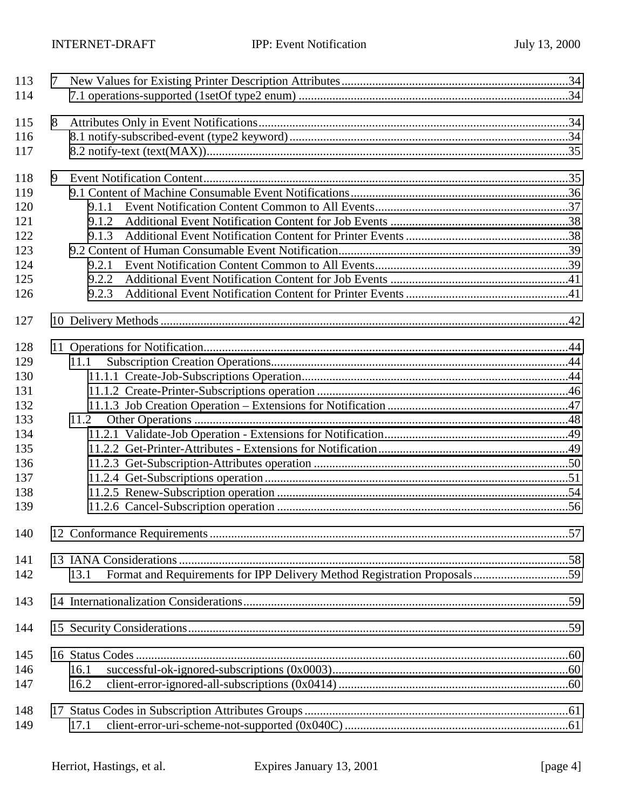| 113 | 7 |                                                                                  |  |
|-----|---|----------------------------------------------------------------------------------|--|
| 114 |   |                                                                                  |  |
| 115 | 8 |                                                                                  |  |
| 116 |   |                                                                                  |  |
| 117 |   |                                                                                  |  |
| 118 | 9 |                                                                                  |  |
| 119 |   |                                                                                  |  |
| 120 |   | 9.1.1                                                                            |  |
| 121 |   | 9.1.2                                                                            |  |
| 122 |   | 9.1.3                                                                            |  |
| 123 |   |                                                                                  |  |
| 124 |   | 9.2.1                                                                            |  |
| 125 |   | 9.2.2                                                                            |  |
| 126 |   | 9.2.3                                                                            |  |
| 127 |   |                                                                                  |  |
| 128 |   |                                                                                  |  |
| 129 |   | 11.1                                                                             |  |
| 130 |   |                                                                                  |  |
| 131 |   |                                                                                  |  |
| 132 |   |                                                                                  |  |
| 133 |   | 11.2                                                                             |  |
| 134 |   |                                                                                  |  |
| 135 |   |                                                                                  |  |
| 136 |   |                                                                                  |  |
| 137 |   |                                                                                  |  |
| 138 |   |                                                                                  |  |
| 139 |   |                                                                                  |  |
| 140 |   |                                                                                  |  |
| 141 |   |                                                                                  |  |
| 142 |   | Format and Requirements for IPP Delivery Method Registration Proposals59<br>13.1 |  |
| 143 |   |                                                                                  |  |
| 144 |   |                                                                                  |  |
| 145 |   |                                                                                  |  |
| 146 |   | 16.1                                                                             |  |
| 147 |   | 16.2                                                                             |  |
| 148 |   |                                                                                  |  |
| 149 |   | 17.1                                                                             |  |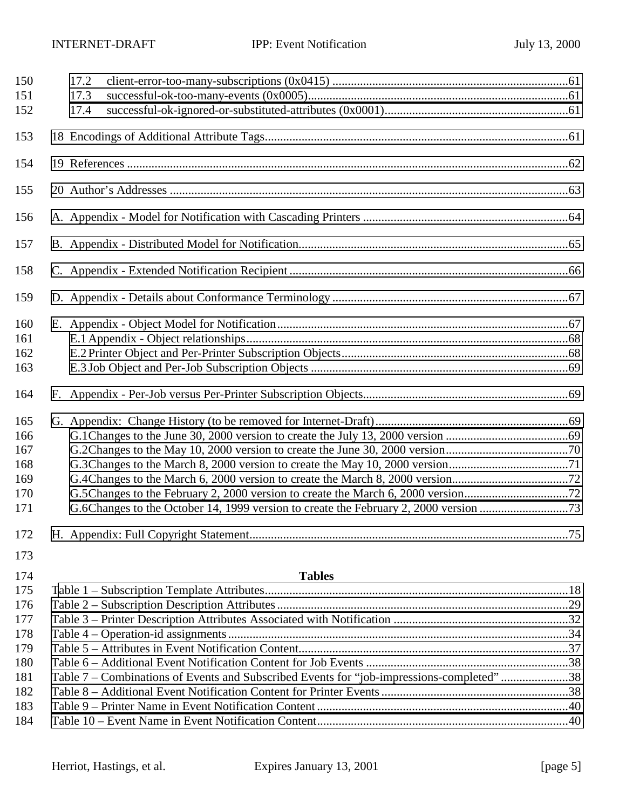| 150        | 17.2         |                                                                                           |  |
|------------|--------------|-------------------------------------------------------------------------------------------|--|
| 151<br>152 | 17.3<br>17.4 |                                                                                           |  |
|            |              |                                                                                           |  |
| 153        |              |                                                                                           |  |
| 154        |              |                                                                                           |  |
| 155        |              |                                                                                           |  |
| 156        |              |                                                                                           |  |
| 157        |              |                                                                                           |  |
| 158        |              |                                                                                           |  |
| 159        |              |                                                                                           |  |
| 160        |              |                                                                                           |  |
| 161        |              |                                                                                           |  |
| 162        |              |                                                                                           |  |
| 163        |              |                                                                                           |  |
| 164        |              |                                                                                           |  |
| 165        |              |                                                                                           |  |
| 166        |              |                                                                                           |  |
| 167        |              |                                                                                           |  |
| 168        |              |                                                                                           |  |
| 169        |              |                                                                                           |  |
| 170        |              |                                                                                           |  |
| 171        |              |                                                                                           |  |
| 172        |              |                                                                                           |  |
| 173        |              |                                                                                           |  |
| 174        |              | <b>Tables</b>                                                                             |  |
| 175        |              |                                                                                           |  |
| 176        |              |                                                                                           |  |
| 177        |              |                                                                                           |  |
| 178        |              |                                                                                           |  |
| 179        |              |                                                                                           |  |
| 180        |              |                                                                                           |  |
| 181        |              | Table 7 - Combinations of Events and Subscribed Events for "job-impressions-completed" 38 |  |
| 182        |              |                                                                                           |  |
| 183        |              |                                                                                           |  |
| 184        |              |                                                                                           |  |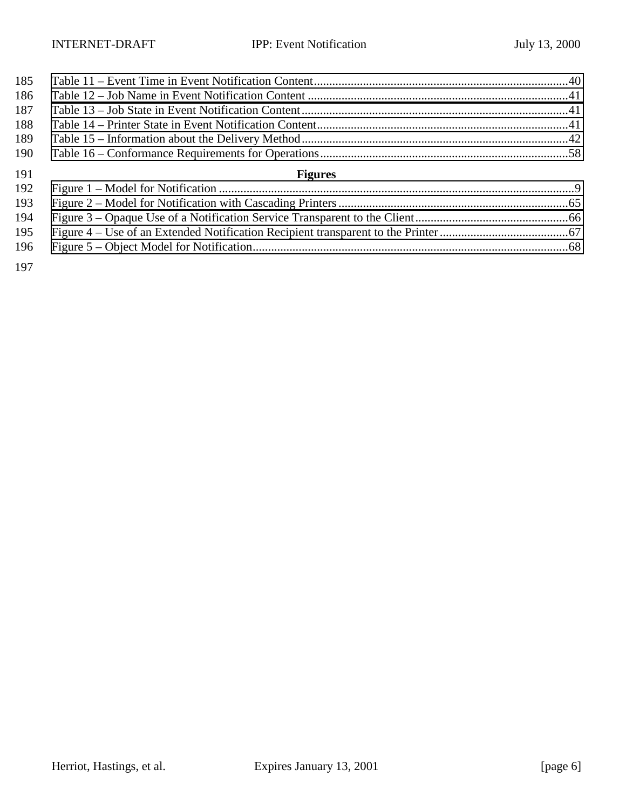| 185 |                |  |
|-----|----------------|--|
| 186 |                |  |
| 187 |                |  |
| 188 |                |  |
| 189 |                |  |
| 190 |                |  |
|     |                |  |
| 191 | <b>Figures</b> |  |
| 192 |                |  |
| 193 |                |  |
| 194 |                |  |
| 195 |                |  |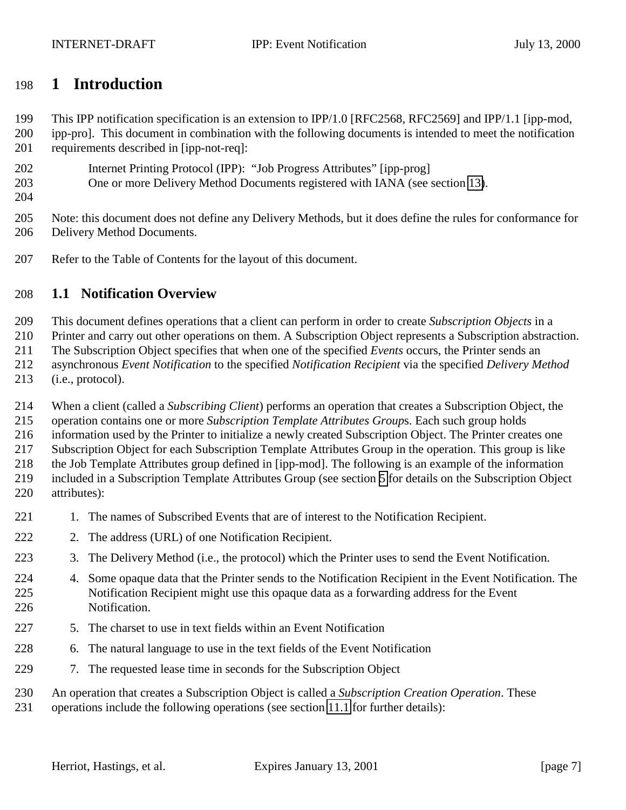## <span id="page-6-0"></span>**1 Introduction**

This IPP notification specification is an extension to IPP/1.0 [RFC2568, RFC2569] and IPP/1.1 [ipp-mod,

- ipp-pro]. This document in combination with the following documents is intended to meet the notification requirements described in [ipp-not-req]:
- Internet Printing Protocol (IPP): "Job Progress Attributes" [ipp-prog]
- One or more Delivery Method Documents registered with IANA (see section [13\)](#page-57-0).
- 

 Note: this document does not define any Delivery Methods, but it does define the rules for conformance for Delivery Method Documents.

Refer to the Table of Contents for the layout of this document.

## **1.1 Notification Overview**

This document defines operations that a client can perform in order to create *Subscription Objects* in a

Printer and carry out other operations on them. A Subscription Object represents a Subscription abstraction.

The Subscription Object specifies that when one of the specified *Events* occurs, the Printer sends an

- asynchronous *Event Notification* to the specified *Notification Recipient* via the specified *Delivery Method*
- (i.e., protocol).

When a client (called a *Subscribing Client*) performs an operation that creates a Subscription Object, the

operation contains one or more *Subscription Template Attributes Group*s. Each such group holds

information used by the Printer to initialize a newly created Subscription Object. The Printer creates one

Subscription Object for each Subscription Template Attributes Group in the operation. This group is like

the Job Template Attributes group defined in [ipp-mod]. The following is an example of the information

 included in a Subscription Template Attributes Group (see section [5](#page-12-0) for details on the Subscription Object attributes):

- 221 1. The names of Subscribed Events that are of interest to the Notification Recipient.
- 222 2. The address (URL) of one Notification Recipient.
- 3. The Delivery Method (i.e., the protocol) which the Printer uses to send the Event Notification.
- 4. Some opaque data that the Printer sends to the Notification Recipient in the Event Notification. The Notification Recipient might use this opaque data as a forwarding address for the Event Notification.
- 227 5. The charset to use in text fields within an Event Notification
- 6. The natural language to use in the text fields of the Event Notification
- 7. The requested lease time in seconds for the Subscription Object
- An operation that creates a Subscription Object is called a *Subscription Creation Operation*. These
- operations include the following operations (see section [11.1](#page-43-0) for further details):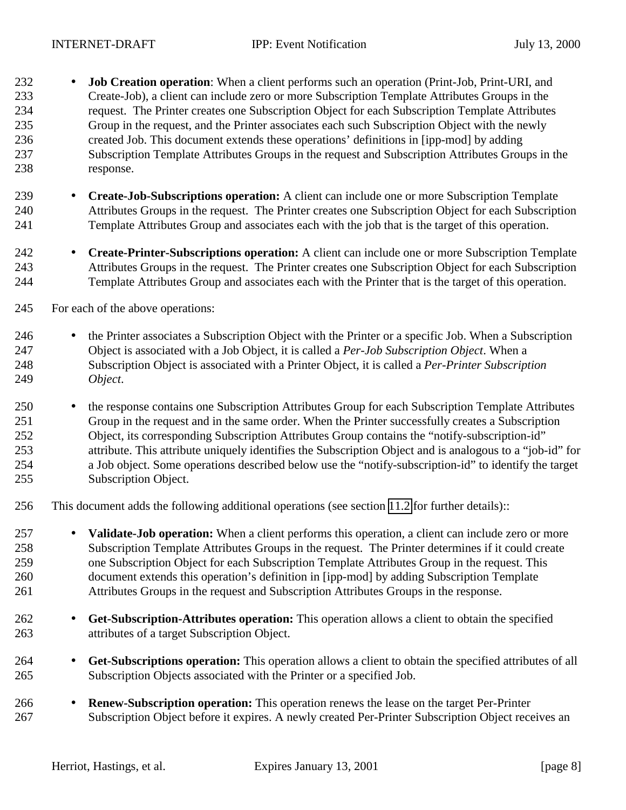- **Job Creation operation**: When a client performs such an operation (Print-Job, Print-URI, and Create-Job), a client can include zero or more Subscription Template Attributes Groups in the request. The Printer creates one Subscription Object for each Subscription Template Attributes Group in the request, and the Printer associates each such Subscription Object with the newly created Job. This document extends these operations' definitions in [ipp-mod] by adding Subscription Template Attributes Groups in the request and Subscription Attributes Groups in the response.
- **Create-Job-Subscriptions operation:** A client can include one or more Subscription Template Attributes Groups in the request. The Printer creates one Subscription Object for each Subscription Template Attributes Group and associates each with the job that is the target of this operation.
- **Create-Printer-Subscriptions operation:** A client can include one or more Subscription Template Attributes Groups in the request. The Printer creates one Subscription Object for each Subscription Template Attributes Group and associates each with the Printer that is the target of this operation.
- For each of the above operations:
- 246 the Printer associates a Subscription Object with the Printer or a specific Job. When a Subscription Object is associated with a Job Object, it is called a *Per-Job Subscription Object*. When a Subscription Object is associated with a Printer Object, it is called a *Per-Printer Subscription Object*.
- the response contains one Subscription Attributes Group for each Subscription Template Attributes Group in the request and in the same order. When the Printer successfully creates a Subscription Object, its corresponding Subscription Attributes Group contains the "notify-subscription-id" attribute. This attribute uniquely identifies the Subscription Object and is analogous to a "job-id" for a Job object. Some operations described below use the "notify-subscription-id" to identify the target Subscription Object.
- This document adds the following additional operations (see section [11.2](#page-47-0) for further details)::
- **Validate-Job operation:** When a client performs this operation, a client can include zero or more Subscription Template Attributes Groups in the request. The Printer determines if it could create one Subscription Object for each Subscription Template Attributes Group in the request. This document extends this operation's definition in [ipp-mod] by adding Subscription Template Attributes Groups in the request and Subscription Attributes Groups in the response.
- **Get-Subscription-Attributes operation:** This operation allows a client to obtain the specified attributes of a target Subscription Object.
- **Get-Subscriptions operation:** This operation allows a client to obtain the specified attributes of all Subscription Objects associated with the Printer or a specified Job.
- **Renew-Subscription operation:** This operation renews the lease on the target Per-Printer Subscription Object before it expires. A newly created Per-Printer Subscription Object receives an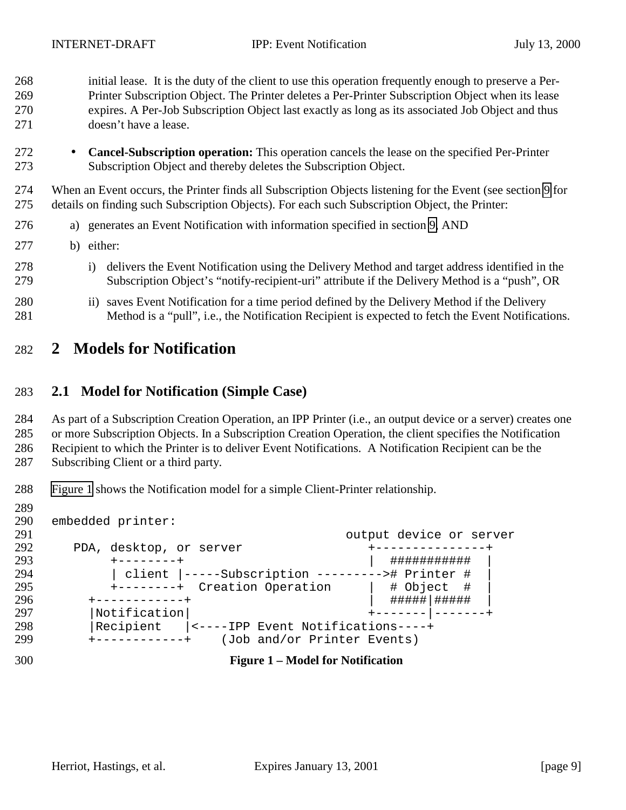<span id="page-8-0"></span> initial lease. It is the duty of the client to use this operation frequently enough to preserve a Per- Printer Subscription Object. The Printer deletes a Per-Printer Subscription Object when its lease expires. A Per-Job Subscription Object last exactly as long as its associated Job Object and thus doesn't have a lease.

 • **Cancel-Subscription operation:** This operation cancels the lease on the specified Per-Printer Subscription Object and thereby deletes the Subscription Object.

 When an Event occurs, the Printer finds all Subscription Objects listening for the Event (see section [9](#page-34-0) for details on finding such Subscription Objects). For each such Subscription Object, the Printer:

- a) generates an Event Notification with information specified in section [9,](#page-34-0) AND
- b) either:
- i) delivers the Event Notification using the Delivery Method and target address identified in the Subscription Object's "notify-recipient-uri" attribute if the Delivery Method is a "push", OR
- ii) saves Event Notification for a time period defined by the Delivery Method if the Delivery Method is a "pull", i.e., the Notification Recipient is expected to fetch the Event Notifications.

## **2 Models for Notification**

#### **2.1 Model for Notification (Simple Case)**

As part of a Subscription Creation Operation, an IPP Printer (i.e., an output device or a server) creates one

or more Subscription Objects. In a Subscription Creation Operation, the client specifies the Notification

Recipient to which the Printer is to deliver Event Notifications. A Notification Recipient can be the

- Subscribing Client or a third party.
- Figure 1 shows the Notification model for a simple Client-Printer relationship.
- 

 embedded printer: 291 cutput device or server<br>292 DDA, desktop, or server example the top of the server PDA, desktop, or server +---------------+ +--------+ | ########### | 294 | client |-----Subscription ---------># Printer #<br>295 +--------+ Creation Operation | # Object # +--------+ Creation Operation | # Object # | +------------+ | #####|##### | |Notification| +-------|-------+ |Recipient |<----IPP Event Notifications----+ +------------+ (Job and/or Printer Events)

- 
- **Figure 1 Model for Notification**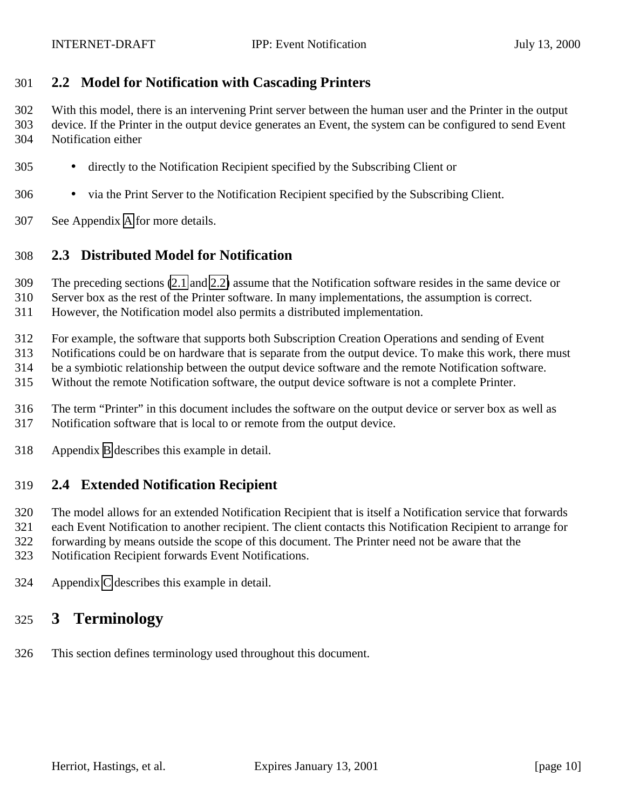#### <span id="page-9-0"></span>**2.2 Model for Notification with Cascading Printers**

 With this model, there is an intervening Print server between the human user and the Printer in the output device. If the Printer in the output device generates an Event, the system can be configured to send Event Notification either

- directly to the Notification Recipient specified by the Subscribing Client or
- via the Print Server to the Notification Recipient specified by the Subscribing Client.
- See Appendix [A](#page-63-0) for more details.

#### **2.3 Distributed Model for Notification**

The preceding sections [\(2.1](#page-8-0) and 2.2) assume that the Notification software resides in the same device or

Server box as the rest of the Printer software. In many implementations, the assumption is correct.

However, the Notification model also permits a distributed implementation.

For example, the software that supports both Subscription Creation Operations and sending of Event

Notifications could be on hardware that is separate from the output device. To make this work, there must

be a symbiotic relationship between the output device software and the remote Notification software.

Without the remote Notification software, the output device software is not a complete Printer.

- The term "Printer" in this document includes the software on the output device or server box as well as Notification software that is local to or remote from the output device.
- Appendix [B](#page-64-0) describes this example in detail.

#### **2.4 Extended Notification Recipient**

The model allows for an extended Notification Recipient that is itself a Notification service that forwards

each Event Notification to another recipient. The client contacts this Notification Recipient to arrange for

forwarding by means outside the scope of this document. The Printer need not be aware that the

Notification Recipient forwards Event Notifications.

Appendix [C](#page-65-0) describes this example in detail.

# **3 Terminology**

This section defines terminology used throughout this document.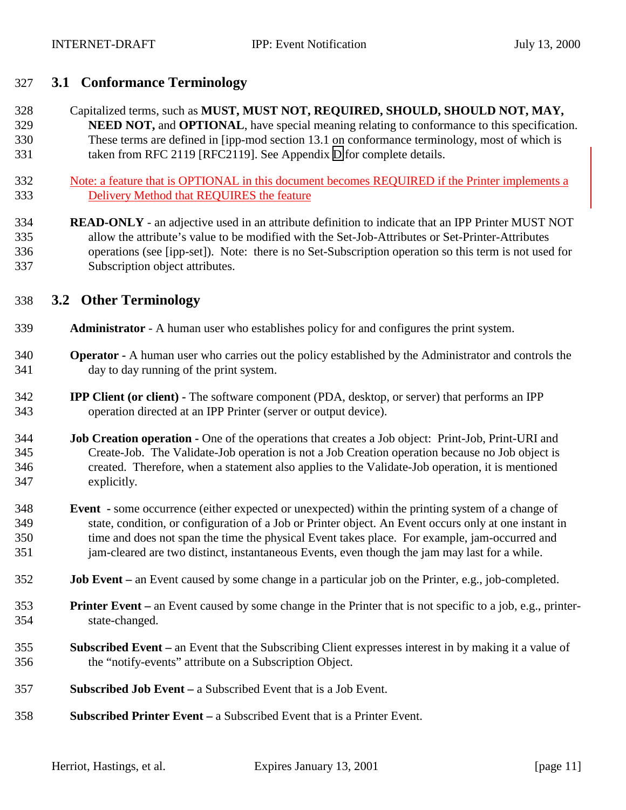#### <span id="page-10-0"></span>**3.1 Conformance Terminology**

 Capitalized terms, such as **MUST, MUST NOT, REQUIRED, SHOULD, SHOULD NOT, MAY, NEED NOT, and OPTIONAL**, have special meaning relating to conformance to this specification. These terms are defined in [ipp-mod section 13.1 on conformance terminology, most of which is taken from RFC 2119 [RFC2119]. See Appendix [D](#page-66-0) for complete details.

- Note: a feature that is OPTIONAL in this document becomes REQUIRED if the Printer implements a Delivery Method that REQUIRES the feature
- **READ-ONLY** an adjective used in an attribute definition to indicate that an IPP Printer MUST NOT allow the attribute's value to be modified with the Set-Job-Attributes or Set-Printer-Attributes operations (see [ipp-set]). Note: there is no Set-Subscription operation so this term is not used for Subscription object attributes.

#### **3.2 Other Terminology**

- **Administrator**  A human user who establishes policy for and configures the print system.
- **Operator** A human user who carries out the policy established by the Administrator and controls the day to day running of the print system.
- **IPP Client (or client)** The software component (PDA, desktop, or server) that performs an IPP operation directed at an IPP Printer (server or output device).
- **Job Creation operation** One of the operations that creates a Job object: Print-Job, Print-URI and Create-Job. The Validate-Job operation is not a Job Creation operation because no Job object is created. Therefore, when a statement also applies to the Validate-Job operation, it is mentioned explicitly.
- **Event** some occurrence (either expected or unexpected) within the printing system of a change of state, condition, or configuration of a Job or Printer object. An Event occurs only at one instant in time and does not span the time the physical Event takes place. For example, jam-occurred and jam-cleared are two distinct, instantaneous Events, even though the jam may last for a while.
- **Job Event** an Event caused by some change in a particular job on the Printer, e.g., job-completed.
- **Printer Event** an Event caused by some change in the Printer that is not specific to a job, e.g., printer-state-changed.
- **Subscribed Event** an Event that the Subscribing Client expresses interest in by making it a value of the "notify-events" attribute on a Subscription Object.
- **Subscribed Job Event** a Subscribed Event that is a Job Event.
- **Subscribed Printer Event** a Subscribed Event that is a Printer Event.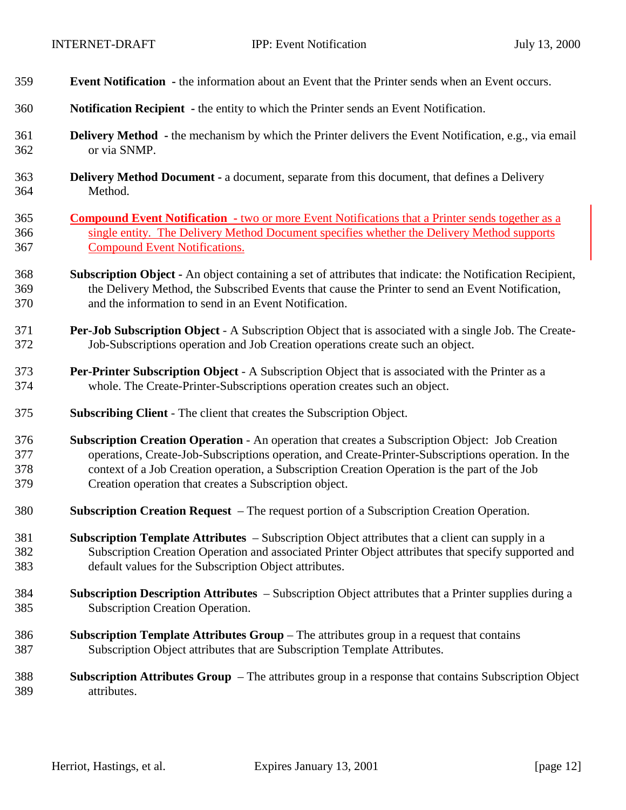| 359 | <b>Event Notification</b> - the information about an Event that the Printer sends when an Event occurs.          |
|-----|------------------------------------------------------------------------------------------------------------------|
| 360 | Notification Recipient - the entity to which the Printer sends an Event Notification.                            |
| 361 | <b>Delivery Method</b> - the mechanism by which the Printer delivers the Event Notification, e.g., via email     |
| 362 | or via SNMP.                                                                                                     |
| 363 | <b>Delivery Method Document - a document, separate from this document, that defines a Delivery</b>               |
| 364 | Method.                                                                                                          |
| 365 | <b>Compound Event Notification</b> - two or more Event Notifications that a Printer sends together as a          |
| 366 | single entity. The Delivery Method Document specifies whether the Delivery Method supports                       |
| 367 | <b>Compound Event Notifications.</b>                                                                             |
| 368 | <b>Subscription Object -</b> An object containing a set of attributes that indicate: the Notification Recipient, |
| 369 | the Delivery Method, the Subscribed Events that cause the Printer to send an Event Notification,                 |
| 370 | and the information to send in an Event Notification.                                                            |
| 371 | Per-Job Subscription Object - A Subscription Object that is associated with a single Job. The Create-            |
| 372 | Job-Subscriptions operation and Job Creation operations create such an object.                                   |
| 373 | <b>Per-Printer Subscription Object</b> - A Subscription Object that is associated with the Printer as a          |
| 374 | whole. The Create-Printer-Subscriptions operation creates such an object.                                        |
| 375 | <b>Subscribing Client - The client that creates the Subscription Object.</b>                                     |
| 376 | Subscription Creation Operation - An operation that creates a Subscription Object: Job Creation                  |
| 377 | operations, Create-Job-Subscriptions operation, and Create-Printer-Subscriptions operation. In the               |
| 378 | context of a Job Creation operation, a Subscription Creation Operation is the part of the Job                    |
| 379 | Creation operation that creates a Subscription object.                                                           |
| 380 | <b>Subscription Creation Request</b> – The request portion of a Subscription Creation Operation.                 |
| 381 | Subscription Template Attributes – Subscription Object attributes that a client can supply in a                  |
| 382 | Subscription Creation Operation and associated Printer Object attributes that specify supported and              |
| 383 | default values for the Subscription Object attributes.                                                           |
| 384 | Subscription Description Attributes – Subscription Object attributes that a Printer supplies during a            |
| 385 | <b>Subscription Creation Operation.</b>                                                                          |
| 386 | <b>Subscription Template Attributes Group</b> – The attributes group in a request that contains                  |
| 387 | Subscription Object attributes that are Subscription Template Attributes.                                        |
| 388 | <b>Subscription Attributes Group</b> – The attributes group in a response that contains Subscription Object      |
| 389 | attributes.                                                                                                      |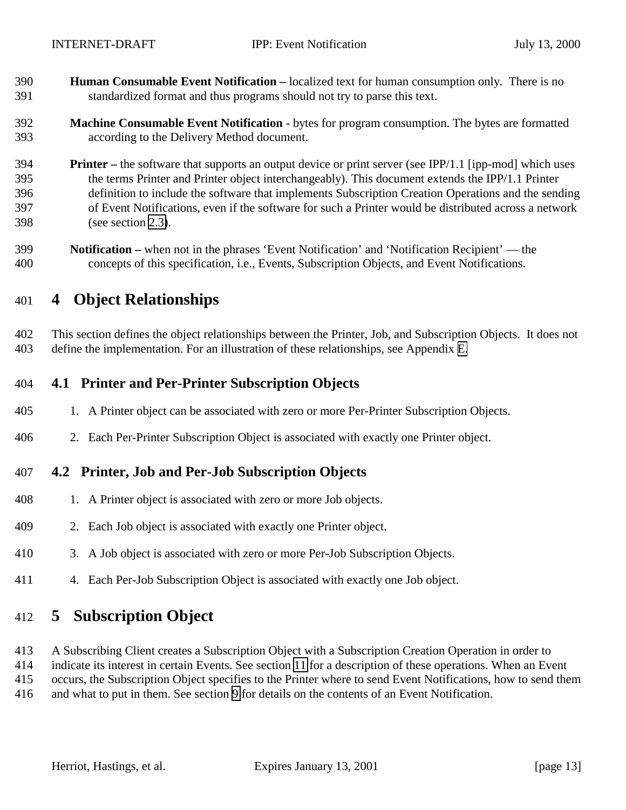<span id="page-12-0"></span> **Human Consumable Event Notification –** localized text for human consumption only. There is no standardized format and thus programs should not try to parse this text.

#### **Machine Consumable Event Notification -** bytes for program consumption. The bytes are formatted according to the Delivery Method document.

- **Printer** the software that supports an output device or print server (see IPP/1.1 [ipp-mod] which uses the terms Printer and Printer object interchangeably). This document extends the IPP/1.1 Printer definition to include the software that implements Subscription Creation Operations and the sending of Event Notifications, even if the software for such a Printer would be distributed across a network (see section [2.3\)](#page-9-0).
- **Notification –** when not in the phrases 'Event Notification' and 'Notification Recipient' the concepts of this specification, i.e., Events, Subscription Objects, and Event Notifications.

## **4 Object Relationships**

 This section defines the object relationships between the Printer, Job, and Subscription Objects. It does not define the implementation. For an illustration of these relationships, see Appendix [E.](#page-66-0)

### **4.1 Printer and Per-Printer Subscription Objects**

- 1. A Printer object can be associated with zero or more Per-Printer Subscription Objects.
- 2. Each Per-Printer Subscription Object is associated with exactly one Printer object.

#### **4.2 Printer, Job and Per-Job Subscription Objects**

- 1. A Printer object is associated with zero or more Job objects.
- 2. Each Job object is associated with exactly one Printer object.
- 3. A Job object is associated with zero or more Per-Job Subscription Objects.
- 4. Each Per-Job Subscription Object is associated with exactly one Job object.

## **5 Subscription Object**

- A Subscribing Client creates a Subscription Object with a Subscription Creation Operation in order to
- indicate its interest in certain Events. See section [11](#page-43-0) for a description of these operations. When an Event
- occurs, the Subscription Object specifies to the Printer where to send Event Notifications, how to send them
- and what to put in them. See section [9](#page-34-0) for details on the contents of an Event Notification.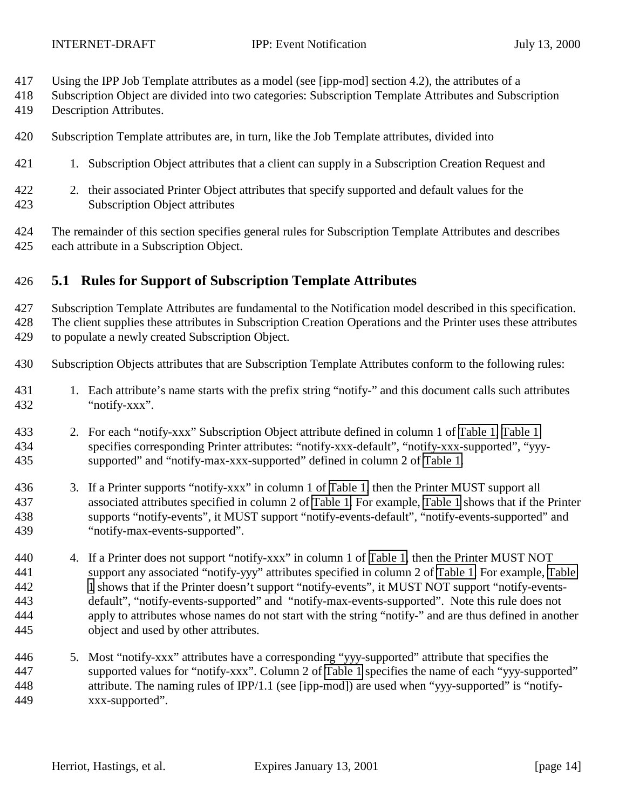- <span id="page-13-0"></span>Using the IPP Job Template attributes as a model (see [ipp-mod] section 4.2), the attributes of a
- Subscription Object are divided into two categories: Subscription Template Attributes and Subscription
- Description Attributes.
- Subscription Template attributes are, in turn, like the Job Template attributes, divided into
- 1. Subscription Object attributes that a client can supply in a Subscription Creation Request and
- 2. their associated Printer Object attributes that specify supported and default values for the Subscription Object attributes
- The remainder of this section specifies general rules for Subscription Template Attributes and describes each attribute in a Subscription Object.

### **5.1 Rules for Support of Subscription Template Attributes**

 Subscription Template Attributes are fundamental to the Notification model described in this specification. The client supplies these attributes in Subscription Creation Operations and the Printer uses these attributes to populate a newly created Subscription Object.

- Subscription Objects attributes that are Subscription Template Attributes conform to the following rules:
- 431 1. Each attribute's name starts with the prefix string "notify-" and this document calls such attributes "notify-xxx".
- 2. For each "notify-xxx" Subscription Object attribute defined in column 1 of [Table 1, Table 1](#page-17-0) specifies corresponding Printer attributes: "notify-xxx-default", "notify-xxx-supported", "yyy-supported" and "notify-max-xxx-supported" defined in column 2 of [Table 1.](#page-17-0)
- 3. If a Printer supports "notify-xxx" in column 1 of [Table 1,](#page-17-0) then the Printer MUST support all associated attributes specified in column 2 of [Table 1.](#page-17-0) For example, [Table 1](#page-17-0) shows that if the Printer supports "notify-events", it MUST support "notify-events-default", "notify-events-supported" and "notify-max-events-supported".
- 4. If a Printer does not support "notify-xxx" in column 1 of [Table 1,](#page-17-0) then the Printer MUST NOT support any associated "notify-yyy" attributes specified in column 2 of [Table 1.](#page-17-0) For example, [Table](#page-17-0) [1](#page-17-0) shows that if the Printer doesn't support "notify-events", it MUST NOT support "notify-events- default", "notify-events-supported" and "notify-max-events-supported". Note this rule does not apply to attributes whose names do not start with the string "notify-" and are thus defined in another object and used by other attributes.
- 5. Most "notify-xxx" attributes have a corresponding "yyy-supported" attribute that specifies the supported values for "notify-xxx". Column 2 of [Table 1](#page-17-0) specifies the name of each "yyy-supported" attribute. The naming rules of IPP/1.1 (see [ipp-mod]) are used when "yyy-supported" is "notify-xxx-supported".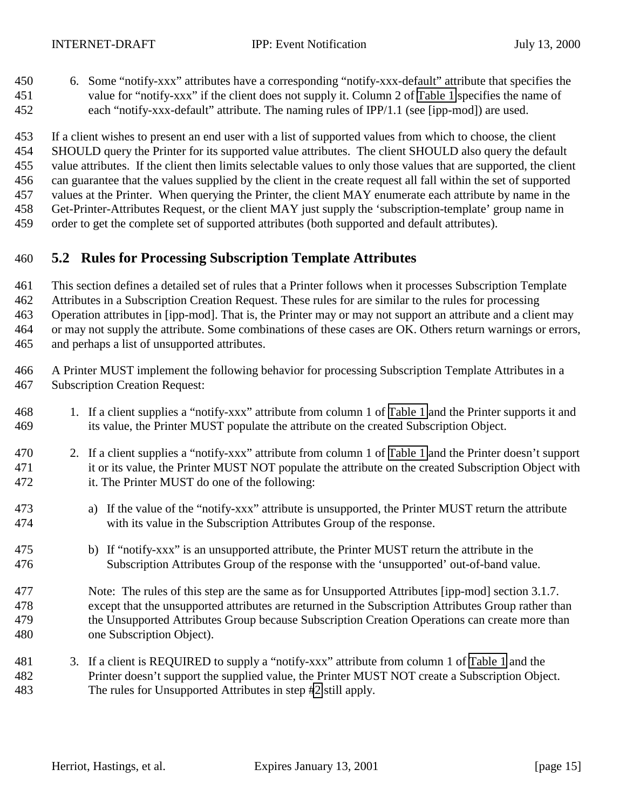<span id="page-14-0"></span> 6. Some "notify-xxx" attributes have a corresponding "notify-xxx-default" attribute that specifies the value for "notify-xxx" if the client does not supply it. Column 2 of [Table 1](#page-17-0) specifies the name of each "notify-xxx-default" attribute. The naming rules of IPP/1.1 (see [ipp-mod]) are used.

 If a client wishes to present an end user with a list of supported values from which to choose, the client SHOULD query the Printer for its supported value attributes. The client SHOULD also query the default value attributes. If the client then limits selectable values to only those values that are supported, the client can guarantee that the values supplied by the client in the create request all fall within the set of supported values at the Printer. When querying the Printer, the client MAY enumerate each attribute by name in the Get-Printer-Attributes Request, or the client MAY just supply the 'subscription-template' group name in order to get the complete set of supported attributes (both supported and default attributes).

### **5.2 Rules for Processing Subscription Template Attributes**

 This section defines a detailed set of rules that a Printer follows when it processes Subscription Template Attributes in a Subscription Creation Request. These rules for are similar to the rules for processing Operation attributes in [ipp-mod]. That is, the Printer may or may not support an attribute and a client may or may not supply the attribute. Some combinations of these cases are OK. Others return warnings or errors,

and perhaps a list of unsupported attributes.

 A Printer MUST implement the following behavior for processing Subscription Template Attributes in a Subscription Creation Request:

- 1. If a client supplies a "notify-xxx" attribute from column 1 of [Table 1](#page-17-0) and the Printer supports it and its value, the Printer MUST populate the attribute on the created Subscription Object.
- 2. If a client supplies a "notify-xxx" attribute from column 1 of [Table 1](#page-17-0) and the Printer doesn't support it or its value, the Printer MUST NOT populate the attribute on the created Subscription Object with it. The Printer MUST do one of the following:
- a) If the value of the "notify-xxx" attribute is unsupported, the Printer MUST return the attribute with its value in the Subscription Attributes Group of the response.
- b) If "notify-xxx" is an unsupported attribute, the Printer MUST return the attribute in the Subscription Attributes Group of the response with the 'unsupported' out-of-band value.
- Note: The rules of this step are the same as for Unsupported Attributes [ipp-mod] section 3.1.7. except that the unsupported attributes are returned in the Subscription Attributes Group rather than the Unsupported Attributes Group because Subscription Creation Operations can create more than one Subscription Object).
- 3. If a client is REQUIRED to supply a "notify-xxx" attribute from column 1 of [Table 1](#page-17-0) and the Printer doesn't support the supplied value, the Printer MUST NOT create a Subscription Object. The rules for Unsupported Attributes in step #2 still apply.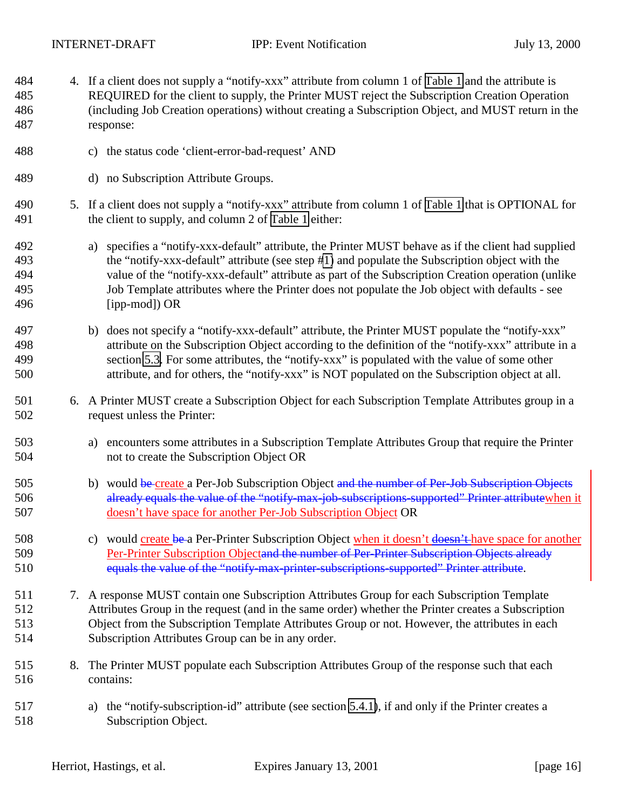- <span id="page-15-0"></span> 4. If a client does not supply a "notify-xxx" attribute from column 1 of [Table 1](#page-17-0) and the attribute is REQUIRED for the client to supply, the Printer MUST reject the Subscription Creation Operation (including Job Creation operations) without creating a Subscription Object, and MUST return in the response:
- c) the status code 'client-error-bad-request' AND
- d) no Subscription Attribute Groups.
- 5. If a client does not supply a "notify-xxx" attribute from column 1 of [Table 1](#page-17-0) that is OPTIONAL for the client to supply, and column 2 of [Table 1](#page-17-0) either:
- a) specifies a "notify-xxx-default" attribute, the Printer MUST behave as if the client had supplied the "notify-xxx-default" attribute (see step [#1\)](#page-14-0) and populate the Subscription object with the value of the "notify-xxx-default" attribute as part of the Subscription Creation operation (unlike Job Template attributes where the Printer does not populate the Job object with defaults - see [ipp-mod]) OR
- b) does not specify a "notify-xxx-default" attribute, the Printer MUST populate the "notify-xxx" attribute on the Subscription Object according to the definition of the "notify-xxx" attribute in a section [5.3.](#page-17-0) For some attributes, the "notify-xxx" is populated with the value of some other attribute, and for others, the "notify-xxx" is NOT populated on the Subscription object at all.
- 6. A Printer MUST create a Subscription Object for each Subscription Template Attributes group in a request unless the Printer:
- a) encounters some attributes in a Subscription Template Attributes Group that require the Printer not to create the Subscription Object OR
- 505 b) would be create a Per-Job Subscription Object and the number of Per-Job Subscription Objects 506 already equals the value of the "notify-max-job-subscriptions-supported" Printer attributewhen it doesn't have space for another Per-Job Subscription Object OR
- 508 c) would create be a Per-Printer Subscription Object when it doesn't doesn't have space for another 509 Per-Printer Subscription Objectand the number of Per-Printer Subscription Objects already equals the value of the "notify-max-printer-subscriptions-supported" Printer attribute.
- 7. A response MUST contain one Subscription Attributes Group for each Subscription Template Attributes Group in the request (and in the same order) whether the Printer creates a Subscription Object from the Subscription Template Attributes Group or not. However, the attributes in each Subscription Attributes Group can be in any order.
- 8. The Printer MUST populate each Subscription Attributes Group of the response such that each contains:
- a) the "notify-subscription-id" attribute (see section [5.4.1\)](#page-28-0), if and only if the Printer creates a Subscription Object.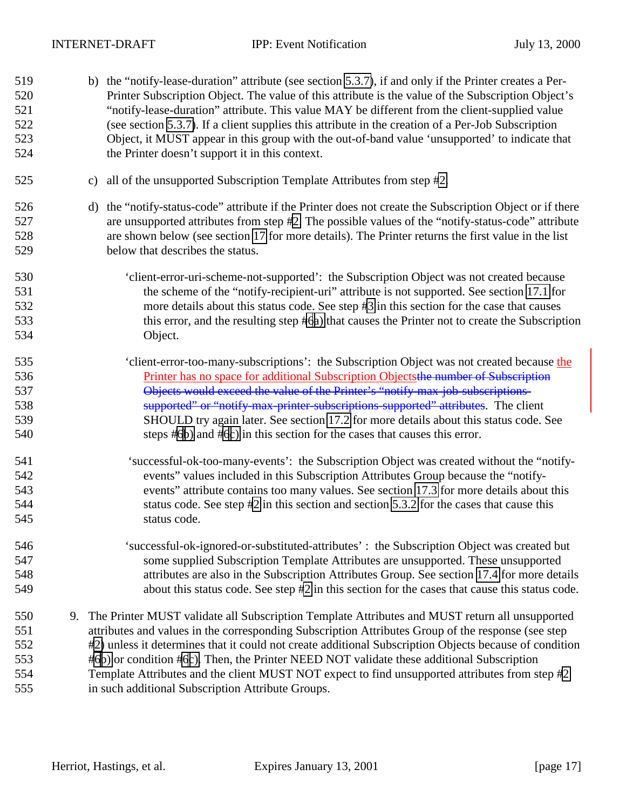b) the "notify-lease-duration" attribute (see section [5.3.7\)](#page-25-0), if and only if the Printer creates a Per- Printer Subscription Object. The value of this attribute is the value of the Subscription Object's "notify-lease-duration" attribute. This value MAY be different from the client-supplied value (see section [5.3.7\)](#page-25-0). If a client supplies this attribute in the creation of a Per-Job Subscription Object, it MUST appear in this group with the out-of-band value 'unsupported' to indicate that the Printer doesn't support it in this context. c) all of the unsupported Subscription Template Attributes from step [#2.](#page-14-0) d) the "notify-status-code" attribute if the Printer does not create the Subscription Object or if there are unsupported attributes from step [#2.](#page-14-0) The possible values of the "notify-status-code" attribute are shown below (see section [17](#page-60-0) for more details). The Printer returns the first value in the list below that describes the status. 'client-error-uri-scheme-not-supported': the Subscription Object was not created because the scheme of the "notify-recipient-uri" attribute is not supported. See section [17.1](#page-60-0) for more details about this status code. See step [#3](#page-14-0) in this section for the case that causes this error, and the resulting step [#6a\)](#page-15-0) that causes the Printer not to create the Subscription Object. 'client-error-too-many-subscriptions': the Subscription Object was not created because the Printer has no space for additional Subscription Objectsthe number of Subscription Objects would exceed the value of the Printer's "notify-max-job-subscriptions- supported" or "notify-max-printer-subscriptions-supported" attributes. The client SHOULD try again later. See section [17.2](#page-60-0) for more details about this status code. See steps [#6b\)](#page-15-0) and [#6c\)](#page-15-0) in this section for the cases that causes this error. 541 'successful-ok-too-many-events': the Subscription Object was created without the "notify- events" values included in this Subscription Attributes Group because the "notify- events" attribute contains too many values. See section [17.3](#page-60-0) for more details about this status code. See step [#2](#page-14-0) in this section and section [5.3.2](#page-18-0) for the cases that cause this status code. 'successful-ok-ignored-or-substituted-attributes' : the Subscription Object was created but some supplied Subscription Template Attributes are unsupported. These unsupported attributes are also in the Subscription Attributes Group. See section [17.4](#page-60-0) for more details about this status code. See step [#2](#page-14-0) in this section for the cases that cause this status code. 9. The Printer MUST validate all Subscription Template Attributes and MUST return all unsupported attributes and values in the corresponding Subscription Attributes Group of the response (see step [#2\)](#page-14-0) unless it determines that it could not create additional Subscription Objects because of condition [#6b\)](#page-15-0) or condition [#6c\).](#page-15-0) Then, the Printer NEED NOT validate these additional Subscription Template Attributes and the client MUST NOT expect to find unsupported attributes from step [#2](#page-14-0) in such additional Subscription Attribute Groups.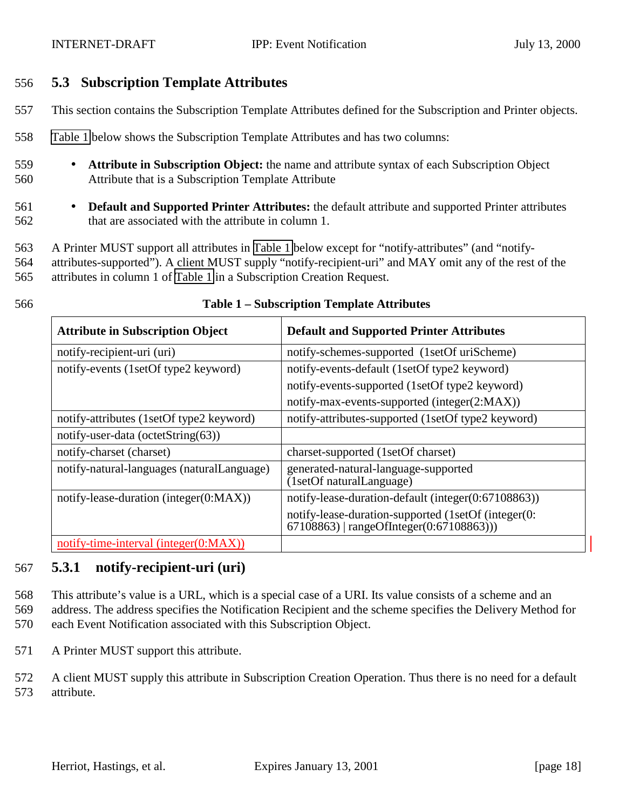### <span id="page-17-0"></span>556 **5.3 Subscription Template Attributes**

- 557 This section contains the Subscription Template Attributes defined for the Subscription and Printer objects.
- 558 Table 1 below shows the Subscription Template Attributes and has two columns:
- 559 **Attribute in Subscription Object:** the name and attribute syntax of each Subscription Object 560 Attribute that is a Subscription Template Attribute
- 561 **Default and Supported Printer Attributes:** the default attribute and supported Printer attributes 562 that are associated with the attribute in column 1.

563 A Printer MUST support all attributes in Table 1 below except for "notify-attributes" (and "notify-564 attributes-supported"). A client MUST supply "notify-recipient-uri" and MAY omit any of the rest of the 565 attributes in column 1 of Table 1 in a Subscription Creation Request.

| <b>Attribute in Subscription Object</b>    | <b>Default and Supported Printer Attributes</b>                                                     |
|--------------------------------------------|-----------------------------------------------------------------------------------------------------|
| notify-recipient-uri (uri)                 | notify-schemes-supported (1setOf uriScheme)                                                         |
| notify-events (1setOf type2 keyword)       | notify-events-default (1setOf type2 keyword)                                                        |
|                                            | notify-events-supported (1setOf type2 keyword)                                                      |
|                                            | notify-max-events-supported (integer(2:MAX))                                                        |
| notify-attributes (1setOf type2 keyword)   | notify-attributes-supported (1setOf type2 keyword)                                                  |
| notify-user-data (octetString(63))         |                                                                                                     |
| notify-charset (charset)                   | charset-supported (1setOf charset)                                                                  |
| notify-natural-languages (naturalLanguage) | generated-natural-language-supported<br>(1setOf naturalLanguage)                                    |
| notify-lease-duration (integer(0:MAX))     | notify-lease-duration-default (integer(0:67108863))                                                 |
|                                            | notify-lease-duration-supported (1setOf (integer(0:<br>$67108863$   rangeOfInteger $(0:67108863)$ ) |
| notify-time-interval (integer(0:MAX))      |                                                                                                     |

#### 566 **Table 1 – Subscription Template Attributes**

#### 567 **5.3.1 notify-recipient-uri (uri)**

568 This attribute's value is a URL, which is a special case of a URI. Its value consists of a scheme and an 569 address. The address specifies the Notification Recipient and the scheme specifies the Delivery Method for 570 each Event Notification associated with this Subscription Object.

571 A Printer MUST support this attribute.

572 A client MUST supply this attribute in Subscription Creation Operation. Thus there is no need for a default 573 attribute.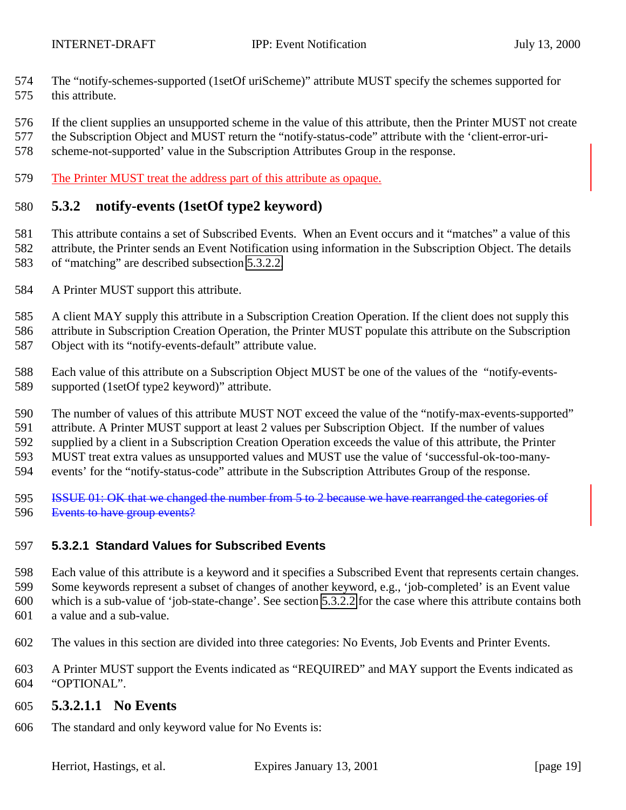- <span id="page-18-0"></span> The "notify-schemes-supported (1setOf uriScheme)" attribute MUST specify the schemes supported for this attribute.
- If the client supplies an unsupported scheme in the value of this attribute, then the Printer MUST not create
- the Subscription Object and MUST return the "notify-status-code" attribute with the 'client-error-uri-
- scheme-not-supported' value in the Subscription Attributes Group in the response.
- The Printer MUST treat the address part of this attribute as opaque.

### **5.3.2 notify-events (1setOf type2 keyword)**

- This attribute contains a set of Subscribed Events. When an Event occurs and it "matches" a value of this attribute, the Printer sends an Event Notification using information in the Subscription Object. The details of "matching" are described subsection [5.3.2.2.](#page-22-0)
- A Printer MUST support this attribute.
- A client MAY supply this attribute in a Subscription Creation Operation. If the client does not supply this attribute in Subscription Creation Operation, the Printer MUST populate this attribute on the Subscription
- Object with its "notify-events-default" attribute value.
- Each value of this attribute on a Subscription Object MUST be one of the values of the "notify-events-supported (1setOf type2 keyword)" attribute.
- The number of values of this attribute MUST NOT exceed the value of the "notify-max-events-supported"
- attribute. A Printer MUST support at least 2 values per Subscription Object. If the number of values
- supplied by a client in a Subscription Creation Operation exceeds the value of this attribute, the Printer MUST treat extra values as unsupported values and MUST use the value of 'successful-ok-too-many-
- events' for the "notify-status-code" attribute in the Subscription Attributes Group of the response.
- 595 ISSUE 01: OK that we changed the number from 5 to 2 because we have rearranged the categories of Events to have group events?

#### **5.3.2.1 Standard Values for Subscribed Events**

- Each value of this attribute is a keyword and it specifies a Subscribed Event that represents certain changes.
- Some keywords represent a subset of changes of another keyword, e.g., 'job-completed' is an Event value
- which is a sub-value of 'job-state-change'. See section [5.3.2.2](#page-22-0) for the case where this attribute contains both
- a value and a sub-value.
- The values in this section are divided into three categories: No Events, Job Events and Printer Events.
- A Printer MUST support the Events indicated as "REQUIRED" and MAY support the Events indicated as "OPTIONAL".

#### **5.3.2.1.1 No Events**

The standard and only keyword value for No Events is: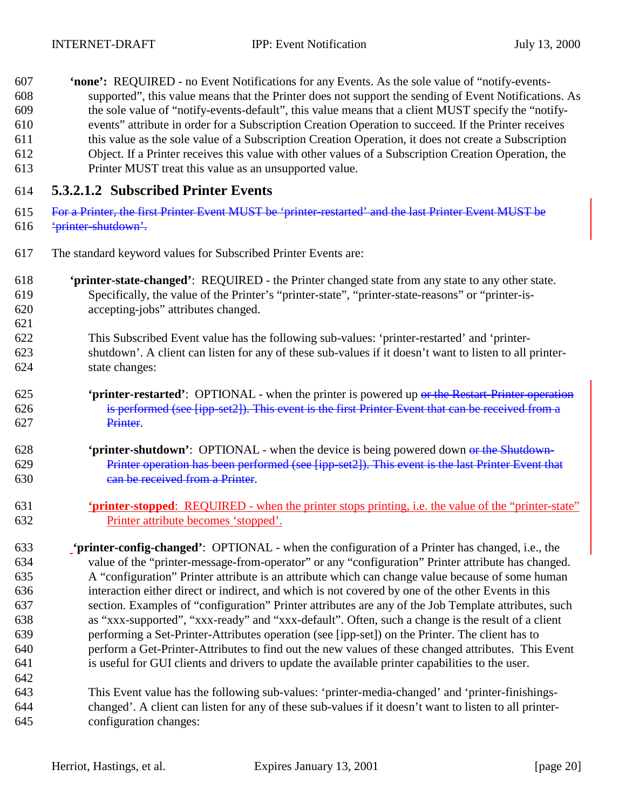- **'none':** REQUIRED no Event Notifications for any Events. As the sole value of "notify-events- supported", this value means that the Printer does not support the sending of Event Notifications. As the sole value of "notify-events-default", this value means that a client MUST specify the "notify-
- events" attribute in order for a Subscription Creation Operation to succeed. If the Printer receives
- this value as the sole value of a Subscription Creation Operation, it does not create a Subscription Object. If a Printer receives this value with other values of a Subscription Creation Operation, the
- Printer MUST treat this value as an unsupported value.

# **5.3.2.1.2 Subscribed Printer Events**

- For a Printer, the first Printer Event MUST be 'printer-restarted' and the last Printer Event MUST be 'printer-shutdown'.
- The standard keyword values for Subscribed Printer Events are:
- **'printer-state-changed'**: REQUIRED the Printer changed state from any state to any other state. Specifically, the value of the Printer's "printer-state", "printer-state-reasons" or "printer-is-accepting-jobs" attributes changed.
- This Subscribed Event value has the following sub-values: 'printer-restarted' and 'printer- shutdown'. A client can listen for any of these sub-values if it doesn't want to listen to all printer-state changes:
- **'printer-restarted'**: OPTIONAL when the printer is powered up or the Restart-Printer operation is performed (see [ipp-set2]). This event is the first Printer Event that can be received from a Printer.
- **'printer-shutdown'**: OPTIONAL when the device is being powered down or the Shutdown-629 Printer operation has been performed (see [ipp-set2]). This event is the last Printer Event that can be received from a Printer.
- **'printer-stopped**: REQUIRED when the printer stops printing, i.e. the value of the "printer-state" Printer attribute becomes 'stopped'.

 **'printer-config-changed'**:OPTIONAL - when the configuration of a Printer has changed, i.e., the value of the "printer-message-from-operator" or any "configuration" Printer attribute has changed. A "configuration" Printer attribute is an attribute which can change value because of some human interaction either direct or indirect, and which is not covered by one of the other Events in this section. Examples of "configuration" Printer attributes are any of the Job Template attributes, such as "xxx-supported", "xxx-ready" and "xxx-default". Often, such a change is the result of a client performing a Set-Printer-Attributes operation (see [ipp-set]) on the Printer. The client has to perform a Get-Printer-Attributes to find out the new values of these changed attributes. This Event is useful for GUI clients and drivers to update the available printer capabilities to the user. 

 This Event value has the following sub-values: 'printer-media-changed' and 'printer-finishings- changed'. A client can listen for any of these sub-values if it doesn't want to listen to all printer-configuration changes: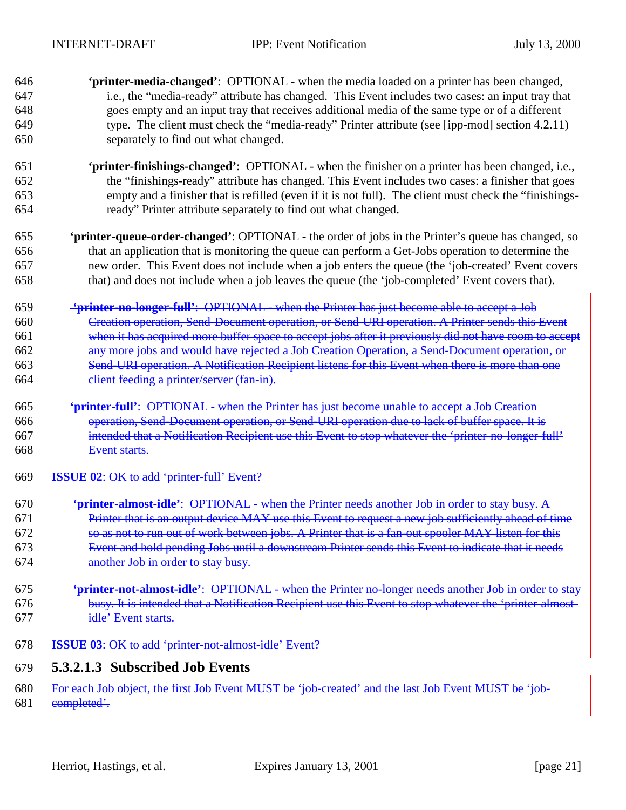- **'printer-media-changed'**:OPTIONAL when the media loaded on a printer has been changed, i.e., the "media-ready" attribute has changed. This Event includes two cases: an input tray that goes empty and an input tray that receives additional media of the same type or of a different type. The client must check the "media-ready" Printer attribute (see [ipp-mod] section 4.2.11) separately to find out what changed. **'printer-finishings-changed'**:OPTIONAL - when the finisher on a printer has been changed, i.e., the "finishings-ready" attribute has changed. This Event includes two cases: a finisher that goes empty and a finisher that is refilled (even if it is not full). The client must check the "finishings- ready" Printer attribute separately to find out what changed. **'printer-queue-order-changed'**: OPTIONAL - the order of jobs in the Printer's queue has changed, so that an application that is monitoring the queue can perform a Get-Jobs operation to determine the new order. This Event does not include when a job enters the queue (the 'job-created' Event covers that) and does not include when a job leaves the queue (the 'job-completed' Event covers that).  **'printer-no-longer-full'**: OPTIONAL - when the Printer has just become able to accept a Job Creation operation, Send-Document operation, or Send-URI operation. A Printer sends this Event when it has acquired more buffer space to accept jobs after it previously did not have room to accept any more jobs and would have rejected a Job Creation Operation, a Send-Document operation, or Send-URI operation. A Notification Recipient listens for this Event when there is more than one client feeding a printer/server (fan-in). **'printer-full'**: OPTIONAL - when the Printer has just become unable to accept a Job Creation operation, Send-Document operation, or Send-URI operation due to lack of buffer space. It is intended that a Notification Recipient use this Event to stop whatever the 'printer-no-longer-full' Event starts. **ISSUE 02**: OK to add 'printer-full' Event?  **'printer-almost-idle'**:OPTIONAL - when the Printer needs another Job in order to stay busy. A Printer that is an output device MAY use this Event to request a new job sufficiently ahead of time so as not to run out of work between jobs. A Printer that is a fan-out spooler MAY listen for this
- Event and hold pending Jobs until a downstream Printer sends this Event to indicate that it needs another Job in order to stay busy.
- **'printer-not-almost-idle'**:OPTIONAL when the Printer no-longer needs another Job in order to stay 676 busy. It is intended that a Notification Recipient use this Event to stop whatever the 'printer-almost-idle' Event starts.
- **ISSUE 03**: OK to add 'printer-not-almost-idle' Event?

## **5.3.2.1.3 Subscribed Job Events**

For each Job object, the first Job Event MUST be 'job-created' and the last Job Event MUST be 'job-

681 completed'.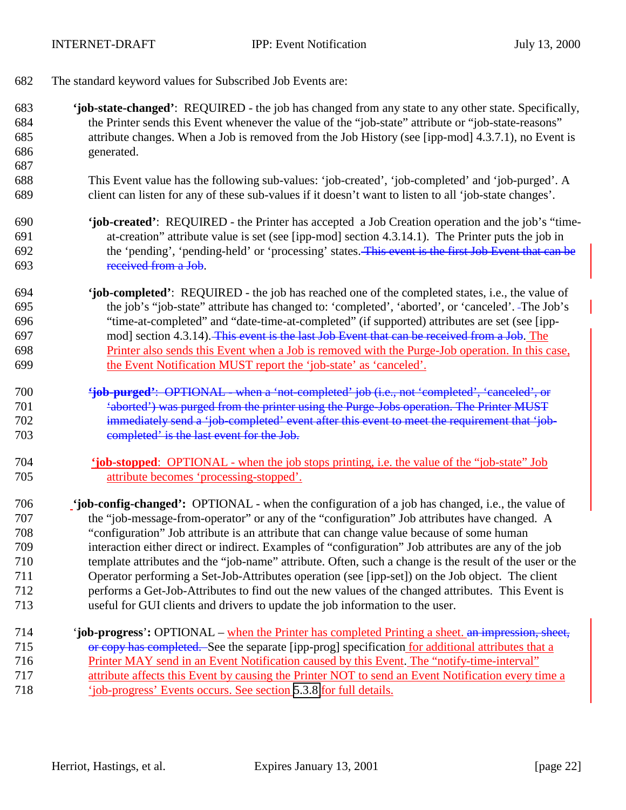- The standard keyword values for Subscribed Job Events are:
- **'job-state-changed'**: REQUIRED the job has changed from any state to any other state. Specifically, the Printer sends this Event whenever the value of the "job-state" attribute or "job-state-reasons" attribute changes. When a Job is removed from the Job History (see [ipp-mod] 4.3.7.1), no Event is generated.
- This Event value has the following sub-values: 'job-created', 'job-completed' and 'job-purged'. A client can listen for any of these sub-values if it doesn't want to listen to all 'job-state changes'.
- **'job-created'**: REQUIRED the Printer has accepted a Job Creation operation and the job's "time- at-creation" attribute value is set (see [ipp-mod] section 4.3.14.1). The Printer puts the job in the 'pending', 'pending-held' or 'processing' states. This event is the first Job Event that can be received from a Job.
- **'job-completed'**: REQUIRED the job has reached one of the completed states, i.e., the value of the job's "job-state" attribute has changed to: 'completed', 'aborted', or 'canceled'. The Job's "time-at-completed" and "date-time-at-completed" (if supported) attributes are set (see [ipp- mod] section 4.3.14). This event is the last Job Event that can be received from a Job. The Printer also sends this Event when a Job is removed with the Purge-Job operation. In this case, the Event Notification MUST report the 'job-state' as 'canceled'.
- **'job-purged'**: OPTIONAL when a 'not-completed' job (i.e., not 'completed', 'canceled', or 'aborted') was purged from the printer using the Purge-Jobs operation. The Printer MUST 702 immediately send a 'job-completed' event after this event to meet the requirement that 'job-completed' is the last event for the Job.
- **'job-stopped**: OPTIONAL when the job stops printing, i.e. the value of the "job-state" Job attribute becomes 'processing-stopped'.
- **'job-config-changed':** OPTIONAL when the configuration of a job has changed, i.e., the value of the "job-message-from-operator" or any of the "configuration" Job attributes have changed. A "configuration" Job attribute is an attribute that can change value because of some human interaction either direct or indirect. Examples of "configuration" Job attributes are any of the job template attributes and the "job-name" attribute. Often, such a change is the result of the user or the Operator performing a Set-Job-Attributes operation (see [ipp-set]) on the Job object. The client performs a Get-Job-Attributes to find out the new values of the changed attributes. This Event is useful for GUI clients and drivers to update the job information to the user.
- 714 '**job-progress**'**:** OPTIONAL when the Printer has completed Printing a sheet. an impression, sheet, 715 or copy has completed. See the separate [ipp-prog] specification for additional attributes that a Printer MAY send in an Event Notification caused by this Event. The "notify-time-interval" attribute affects this Event by causing the Printer NOT to send an Event Notification every time a 'job-progress' Events occurs. See section [5.3.8](#page-26-0) for full details.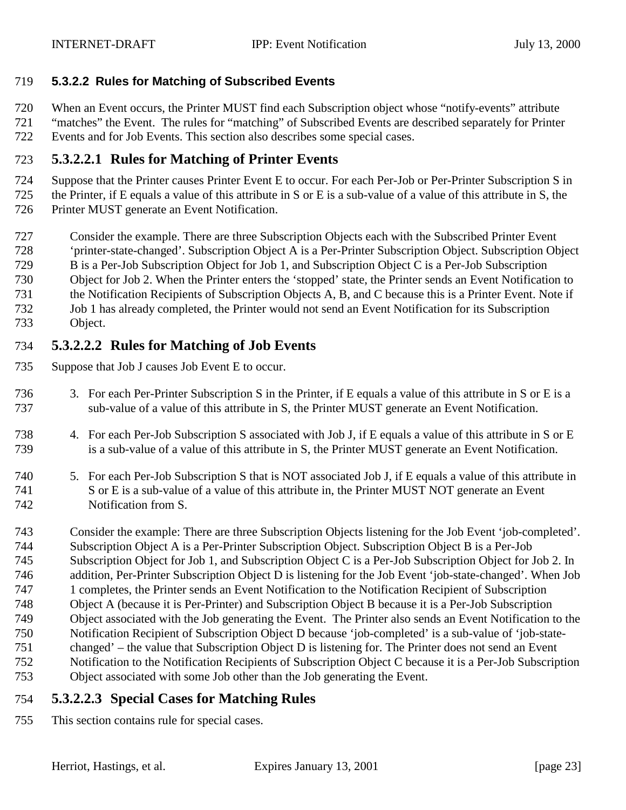#### <span id="page-22-0"></span>**5.3.2.2 Rules for Matching of Subscribed Events**

When an Event occurs, the Printer MUST find each Subscription object whose "notify-events" attribute

 "matches" the Event. The rules for "matching" of Subscribed Events are described separately for Printer Events and for Job Events. This section also describes some special cases.

### **5.3.2.2.1 Rules for Matching of Printer Events**

 Suppose that the Printer causes Printer Event E to occur. For each Per-Job or Per-Printer Subscription S in the Printer, if E equals a value of this attribute in S or E is a sub-value of a value of this attribute in S, the Printer MUST generate an Event Notification.

- Consider the example. There are three Subscription Objects each with the Subscribed Printer Event
- 'printer-state-changed'. Subscription Object A is a Per-Printer Subscription Object. Subscription Object
- B is a Per-Job Subscription Object for Job 1, and Subscription Object C is a Per-Job Subscription
- Object for Job 2. When the Printer enters the 'stopped' state, the Printer sends an Event Notification to
- the Notification Recipients of Subscription Objects A, B, and C because this is a Printer Event. Note if
- Job 1 has already completed, the Printer would not send an Event Notification for its Subscription
- Object.

## **5.3.2.2.2 Rules for Matching of Job Events**

- Suppose that Job J causes Job Event E to occur.
- 3. For each Per-Printer Subscription S in the Printer, if E equals a value of this attribute in S or E is a sub-value of a value of this attribute in S, the Printer MUST generate an Event Notification.
- 4. For each Per-Job Subscription S associated with Job J, if E equals a value of this attribute in S or E is a sub-value of a value of this attribute in S, the Printer MUST generate an Event Notification.
- 5. For each Per-Job Subscription S that is NOT associated Job J, if E equals a value of this attribute in S or E is a sub-value of a value of this attribute in, the Printer MUST NOT generate an Event Notification from S.
- Consider the example: There are three Subscription Objects listening for the Job Event 'job-completed'. Subscription Object A is a Per-Printer Subscription Object. Subscription Object B is a Per-Job Subscription Object for Job 1, and Subscription Object C is a Per-Job Subscription Object for Job 2. In addition, Per-Printer Subscription Object D is listening for the Job Event 'job-state-changed'. When Job 1 completes, the Printer sends an Event Notification to the Notification Recipient of Subscription Object A (because it is Per-Printer) and Subscription Object B because it is a Per-Job Subscription Object associated with the Job generating the Event. The Printer also sends an Event Notification to the Notification Recipient of Subscription Object D because 'job-completed' is a sub-value of 'job-state- changed' – the value that Subscription Object D is listening for. The Printer does not send an Event Notification to the Notification Recipients of Subscription Object C because it is a Per-Job Subscription Object associated with some Job other than the Job generating the Event.

## **5.3.2.2.3 Special Cases for Matching Rules**

This section contains rule for special cases.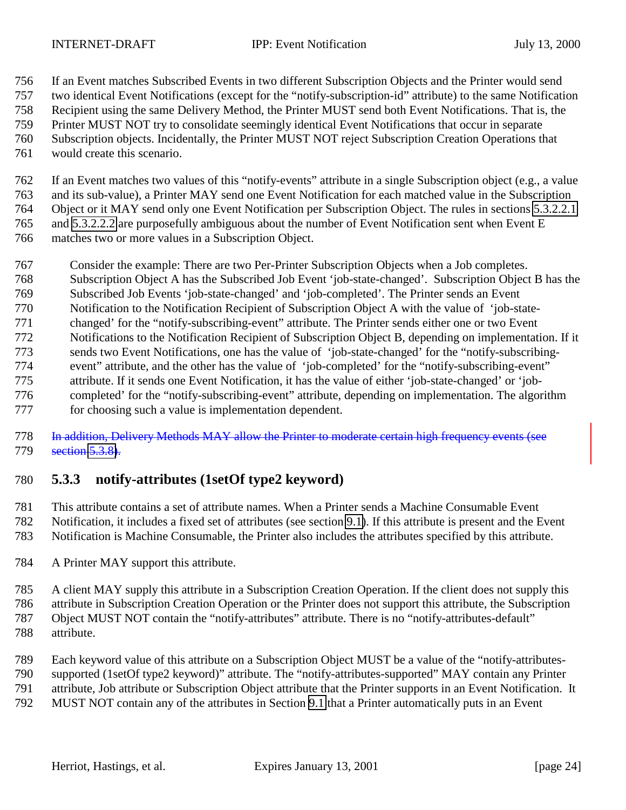<span id="page-23-0"></span>

If an Event matches Subscribed Events in two different Subscription Objects and the Printer would send

two identical Event Notifications (except for the "notify-subscription-id" attribute) to the same Notification

Recipient using the same Delivery Method, the Printer MUST send both Event Notifications. That is, the

- Printer MUST NOT try to consolidate seemingly identical Event Notifications that occur in separate
- Subscription objects. Incidentally, the Printer MUST NOT reject Subscription Creation Operations that
- would create this scenario.

 If an Event matches two values of this "notify-events" attribute in a single Subscription object (e.g., a value and its sub-value), a Printer MAY send one Event Notification for each matched value in the Subscription Object or it MAY send only one Event Notification per Subscription Object. The rules in sections [5.3.2.2.1](#page-22-0) and [5.3.2.2.2](#page-22-0) are purposefully ambiguous about the number of Event Notification sent when Event E matches two or more values in a Subscription Object.

- Consider the example: There are two Per-Printer Subscription Objects when a Job completes.
- Subscription Object A has the Subscribed Job Event 'job-state-changed'. Subscription Object B has the
- Subscribed Job Events 'job-state-changed' and 'job-completed'. The Printer sends an Event
- Notification to the Notification Recipient of Subscription Object A with the value of 'job-state-
- changed' for the "notify-subscribing-event" attribute. The Printer sends either one or two Event
- Notifications to the Notification Recipient of Subscription Object B, depending on implementation. If it
- sends two Event Notifications, one has the value of 'job-state-changed' for the "notify-subscribing-
- event" attribute, and the other has the value of 'job-completed' for the "notify-subscribing-event" attribute. If it sends one Event Notification, it has the value of either 'job-state-changed' or 'job-
- completed' for the "notify-subscribing-event" attribute, depending on implementation. The algorithm
- for choosing such a value is implementation dependent.

 In addition, Delivery Methods MAY allow the Printer to moderate certain high frequency events (see 779 section [5.3.8\)](#page-26-0).

# **5.3.3 notify-attributes (1setOf type2 keyword)**

 This attribute contains a set of attribute names. When a Printer sends a Machine Consumable Event Notification, it includes a fixed set of attributes (see section [9.1\)](#page-35-0). If this attribute is present and the Event Notification is Machine Consumable, the Printer also includes the attributes specified by this attribute.

A Printer MAY support this attribute.

A client MAY supply this attribute in a Subscription Creation Operation. If the client does not supply this

attribute in Subscription Creation Operation or the Printer does not support this attribute, the Subscription

 Object MUST NOT contain the "notify-attributes" attribute. There is no "notify-attributes-default" attribute.

Each keyword value of this attribute on a Subscription Object MUST be a value of the "notify-attributes-

supported (1setOf type2 keyword)" attribute. The "notify-attributes-supported" MAY contain any Printer

attribute, Job attribute or Subscription Object attribute that the Printer supports in an Event Notification. It

MUST NOT contain any of the attributes in Section [9.1](#page-35-0) that a Printer automatically puts in an Event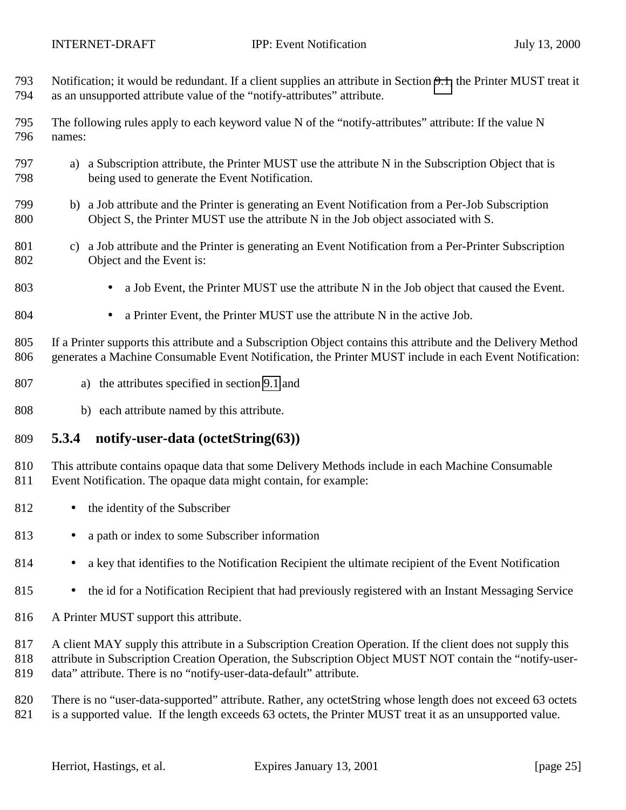<span id="page-24-0"></span>

- Notification; it would be redundant. If a client supplies an attribute in Section [9.1,](#page-35-0) the Printer MUST treat it as an unsupported attribute value of the "notify-attributes" attribute.
- The following rules apply to each keyword value N of the "notify-attributes" attribute: If the value N names:
- a) a Subscription attribute, the Printer MUST use the attribute N in the Subscription Object that is being used to generate the Event Notification.
- b) a Job attribute and the Printer is generating an Event Notification from a Per-Job Subscription Object S, the Printer MUST use the attribute N in the Job object associated with S.
- c) a Job attribute and the Printer is generating an Event Notification from a Per-Printer Subscription Object and the Event is:
- a Job Event, the Printer MUST use the attribute N in the Job object that caused the Event.
- a Printer Event, the Printer MUST use the attribute N in the active Job.

 If a Printer supports this attribute and a Subscription Object contains this attribute and the Delivery Method generates a Machine Consumable Event Notification, the Printer MUST include in each Event Notification:

- a) the attributes specified in section [9.1](#page-35-0) and
- b) each attribute named by this attribute.

#### **5.3.4 notify-user-data (octetString(63))**

 This attribute contains opaque data that some Delivery Methods include in each Machine Consumable Event Notification. The opaque data might contain, for example:

- 812 the identity of the Subscriber
- 813 a path or index to some Subscriber information
- 814 a key that identifies to the Notification Recipient the ultimate recipient of the Event Notification
- 815 the id for a Notification Recipient that had previously registered with an Instant Messaging Service
- A Printer MUST support this attribute.

817 A client MAY supply this attribute in a Subscription Creation Operation. If the client does not supply this

 attribute in Subscription Creation Operation, the Subscription Object MUST NOT contain the "notify-user-data" attribute. There is no "notify-user-data-default" attribute.

There is no "user-data-supported" attribute. Rather, any octetString whose length does not exceed 63 octets

is a supported value. If the length exceeds 63 octets, the Printer MUST treat it as an unsupported value.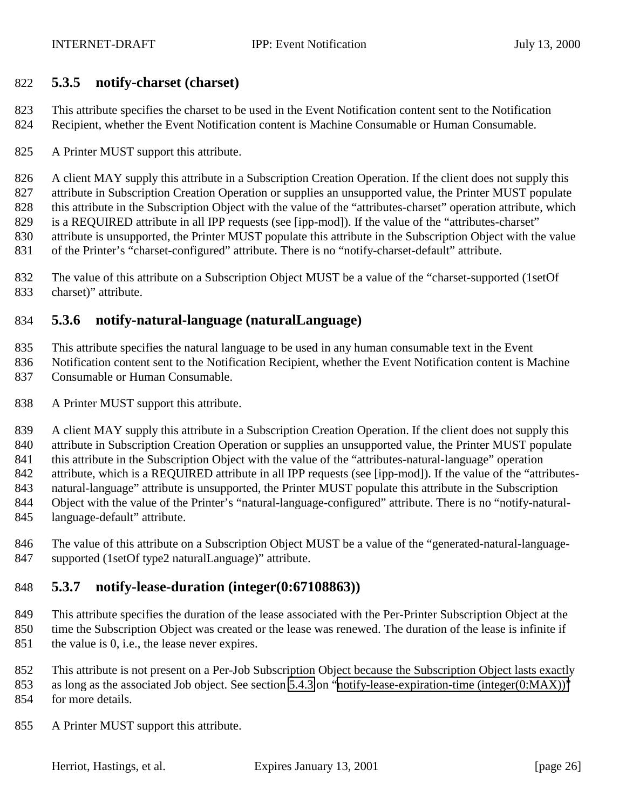#### <span id="page-25-0"></span>**5.3.5 notify-charset (charset)**

 This attribute specifies the charset to be used in the Event Notification content sent to the Notification Recipient, whether the Event Notification content is Machine Consumable or Human Consumable.

A Printer MUST support this attribute.

826 A client MAY supply this attribute in a Subscription Creation Operation. If the client does not supply this attribute in Subscription Creation Operation or supplies an unsupported value, the Printer MUST populate 828 this attribute in the Subscription Object with the value of the "attributes-charset" operation attribute, which is a REQUIRED attribute in all IPP requests (see [ipp-mod]). If the value of the "attributes-charset" attribute is unsupported, the Printer MUST populate this attribute in the Subscription Object with the value of the Printer's "charset-configured" attribute. There is no "notify-charset-default" attribute.

 The value of this attribute on a Subscription Object MUST be a value of the "charset-supported (1setOf charset)" attribute.

### **5.3.6 notify-natural-language (naturalLanguage)**

This attribute specifies the natural language to be used in any human consumable text in the Event

- Notification content sent to the Notification Recipient, whether the Event Notification content is Machine Consumable or Human Consumable.
- A Printer MUST support this attribute.

839 A client MAY supply this attribute in a Subscription Creation Operation. If the client does not supply this attribute in Subscription Creation Operation or supplies an unsupported value, the Printer MUST populate 841 this attribute in the Subscription Object with the value of the "attributes-natural-language" operation 842 attribute, which is a REQUIRED attribute in all IPP requests (see [ipp-mod]). If the value of the "attributes- natural-language" attribute is unsupported, the Printer MUST populate this attribute in the Subscription Object with the value of the Printer's "natural-language-configured" attribute. There is no "notify-natural-

- language-default" attribute.
- The value of this attribute on a Subscription Object MUST be a value of the "generated-natural-language-supported (1setOf type2 naturalLanguage)" attribute.

### **5.3.7 notify-lease-duration (integer(0:67108863))**

 This attribute specifies the duration of the lease associated with the Per-Printer Subscription Object at the time the Subscription Object was created or the lease was renewed. The duration of the lease is infinite if the value is 0, i.e., the lease never expires.

 This attribute is not present on a Per-Job Subscription Object because the Subscription Object lasts exactly as long as the associated Job object. See section [5.4.3](#page-29-0) on "[notify-lease-expiration-time \(integer\(0:MAX\)\)"](#page-29-0)

- for more details.
- A Printer MUST support this attribute.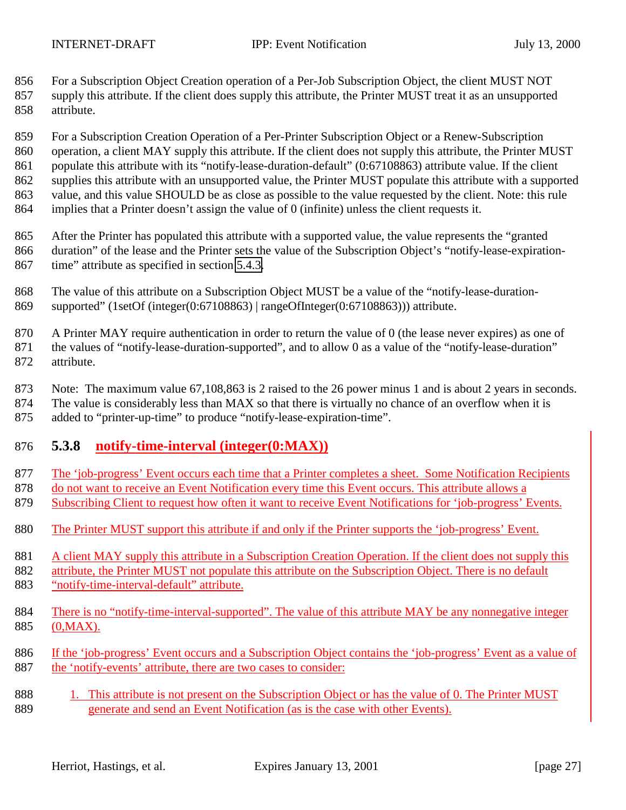<span id="page-26-0"></span> For a Subscription Object Creation operation of a Per-Job Subscription Object, the client MUST NOT supply this attribute. If the client does supply this attribute, the Printer MUST treat it as an unsupported attribute.

 For a Subscription Creation Operation of a Per-Printer Subscription Object or a Renew-Subscription 860 operation, a client MAY supply this attribute. If the client does not supply this attribute, the Printer MUST 861 populate this attribute with its "notify-lease-duration-default" (0:67108863) attribute value. If the client supplies this attribute with an unsupported value, the Printer MUST populate this attribute with a supported value, and this value SHOULD be as close as possible to the value requested by the client. Note: this rule implies that a Printer doesn't assign the value of 0 (infinite) unless the client requests it.

 After the Printer has populated this attribute with a supported value, the value represents the "granted duration" of the lease and the Printer sets the value of the Subscription Object's "notify-lease-expiration-time" attribute as specified in section [5.4.3.](#page-29-0)

 The value of this attribute on a Subscription Object MUST be a value of the "notify-lease-duration-supported" (1setOf (integer(0:67108863) | rangeOfInteger(0:67108863))) attribute.

 A Printer MAY require authentication in order to return the value of 0 (the lease never expires) as one of the values of "notify-lease-duration-supported", and to allow 0 as a value of the "notify-lease-duration" attribute.

 Note: The maximum value 67,108,863 is 2 raised to the 26 power minus 1 and is about 2 years in seconds. The value is considerably less than MAX so that there is virtually no chance of an overflow when it is added to "printer-up-time" to produce "notify-lease-expiration-time".

## **5.3.8 notify-time-interval (integer(0:MAX))**

- The 'job-progress' Event occurs each time that a Printer completes a sheet. Some Notification Recipients
- do not want to receive an Event Notification every time this Event occurs. This attribute allows a
- Subscribing Client to request how often it want to receive Event Notifications for 'job-progress' Events.
- The Printer MUST support this attribute if and only if the Printer supports the 'job-progress' Event.
- 881 A client MAY supply this attribute in a Subscription Creation Operation. If the client does not supply this
- attribute, the Printer MUST not populate this attribute on the Subscription Object. There is no default 883 "notify-time-interval-default" attribute.
- There is no "notify-time-interval-supported". The value of this attribute MAY be any nonnegative integer (0,MAX).
- If the 'job-progress' Event occurs and a Subscription Object contains the 'job-progress' Event as a value of 887 the 'notify-events' attribute, there are two cases to consider:
- 1. This attribute is not present on the Subscription Object or has the value of 0. The Printer MUST generate and send an Event Notification (as is the case with other Events).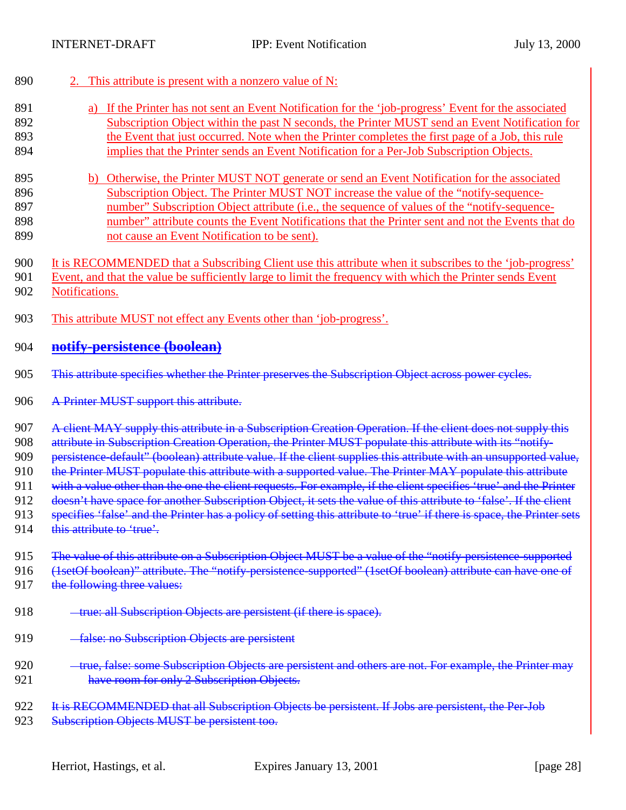| 890 | 2. This attribute is present with a nonzero value of N:                                                                |
|-----|------------------------------------------------------------------------------------------------------------------------|
| 891 | a) If the Printer has not sent an Event Notification for the 'job-progress' Event for the associated                   |
| 892 | Subscription Object within the past N seconds, the Printer MUST send an Event Notification for                         |
| 893 | the Event that just occurred. Note when the Printer completes the first page of a Job, this rule                       |
| 894 | implies that the Printer sends an Event Notification for a Per-Job Subscription Objects.                               |
| 895 | b) Otherwise, the Printer MUST NOT generate or send an Event Notification for the associated                           |
| 896 | Subscription Object. The Printer MUST NOT increase the value of the "notify-sequence-                                  |
| 897 | number" Subscription Object attribute (i.e., the sequence of values of the "notify-sequence-                           |
| 898 | number" attribute counts the Event Notifications that the Printer sent and not the Events that do                      |
| 899 | not cause an Event Notification to be sent).                                                                           |
| 900 | It is RECOMMENDED that a Subscribing Client use this attribute when it subscribes to the 'job-progress'                |
| 901 | Event, and that the value be sufficiently large to limit the frequency with which the Printer sends Event              |
| 902 | Notifications.                                                                                                         |
| 903 | This attribute MUST not effect any Events other than 'job-progress'.                                                   |
| 904 | notify-persistence (boolean)                                                                                           |
| 905 | This attribute specifies whether the Printer preserves the Subscription Object across power cycles.                    |
| 906 | A Printer MUST support this attribute.                                                                                 |
| 907 | A client MAY supply this attribute in a Subscription Creation Operation. If the client does not supply this            |
| 908 | attribute in Subscription Creation Operation, the Printer MUST populate this attribute with its "notify-               |
| 909 | persistence-default" (boolean) attribute value. If the client supplies this attribute with an unsupported value,       |
| 910 | the Printer MUST populate this attribute with a supported value. The Printer MAY populate this attribute               |
| 911 | with a value other than the one the client requests. For example, if the client specifies 'true' and the Printer       |
| 912 | doesn't have space for another Subscription Object, it sets the value of this attribute to 'false'. If the client      |
| 913 | specifies 'false' and the Printer has a policy of setting this attribute to 'true' if there is space, the Printer sets |
| 914 | this attribute to 'true'.                                                                                              |
| 915 | The value of this attribute on a Subscription Object MUST be a value of the "notify persistence supported              |
| 916 | (1setOf boolean)" attribute. The "notify persistence supported" (1setOf boolean) attribute can have one of             |
| 917 | the following three values:                                                                                            |
| 918 | true: all Subscription Objects are persistent (if there is space).                                                     |
| 919 | -false: no Subscription Objects are persistent                                                                         |
| 920 | -true, false: some Subscription Objects are persistent and others are not. For example, the Printer may                |
| 921 | have room for only 2 Subscription Objects.                                                                             |
| 922 | It is RECOMMENDED that all Subscription Objects be persistent. If Jobs are persistent, the Per-Job                     |
| 923 | Subscription Objects MUST be persistent too.                                                                           |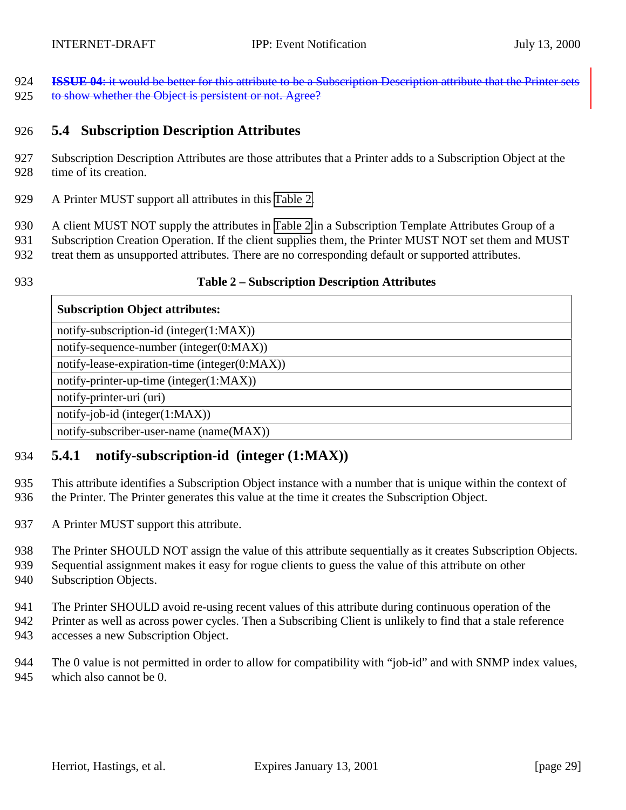<span id="page-28-0"></span> **ISSUE 04**: it would be better for this attribute to be a Subscription Description attribute that the Printer sets 925 to show whether the Object is persistent or not. Agree?

#### **5.4 Subscription Description Attributes**

- Subscription Description Attributes are those attributes that a Printer adds to a Subscription Object at the time of its creation.
- A Printer MUST support all attributes in this Table 2.
- A client MUST NOT supply the attributes in Table 2 in a Subscription Template Attributes Group of a
- Subscription Creation Operation. If the client supplies them, the Printer MUST NOT set them and MUST
- treat them as unsupported attributes. There are no corresponding default or supported attributes.
- 

#### **Table 2 – Subscription Description Attributes**

#### **Subscription Object attributes:**

notify-subscription-id (integer(1:MAX))

notify-sequence-number (integer(0:MAX))

notify-lease-expiration-time (integer(0:MAX))

notify-printer-up-time (integer(1:MAX))

notify-printer-uri (uri)

notify-job-id (integer(1:MAX))

notify-subscriber-user-name (name(MAX))

#### **5.4.1 notify-subscription-id (integer (1:MAX))**

 This attribute identifies a Subscription Object instance with a number that is unique within the context of the Printer. The Printer generates this value at the time it creates the Subscription Object.

- 937 A Printer MUST support this attribute.
- The Printer SHOULD NOT assign the value of this attribute sequentially as it creates Subscription Objects.
- Sequential assignment makes it easy for rogue clients to guess the value of this attribute on other Subscription Objects.
- The Printer SHOULD avoid re-using recent values of this attribute during continuous operation of the
- Printer as well as across power cycles. Then a Subscribing Client is unlikely to find that a stale reference accesses a new Subscription Object.
- The 0 value is not permitted in order to allow for compatibility with "job-id" and with SNMP index values, which also cannot be 0.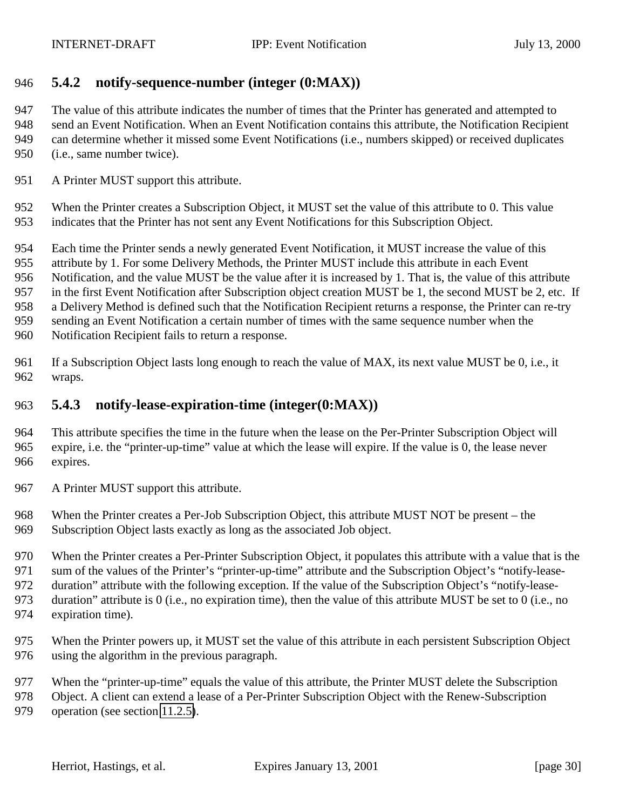#### <span id="page-29-0"></span>**5.4.2 notify-sequence-number (integer (0:MAX))**

 The value of this attribute indicates the number of times that the Printer has generated and attempted to send an Event Notification. When an Event Notification contains this attribute, the Notification Recipient can determine whether it missed some Event Notifications (i.e., numbers skipped) or received duplicates (i.e., same number twice).

A Printer MUST support this attribute.

 When the Printer creates a Subscription Object, it MUST set the value of this attribute to 0. This value indicates that the Printer has not sent any Event Notifications for this Subscription Object.

Each time the Printer sends a newly generated Event Notification, it MUST increase the value of this

attribute by 1. For some Delivery Methods, the Printer MUST include this attribute in each Event

Notification, and the value MUST be the value after it is increased by 1. That is, the value of this attribute

in the first Event Notification after Subscription object creation MUST be 1, the second MUST be 2, etc. If

a Delivery Method is defined such that the Notification Recipient returns a response, the Printer can re-try

sending an Event Notification a certain number of times with the same sequence number when the

Notification Recipient fails to return a response.

 If a Subscription Object lasts long enough to reach the value of MAX, its next value MUST be 0, i.e., it wraps.

#### **5.4.3 notify-lease-expiration-time (integer(0:MAX))**

 This attribute specifies the time in the future when the lease on the Per-Printer Subscription Object will expire, i.e. the "printer-up-time" value at which the lease will expire. If the value is 0, the lease never expires.

967 A Printer MUST support this attribute.

When the Printer creates a Per-Job Subscription Object, this attribute MUST NOT be present – the

Subscription Object lasts exactly as long as the associated Job object.

When the Printer creates a Per-Printer Subscription Object, it populates this attribute with a value that is the

sum of the values of the Printer's "printer-up-time" attribute and the Subscription Object's "notify-lease-

duration" attribute with the following exception. If the value of the Subscription Object's "notify-lease-

duration" attribute is 0 (i.e., no expiration time), then the value of this attribute MUST be set to 0 (i.e., no

- expiration time).
- When the Printer powers up, it MUST set the value of this attribute in each persistent Subscription Object using the algorithm in the previous paragraph.
- When the "printer-up-time" equals the value of this attribute, the Printer MUST delete the Subscription
- Object. A client can extend a lease of a Per-Printer Subscription Object with the Renew-Subscription
- operation (see section [11.2.5\)](#page-53-0).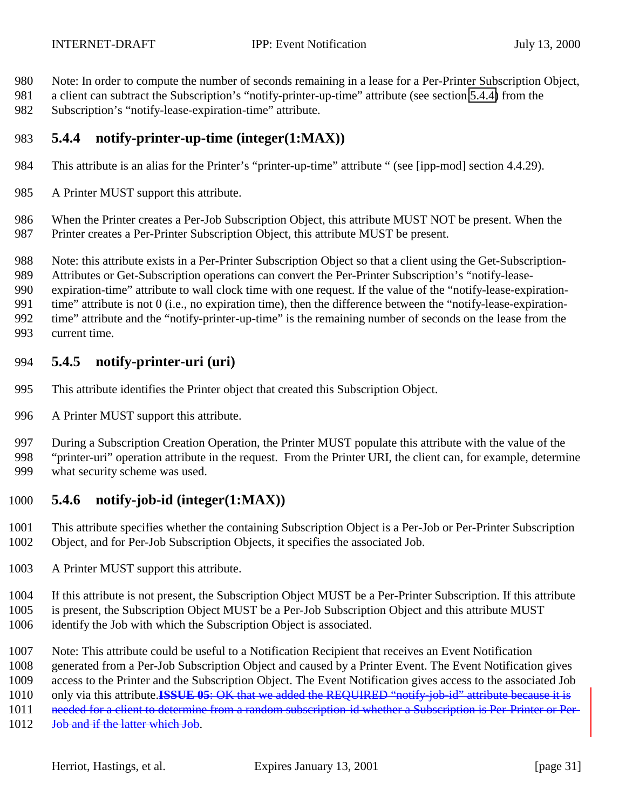- <span id="page-30-0"></span>Note: In order to compute the number of seconds remaining in a lease for a Per-Printer Subscription Object,
- a client can subtract the Subscription's "notify-printer-up-time" attribute (see section 5.4.4) from the Subscription's "notify-lease-expiration-time" attribute.
- **5.4.4 notify-printer-up-time (integer(1:MAX))**
- This attribute is an alias for the Printer's "printer-up-time" attribute " (see [ipp-mod] section 4.4.29).
- 985 A Printer MUST support this attribute.
- When the Printer creates a Per-Job Subscription Object, this attribute MUST NOT be present. When the Printer creates a Per-Printer Subscription Object, this attribute MUST be present.

Note: this attribute exists in a Per-Printer Subscription Object so that a client using the Get-Subscription-

Attributes or Get-Subscription operations can convert the Per-Printer Subscription's "notify-lease-

 expiration-time" attribute to wall clock time with one request. If the value of the "notify-lease-expiration- time" attribute is not 0 (i.e., no expiration time), then the difference between the "notify-lease-expiration-time" attribute and the "notify-printer-up-time" is the remaining number of seconds on the lease from the

current time.

### **5.4.5 notify-printer-uri (uri)**

- This attribute identifies the Printer object that created this Subscription Object.
- A Printer MUST support this attribute.

 During a Subscription Creation Operation, the Printer MUST populate this attribute with the value of the "printer-uri" operation attribute in the request. From the Printer URI, the client can, for example, determine what security scheme was used.

### **5.4.6 notify-job-id (integer(1:MAX))**

 This attribute specifies whether the containing Subscription Object is a Per-Job or Per-Printer Subscription Object, and for Per-Job Subscription Objects, it specifies the associated Job.

A Printer MUST support this attribute.

 If this attribute is not present, the Subscription Object MUST be a Per-Printer Subscription. If this attribute is present, the Subscription Object MUST be a Per-Job Subscription Object and this attribute MUST identify the Job with which the Subscription Object is associated.

- Note: This attribute could be useful to a Notification Recipient that receives an Event Notification
- generated from a Per-Job Subscription Object and caused by a Printer Event. The Event Notification gives
- access to the Printer and the Subscription Object. The Event Notification gives access to the associated Job
- only via this attribute.**ISSUE 05**: OK that we added the REQUIRED "notify-job-id" attribute because it is
- 1011 needed for a client to determine from a random subscription-id whether a Subscription is Per-Printer or Per-
- 1012 Job and if the latter which Job.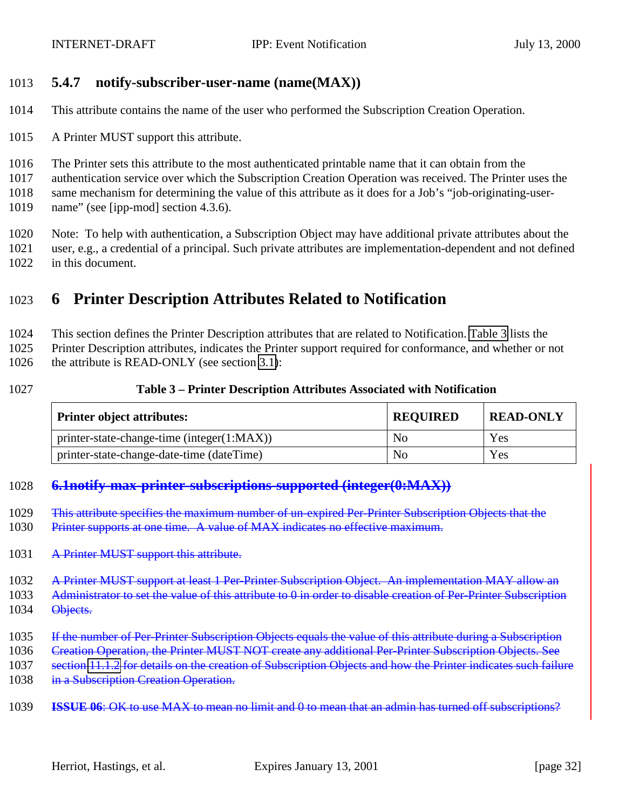#### <span id="page-31-0"></span>1013 **5.4.7 notify-subscriber-user-name (name(MAX))**

- 1014 This attribute contains the name of the user who performed the Subscription Creation Operation.
- 1015 A Printer MUST support this attribute.
- 1016 The Printer sets this attribute to the most authenticated printable name that it can obtain from the
- 1017 authentication service over which the Subscription Creation Operation was received. The Printer uses the
- 1018 same mechanism for determining the value of this attribute as it does for a Job's "job-originating-user-
- 1019 name" (see [ipp-mod] section 4.3.6).
- 1020 Note: To help with authentication, a Subscription Object may have additional private attributes about the 1021 user, e.g., a credential of a principal. Such private attributes are implementation-dependent and not defined 1022 in this document.

# 1023 **6 Printer Description Attributes Related to Notification**

1024 This section defines the Printer Description attributes that are related to Notification. Table 3 lists the

1025 Printer Description attributes, indicates the Printer support required for conformance, and whether or not

1026 the attribute is READ-ONLY (see section [3.1\)](#page-10-0):

#### 1027 **Table 3 – Printer Description Attributes Associated with Notification**

| <b>Printer object attributes:</b>            | <b>REQUIRED</b> | <b>READ-ONLY</b> |
|----------------------------------------------|-----------------|------------------|
| $printer-state-change-time (integer(1:MAX))$ | N <sub>0</sub>  | Yes              |
| printer-state-change-date-time (dateTime)    | No              | Yes              |

#### 1028 **6.1notify-max-printer-subscriptions-supported (integer(0:MAX))**

- 1029 This attribute specifies the maximum number of un-expired Per-Printer Subscription Objects that the
- 1030 Printer supports at one time. A value of MAX indicates no effective maximum.
- 1031 A Printer MUST support this attribute.

1032 A Printer MUST support at least 1 Per-Printer Subscription Object. An implementation MAY allow an

- 1033 Administrator to set the value of this attribute to 0 in order to disable creation of Per-Printer Subscription
- 1034 Objects.
- 1035 If the number of Per-Printer Subscription Objects equals the value of this attribute during a Subscription
- 1036 Creation Operation, the Printer MUST NOT create any additional Per-Printer Subscription Objects. See
- 1037 section [11.1.2](#page-45-0) for details on the creation of Subscription Objects and how the Printer indicates such failure
- 1038 in a Subscription Creation Operation.

1039 **ISSUE 06**: OK to use MAX to mean no limit and 0 to mean that an admin has turned off subscriptions?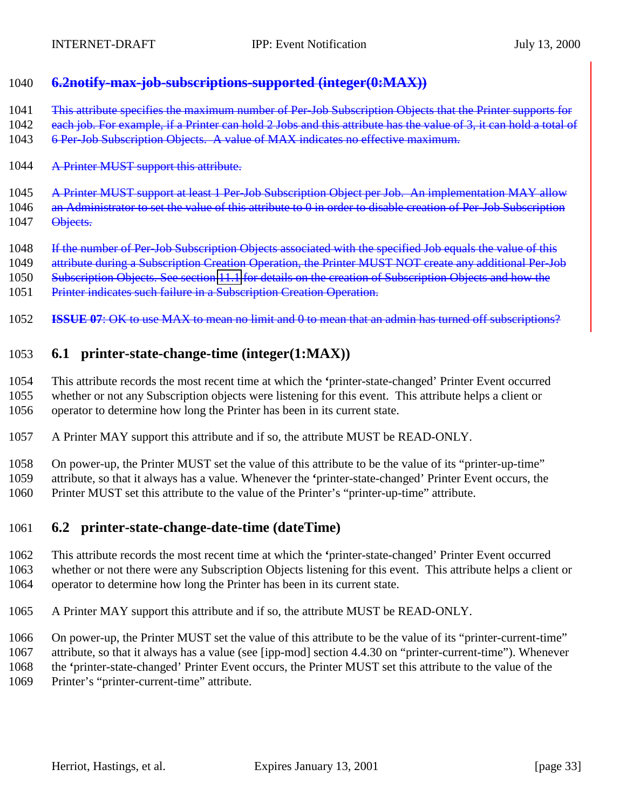### <span id="page-32-0"></span>**6.2notify-max-job-subscriptions-supported (integer(0:MAX))**

1041 This attribute specifies the maximum number of Per-Job Subscription Objects that the Printer supports for

- 1042 each job. For example, if a Printer can hold 2 Jobs and this attribute has the value of 3, it can hold a total of
- 6 Per-Job Subscription Objects. A value of MAX indicates no effective maximum.
- 1044 A Printer MUST support this attribute.
- A Printer MUST support at least 1 Per-Job Subscription Object per Job. An implementation MAY allow
- 1046 an Administrator to set the value of this attribute to 0 in order to disable creation of Per-Job Subscription
- 1047 Objects.
- 1048 If the number of Per-Job Subscription Objects associated with the specified Job equals the value of this
- 1049 attribute during a Subscription Creation Operation, the Printer MUST NOT create any additional Per-Job
- Subscription Objects. See section [11.1](#page-43-0) for details on the creation of Subscription Objects and how the
- 1051 Printer indicates such failure in a Subscription Creation Operation.
- **ISSUE 07**: OK to use MAX to mean no limit and 0 to mean that an admin has turned off subscriptions?

## **6.1 printer-state-change-time (integer(1:MAX))**

 This attribute records the most recent time at which the **'**printer-state-changed' Printer Event occurred whether or not any Subscription objects were listening for this event. This attribute helps a client or operator to determine how long the Printer has been in its current state.

A Printer MAY support this attribute and if so, the attribute MUST be READ-ONLY.

 On power-up, the Printer MUST set the value of this attribute to be the value of its "printer-up-time" attribute, so that it always has a value. Whenever the **'**printer-state-changed' Printer Event occurs, the Printer MUST set this attribute to the value of the Printer's "printer-up-time" attribute.

#### **6.2 printer-state-change-date-time (dateTime)**

 This attribute records the most recent time at which the **'**printer-state-changed' Printer Event occurred whether or not there were any Subscription Objects listening for this event. This attribute helps a client or operator to determine how long the Printer has been in its current state.

- A Printer MAY support this attribute and if so, the attribute MUST be READ-ONLY.
- On power-up, the Printer MUST set the value of this attribute to be the value of its "printer-current-time"
- attribute, so that it always has a value (see [ipp-mod] section 4.4.30 on "printer-current-time"). Whenever
- the **'**printer-state-changed' Printer Event occurs, the Printer MUST set this attribute to the value of the Printer's "printer-current-time" attribute.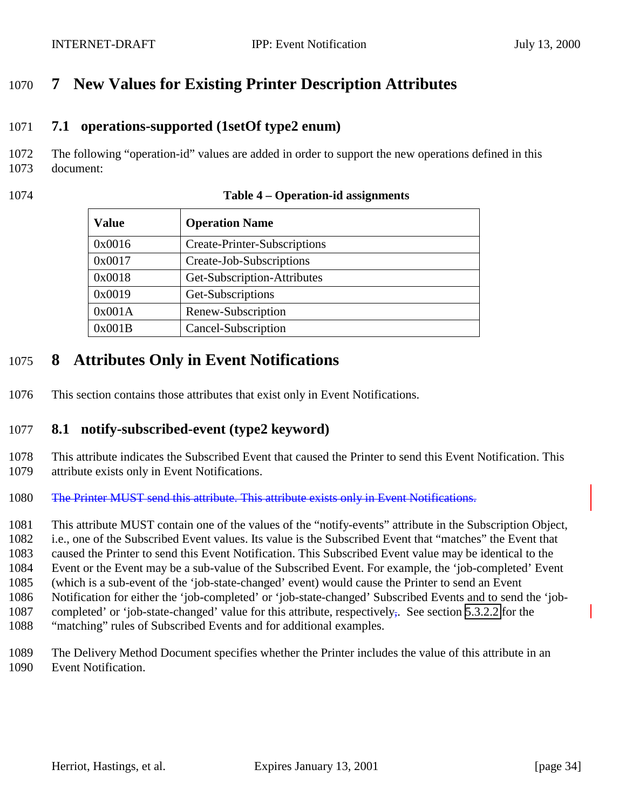# <span id="page-33-0"></span>**7 New Values for Existing Printer Description Attributes**

#### **7.1 operations-supported (1setOf type2 enum)**

- The following "operation-id" values are added in order to support the new operations defined in this document:
- 

| <b>Value</b> | <b>Operation Name</b>        |
|--------------|------------------------------|
| 0x0016       | Create-Printer-Subscriptions |
| 0x0017       | Create-Job-Subscriptions     |
| 0x0018       | Get-Subscription-Attributes  |
| 0x0019       | Get-Subscriptions            |
| 0x001A       | Renew-Subscription           |
| 0x001B       | Cancel-Subscription          |

#### **Table 4 – Operation-id assignments**

## **8 Attributes Only in Event Notifications**

This section contains those attributes that exist only in Event Notifications.

#### **8.1 notify-subscribed-event (type2 keyword)**

- This attribute indicates the Subscribed Event that caused the Printer to send this Event Notification. This attribute exists only in Event Notifications.
- 1080 The Printer MUST send this attribute. This attribute exists only in Event Notifications.
- This attribute MUST contain one of the values of the "notify-events" attribute in the Subscription Object,
- i.e., one of the Subscribed Event values. Its value is the Subscribed Event that "matches" the Event that
- caused the Printer to send this Event Notification. This Subscribed Event value may be identical to the
- Event or the Event may be a sub-value of the Subscribed Event. For example, the 'job-completed' Event
- (which is a sub-event of the 'job-state-changed' event) would cause the Printer to send an Event
- Notification for either the 'job-completed' or 'job-state-changed' Subscribed Events and to send the 'job-1087 completed' or 'job-state-changed' value for this attribute, respectively. See section [5.3.2.2](#page-22-0) for the
- "matching" rules of Subscribed Events and for additional examples.
- The Delivery Method Document specifies whether the Printer includes the value of this attribute in an Event Notification.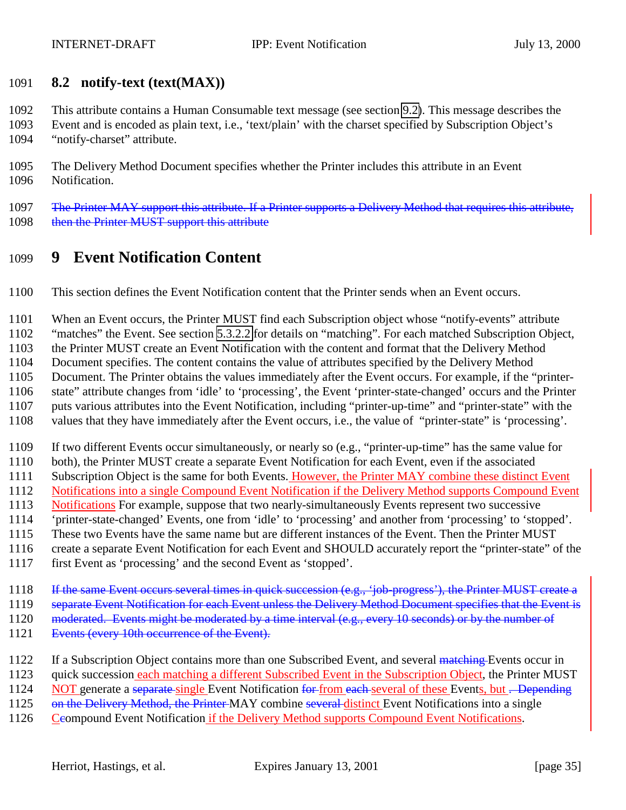#### <span id="page-34-0"></span>**8.2 notify-text (text(MAX))**

This attribute contains a Human Consumable text message (see section [9.2\)](#page-38-0). This message describes the

 Event and is encoded as plain text, i.e., 'text/plain' with the charset specified by Subscription Object's "notify-charset" attribute.

 The Delivery Method Document specifies whether the Printer includes this attribute in an Event Notification.

1097 The Printer MAY support this attribute. If a Printer supports a Delivery Method that requires this attribute, 1098 then the Printer MUST support this attribute

## **9 Event Notification Content**

This section defines the Event Notification content that the Printer sends when an Event occurs.

When an Event occurs, the Printer MUST find each Subscription object whose "notify-events" attribute

"matches" the Event. See section [5.3.2.2](#page-22-0) for details on "matching". For each matched Subscription Object,

the Printer MUST create an Event Notification with the content and format that the Delivery Method

Document specifies. The content contains the value of attributes specified by the Delivery Method

Document. The Printer obtains the values immediately after the Event occurs. For example, if the "printer-

state" attribute changes from 'idle' to 'processing', the Event 'printer-state-changed' occurs and the Printer

puts various attributes into the Event Notification, including "printer-up-time" and "printer-state" with the

values that they have immediately after the Event occurs, i.e., the value of "printer-state" is 'processing'.

If two different Events occur simultaneously, or nearly so (e.g., "printer-up-time" has the same value for

both), the Printer MUST create a separate Event Notification for each Event, even if the associated

1111 Subscription Object is the same for both Events. However, the Printer MAY combine these distinct Event

Notifications into a single Compound Event Notification if the Delivery Method supports Compound Event

Notifications For example, suppose that two nearly-simultaneously Events represent two successive

'printer-state-changed' Events, one from 'idle' to 'processing' and another from 'processing' to 'stopped'.

These two Events have the same name but are different instances of the Event. Then the Printer MUST

create a separate Event Notification for each Event and SHOULD accurately report the "printer-state" of the

first Event as 'processing' and the second Event as 'stopped'.

1118 If the same Event occurs several times in quick succession (e.g., 'job-progress'), the Printer MUST create a

1119 separate Event Notification for each Event unless the Delivery Method Document specifies that the Event is

1120 moderated. Events might be moderated by a time interval (e.g., every 10 seconds) or by the number of

1121 Events (every 10th occurrence of the Event).

1122 If a Subscription Object contains more than one Subscribed Event, and several matching Events occur in

quick succession each matching a different Subscribed Event in the Subscription Object, the Printer MUST

1124 NOT generate a separate single Event Notification for from each several of these Events, but . Depending

1125 on the Delivery Method, the Printer-MAY combine several-distinct Event Notifications into a single

1126 Ceompound Event Notification if the Delivery Method supports Compound Event Notifications.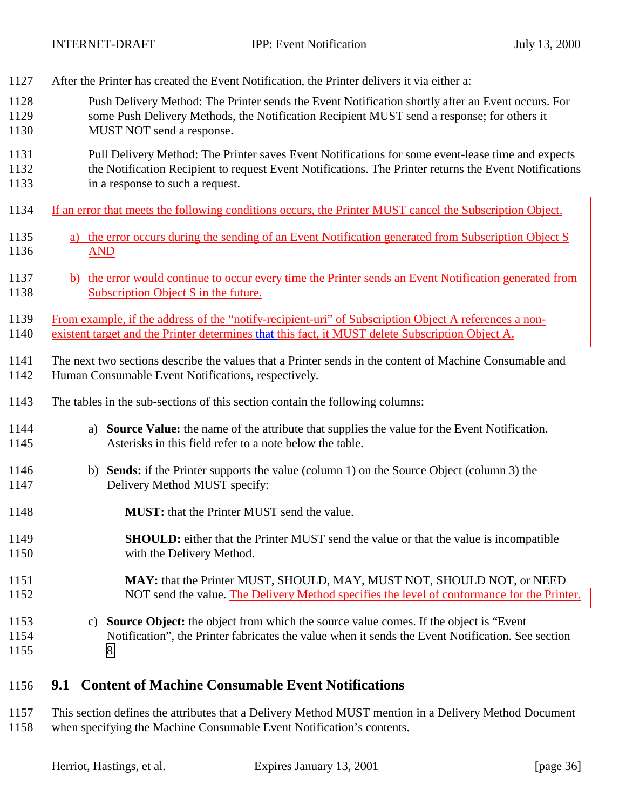<span id="page-35-0"></span>1127 After the Printer has created the Event Notification, the Printer delivers it via either a:

| 1128         | Push Delivery Method: The Printer sends the Event Notification shortly after an Event occurs. For                                                                    |
|--------------|----------------------------------------------------------------------------------------------------------------------------------------------------------------------|
| 1129         | some Push Delivery Methods, the Notification Recipient MUST send a response; for others it                                                                           |
| 1130         | MUST NOT send a response.                                                                                                                                            |
| 1131         | Pull Delivery Method: The Printer saves Event Notifications for some event-lease time and expects                                                                    |
| 1132         | the Notification Recipient to request Event Notifications. The Printer returns the Event Notifications                                                               |
| 1133         | in a response to such a request.                                                                                                                                     |
| 1134         | If an error that meets the following conditions occurs, the Printer MUST cancel the Subscription Object.                                                             |
| 1135         | a) the error occurs during the sending of an Event Notification generated from Subscription Object S                                                                 |
| 1136         | <b>AND</b>                                                                                                                                                           |
| 1137         | b) the error would continue to occur every time the Printer sends an Event Notification generated from                                                               |
| 1138         | Subscription Object S in the future.                                                                                                                                 |
| 1139         | From example, if the address of the "notify-recipient-uri" of Subscription Object A references a non-                                                                |
| 1140         | existent target and the Printer determines that this fact, it MUST delete Subscription Object A.                                                                     |
| 1141         | The next two sections describe the values that a Printer sends in the content of Machine Consumable and                                                              |
| 1142         | Human Consumable Event Notifications, respectively.                                                                                                                  |
| 1143         | The tables in the sub-sections of this section contain the following columns:                                                                                        |
| 1144<br>1145 | <b>Source Value:</b> the name of the attribute that supplies the value for the Event Notification.<br>a)<br>Asterisks in this field refer to a note below the table. |
| 1146         | b) Sends: if the Printer supports the value (column 1) on the Source Object (column 3) the                                                                           |
| 1147         | Delivery Method MUST specify:                                                                                                                                        |
| 1148         | <b>MUST:</b> that the Printer MUST send the value.                                                                                                                   |
| 1149         | <b>SHOULD:</b> either that the Printer MUST send the value or that the value is incompatible                                                                         |
| 1150         | with the Delivery Method.                                                                                                                                            |
| 1151         | MAY: that the Printer MUST, SHOULD, MAY, MUST NOT, SHOULD NOT, or NEED                                                                                               |
| 1152         | NOT send the value. The Delivery Method specifies the level of conformance for the Printer.                                                                          |
| 1153         | c) Source Object: the object from which the source value comes. If the object is "Event"                                                                             |
| 1154         | Notification", the Printer fabricates the value when it sends the Event Notification. See section                                                                    |
| 1155         | 8.                                                                                                                                                                   |
|              |                                                                                                                                                                      |

## 1156 **9.1 Content of Machine Consumable Event Notifications**

1157 This section defines the attributes that a Delivery Method MUST mention in a Delivery Method Document 1158 when specifying the Machine Consumable Event Notification's contents.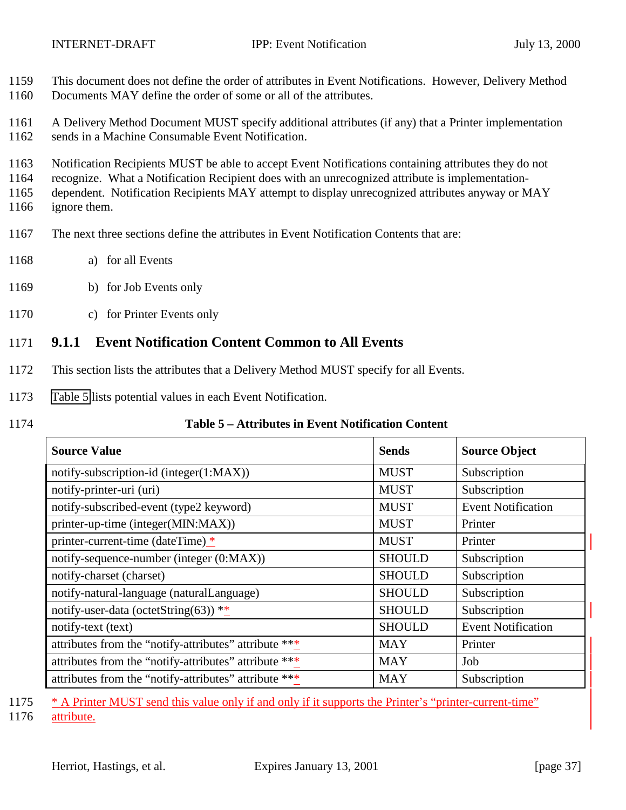<span id="page-36-0"></span>1159 This document does not define the order of attributes in Event Notifications. However, Delivery Method 1160 Documents MAY define the order of some or all of the attributes.

1161 A Delivery Method Document MUST specify additional attributes (if any) that a Printer implementation 1162 sends in a Machine Consumable Event Notification.

1163 Notification Recipients MUST be able to accept Event Notifications containing attributes they do not

1164 recognize. What a Notification Recipient does with an unrecognized attribute is implementation-

1165 dependent. Notification Recipients MAY attempt to display unrecognized attributes anyway or MAY 1166 ignore them.

- 1167 The next three sections define the attributes in Event Notification Contents that are:
- 1168 a) for all Events
- 1169 b) for Job Events only
- 1170 c) for Printer Events only

#### 1171 **9.1.1 Event Notification Content Common to All Events**

- 1172 This section lists the attributes that a Delivery Method MUST specify for all Events.
- 1173 Table 5 lists potential values in each Event Notification.
- 

#### 1174 **Table 5 – Attributes in Event Notification Content**

| <b>Source Value</b>                                   | <b>Sends</b>  | <b>Source Object</b>      |
|-------------------------------------------------------|---------------|---------------------------|
| notify-subscription-id (integer(1:MAX))               | <b>MUST</b>   | Subscription              |
| notify-printer-uri (uri)                              | <b>MUST</b>   | Subscription              |
| notify-subscribed-event (type2 keyword)               | <b>MUST</b>   | <b>Event Notification</b> |
| printer-up-time (integer(MIN:MAX))                    | <b>MUST</b>   | Printer                   |
| printer-current-time (dateTime) *                     | <b>MUST</b>   | Printer                   |
| notify-sequence-number (integer (0:MAX))              | <b>SHOULD</b> | Subscription              |
| notify-charset (charset)                              | <b>SHOULD</b> | Subscription              |
| notify-natural-language (naturalLanguage)             | <b>SHOULD</b> | Subscription              |
| notify-user-data (octetString(63)) **                 | <b>SHOULD</b> | Subscription              |
| notify-text (text)                                    | <b>SHOULD</b> | <b>Event Notification</b> |
| attributes from the "notify-attributes" attribute *** | MAY           | Printer                   |
| attributes from the "notify-attributes" attribute *** | <b>MAY</b>    | Job                       |
| attributes from the "notify-attributes" attribute *** | <b>MAY</b>    | Subscription              |

1175 \* A Printer MUST send this value only if and only if it supports the Printer's "printer-current-time"

1176 attribute.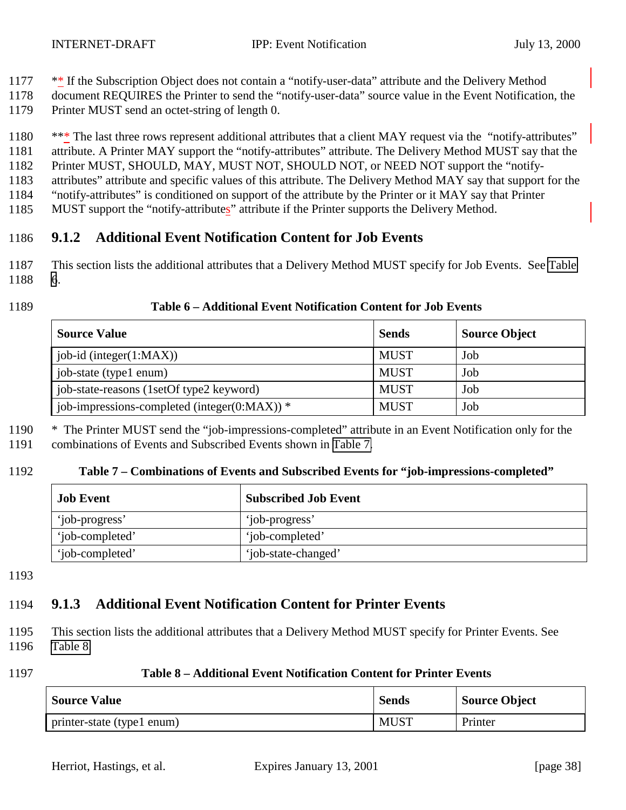- 1177 \*\* If the Subscription Object does not contain a "notify-user-data" attribute and the Delivery Method
- 1178 document REQUIRES the Printer to send the "notify-user-data" source value in the Event Notification, the
- 1179 Printer MUST send an octet-string of length 0.

1180 \*\*\* The last three rows represent additional attributes that a client MAY request via the "notify-attributes" attribute. A Printer MAY support the "notify-attributes" attribute. The Delivery Method MUST say that the Printer MUST, SHOULD, MAY, MUST NOT, SHOULD NOT, or NEED NOT support the "notify- attributes" attribute and specific values of this attribute. The Delivery Method MAY say that support for the "notify-attributes" is conditioned on support of the attribute by the Printer or it MAY say that Printer MUST support the "notify-attributes" attribute if the Printer supports the Delivery Method.

#### 1186 **9.1.2 Additional Event Notification Content for Job Events**

1187 This section lists the additional attributes that a Delivery Method MUST specify for Job Events. See Table 1188 6.

#### 1189 **Table 6 – Additional Event Notification Content for Job Events**

| <b>Source Value</b>                          | <b>Sends</b> | <b>Source Object</b> |
|----------------------------------------------|--------------|----------------------|
| job-id (integer(1:MAX))                      | <b>MUST</b>  | Job                  |
| job-state (type1 enum)                       | <b>MUST</b>  | Job                  |
| job-state-reasons (1setOf type2 keyword)     | <b>MUST</b>  | Job                  |
| job-impressions-completed (integer(0:MAX)) * | <b>MUST</b>  | Job                  |

1190 \* The Printer MUST send the "job-impressions-completed" attribute in an Event Notification only for the 1191 combinations of Events and Subscribed Events shown in Table 7.

#### 1192 **Table 7 – Combinations of Events and Subscribed Events for "job-impressions-completed"**

| <b>Job Event</b> | <b>Subscribed Job Event</b> |
|------------------|-----------------------------|
| 'job-progress'   | 'job-progress'              |
| 'iob-completed'  | 'iob-completed'             |
| 'iob-completed'  | 'job-state-changed'         |

1193

# 1194 **9.1.3 Additional Event Notification Content for Printer Events**

- 1195 This section lists the additional attributes that a Delivery Method MUST specify for Printer Events. See 1196 Table 8.
- 1197 **Table 8 Additional Event Notification Content for Printer Events**

| <b>Source Value</b>        | <b>Sends</b> | Source Object |
|----------------------------|--------------|---------------|
| printer-state (type1 enum) | <b>MUST</b>  | Printer       |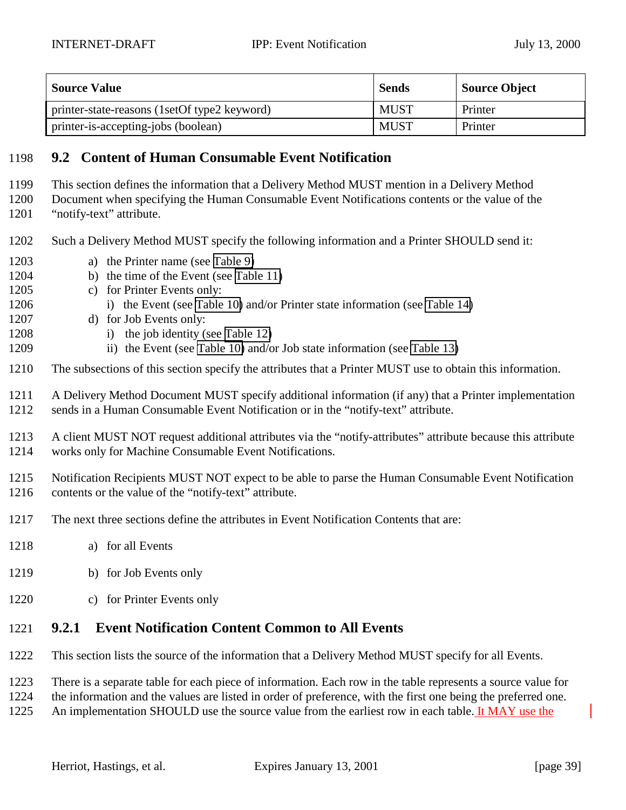<span id="page-38-0"></span>

| <b>Source Value</b>                          | <b>Sends</b> | Source Object |
|----------------------------------------------|--------------|---------------|
| printer-state-reasons (1setOf type2 keyword) | <b>MUST</b>  | Printer       |
| printer-is-accepting-jobs (boolean)          | <b>MUST</b>  | Printer       |

#### **9.2 Content of Human Consumable Event Notification**

- This section defines the information that a Delivery Method MUST mention in a Delivery Method
- Document when specifying the Human Consumable Event Notifications contents or the value of the
- "notify-text" attribute.
- Such a Delivery Method MUST specify the following information and a Printer SHOULD send it:
- a) the Printer name (see [Table 9\)](#page-39-0)
- b) the time of the Event (see [Table 11\)](#page-39-0)
- c) for Printer Events only:
- 1206 i) the Event (see [Table 10\)](#page-39-0) and/or Printer state information (see [Table 14\)](#page-40-0)
- d) for Job Events only:
- 1208 i) the job identity (see [Table 12\)](#page-40-0)
- 1209 ii) the Event (see [Table 10\)](#page-39-0) and/or Job state information (see [Table 13\)](#page-40-0)
- The subsections of this section specify the attributes that a Printer MUST use to obtain this information.
- A Delivery Method Document MUST specify additional information (if any) that a Printer implementation sends in a Human Consumable Event Notification or in the "notify-text" attribute.
- A client MUST NOT request additional attributes via the "notify-attributes" attribute because this attribute works only for Machine Consumable Event Notifications.
- Notification Recipients MUST NOT expect to be able to parse the Human Consumable Event Notification contents or the value of the "notify-text" attribute.
- The next three sections define the attributes in Event Notification Contents that are:
- a) for all Events
- b) for Job Events only
- c) for Printer Events only

## **9.2.1 Event Notification Content Common to All Events**

- This section lists the source of the information that a Delivery Method MUST specify for all Events.
- There is a separate table for each piece of information. Each row in the table represents a source value for
- the information and the values are listed in order of preference, with the first one being the preferred one.
- An implementation SHOULD use the source value from the earliest row in each table. It MAY use the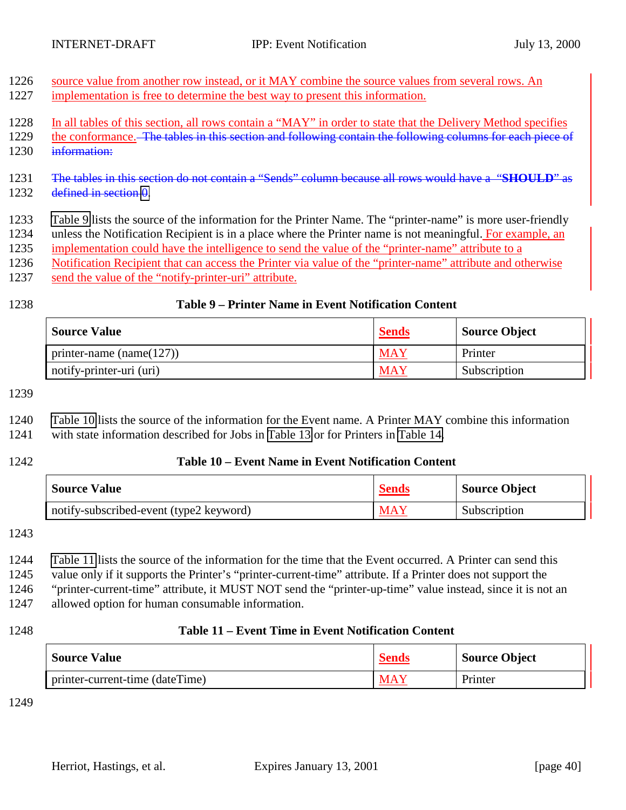<span id="page-39-0"></span>

| 1226 source value from another row instead, or it MAY combine the source values from several rows. An |
|-------------------------------------------------------------------------------------------------------|
| 1227 implementation is free to determine the best way to present this information.                    |

- 1228 In all tables of this section, all rows contain a "MAY" in order to state that the Delivery Method specifies
- 1229 the conformance. The tables in this section and following contain the following columns for each piece of
- 1230 information:
- 1231 The tables in this section do not contain a "Sends" column because all rows would have a "**SHOULD**" as 1232 defined in section [0.](#page-36-0)
- 1233 Table 9 lists the source of the information for the Printer Name. The "printer-name" is more user-friendly 1234 unless the Notification Recipient is in a place where the Printer name is not meaningful. For example, an
- 1235 implementation could have the intelligence to send the value of the "printer-name" attribute to a
- 1236 Notification Recipient that can access the Printer via value of the "printer-name" attribute and otherwise
- 1237 send the value of the "notify-printer-uri" attribute.
- 

#### 1238 **Table 9 – Printer Name in Event Notification Content**

| <b>Source Value</b>          | <b>Sends</b> | Source Object |
|------------------------------|--------------|---------------|
| printer-name (name( $127$ )) | <b>MAY</b>   | Printer       |
| notify-printer-uri (uri)     | <b>MAY</b>   | Subscription  |

1239

1240 Table 10 lists the source of the information for the Event name. A Printer MAY combine this information

1241 with state information described for Jobs in [Table 13](#page-40-0) or for Printers in [Table 14.](#page-40-0)

#### 1242 **Table 10 – Event Name in Event Notification Content**

| <b>Source Value</b>                     | <b>Sends</b> | Source Object |
|-----------------------------------------|--------------|---------------|
| notify-subscribed-event (type2 keyword) | <b>MAY</b>   | Subscription  |

1243

1244 Table 11 lists the source of the information for the time that the Event occurred. A Printer can send this

1245 value only if it supports the Printer's "printer-current-time" attribute. If a Printer does not support the

1246 "printer-current-time" attribute, it MUST NOT send the "printer-up-time" value instead, since it is not an

1247 allowed option for human consumable information.

#### 1248 **Table 11 – Event Time in Event Notification Content**

| <b>Source Value</b>             | <b>Sends</b> | <b>Source Object</b> |
|---------------------------------|--------------|----------------------|
| printer-current-time (dateTime) | <b>MAY</b>   | Printer              |

1249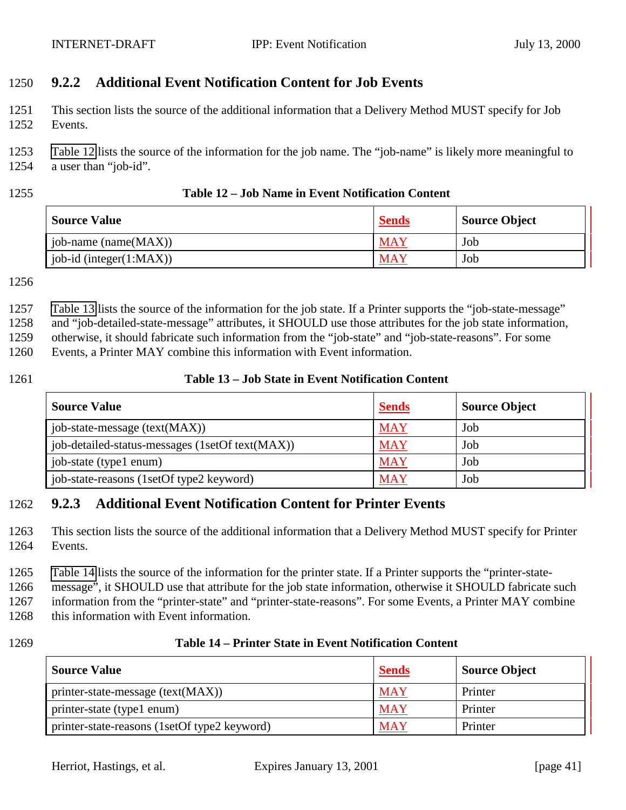### <span id="page-40-0"></span>1250 **9.2.2 Additional Event Notification Content for Job Events**

1251 This section lists the source of the additional information that a Delivery Method MUST specify for Job 1252 Events.

1253 Table 12 lists the source of the information for the job name. The "job-name" is likely more meaningful to 1254 a user than "job-id".

#### 1255 **Table 12 – Job Name in Event Notification Content**

| <b>Source Value</b>      | <b>Sends</b> | <b>Source Object</b> |
|--------------------------|--------------|----------------------|
| job-name (name $(MAX)$ ) | <b>MAY</b>   | Job                  |
| job-id (integer(1:MAX))  | <b>MAY</b>   | Job                  |

1256

1257 Table 13 lists the source of the information for the job state. If a Printer supports the "job-state-message"

1258 and "job-detailed-state-message" attributes, it SHOULD use those attributes for the job state information,

1259 otherwise, it should fabricate such information from the "job-state" and "job-state-reasons". For some

1260 Events, a Printer MAY combine this information with Event information.

#### 1261 **Table 13 – Job State in Event Notification Content**

| <b>Source Value</b>                             | <b>Sends</b> | <b>Source Object</b> |
|-------------------------------------------------|--------------|----------------------|
| job-state-message (text(MAX))                   | <b>MAY</b>   | Job                  |
| job-detailed-status-messages (1setOf text(MAX)) | <b>MAY</b>   | Job                  |
| job-state (type1 enum)                          | <b>MAY</b>   | Job                  |
| job-state-reasons (1setOf type2 keyword)        | MAY          | Job                  |

### 1262 **9.2.3 Additional Event Notification Content for Printer Events**

1263 This section lists the source of the additional information that a Delivery Method MUST specify for Printer 1264 Events.

1265 Table 14 lists the source of the information for the printer state. If a Printer supports the "printer-state-

1266 message", it SHOULD use that attribute for the job state information, otherwise it SHOULD fabricate such 1267 information from the "printer-state" and "printer-state-reasons". For some Events, a Printer MAY combine

1268 this information with Event information.

#### 1269 **Table 14 – Printer State in Event Notification Content**

| <b>Source Value</b>                          | <b>Sends</b> | <b>Source Object</b> |
|----------------------------------------------|--------------|----------------------|
| printer-state-message (text(MAX))            | <b>MAY</b>   | Printer              |
| printer-state (type1 enum)                   | <b>MAY</b>   | Printer              |
| printer-state-reasons (1setOf type2 keyword) | <b>MAY</b>   | Printer              |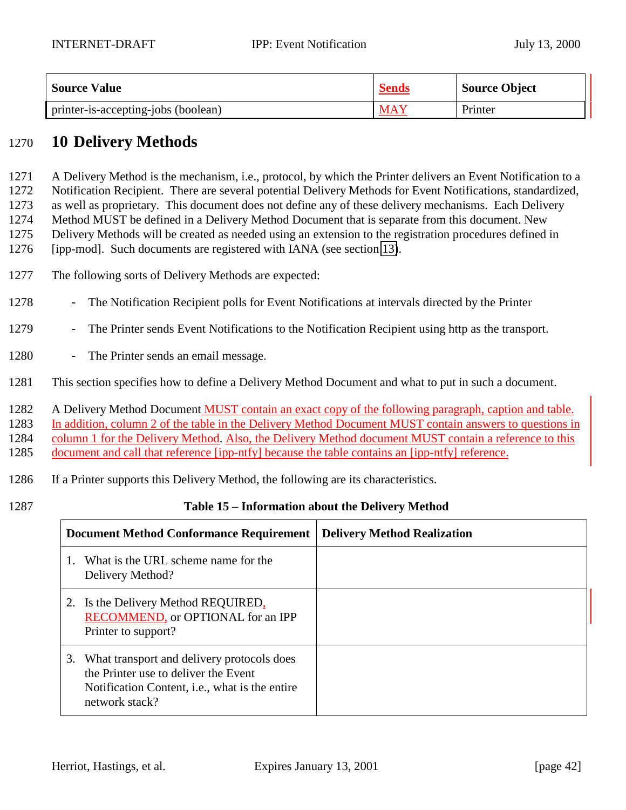<span id="page-41-0"></span>

| <b>Source Value</b>                 | <b>Sends</b> | <b>Source Object</b> |
|-------------------------------------|--------------|----------------------|
| printer-is-accepting-jobs (boolean) | MAY          | Printer              |

## 1270 **10 Delivery Methods**

 A Delivery Method is the mechanism, i.e., protocol, by which the Printer delivers an Event Notification to a Notification Recipient. There are several potential Delivery Methods for Event Notifications, standardized, as well as proprietary. This document does not define any of these delivery mechanisms. Each Delivery Method MUST be defined in a Delivery Method Document that is separate from this document. New Delivery Methods will be created as needed using an extension to the registration procedures defined in

1276 [ipp-mod]. Such documents are registered with IANA (see section [13\)](#page-57-0).

- 1277 The following sorts of Delivery Methods are expected:
- 1278 The Notification Recipient polls for Event Notifications at intervals directed by the Printer
- 1279 The Printer sends Event Notifications to the Notification Recipient using http as the transport.
- 1280 The Printer sends an email message.
- 1281 This section specifies how to define a Delivery Method Document and what to put in such a document.

1282 A Delivery Method Document **MUST** contain an exact copy of the following paragraph, caption and table.

1283 In addition, column 2 of the table in the Delivery Method Document MUST contain answers to questions in

1284 column 1 for the Delivery Method. Also, the Delivery Method document MUST contain a reference to this

1285 document and call that reference [ipp-ntfy] because the table contains an [ipp-ntfy] reference.

- 1286 If a Printer supports this Delivery Method, the following are its characteristics.
- 

#### 1287 **Table 15 – Information about the Delivery Method**

|    | <b>Document Method Conformance Requirement</b>                                                                                                                 | <b>Delivery Method Realization</b> |
|----|----------------------------------------------------------------------------------------------------------------------------------------------------------------|------------------------------------|
|    | What is the URL scheme name for the<br>Delivery Method?                                                                                                        |                                    |
|    | 2. Is the Delivery Method REQUIRED,<br>RECOMMEND, or OPTIONAL for an IPP<br>Printer to support?                                                                |                                    |
| 3. | What transport and delivery protocols does<br>the Printer use to deliver the Event<br>Notification Content, <i>i.e.</i> , what is the entire<br>network stack? |                                    |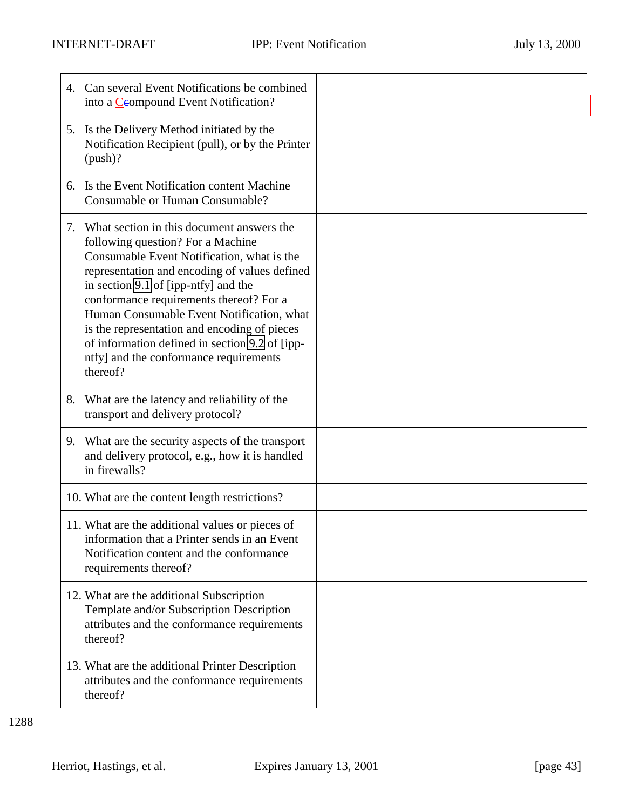| 4. | Can several Event Notifications be combined<br>into a Ceompound Event Notification?                                                                                                                                                                                                                                                                                                                                                                                      |  |
|----|--------------------------------------------------------------------------------------------------------------------------------------------------------------------------------------------------------------------------------------------------------------------------------------------------------------------------------------------------------------------------------------------------------------------------------------------------------------------------|--|
|    | 5. Is the Delivery Method initiated by the<br>Notification Recipient (pull), or by the Printer<br>$(push)$ ?                                                                                                                                                                                                                                                                                                                                                             |  |
| 6. | Is the Event Notification content Machine<br>Consumable or Human Consumable?                                                                                                                                                                                                                                                                                                                                                                                             |  |
|    | 7. What section in this document answers the<br>following question? For a Machine<br>Consumable Event Notification, what is the<br>representation and encoding of values defined<br>in section 9.1 of [ipp-ntfy] and the<br>conformance requirements thereof? For a<br>Human Consumable Event Notification, what<br>is the representation and encoding of pieces<br>of information defined in section 9.2 of [ipp-<br>ntfy] and the conformance requirements<br>thereof? |  |
| 8. | What are the latency and reliability of the<br>transport and delivery protocol?                                                                                                                                                                                                                                                                                                                                                                                          |  |
|    | 9. What are the security aspects of the transport<br>and delivery protocol, e.g., how it is handled<br>in firewalls?                                                                                                                                                                                                                                                                                                                                                     |  |
|    | 10. What are the content length restrictions?                                                                                                                                                                                                                                                                                                                                                                                                                            |  |
|    | 11. What are the additional values or pieces of<br>information that a Printer sends in an Event<br>Notification content and the conformance<br>requirements thereof?                                                                                                                                                                                                                                                                                                     |  |
|    | 12. What are the additional Subscription<br>Template and/or Subscription Description<br>attributes and the conformance requirements<br>thereof?                                                                                                                                                                                                                                                                                                                          |  |
|    | 13. What are the additional Printer Description<br>attributes and the conformance requirements<br>thereof?                                                                                                                                                                                                                                                                                                                                                               |  |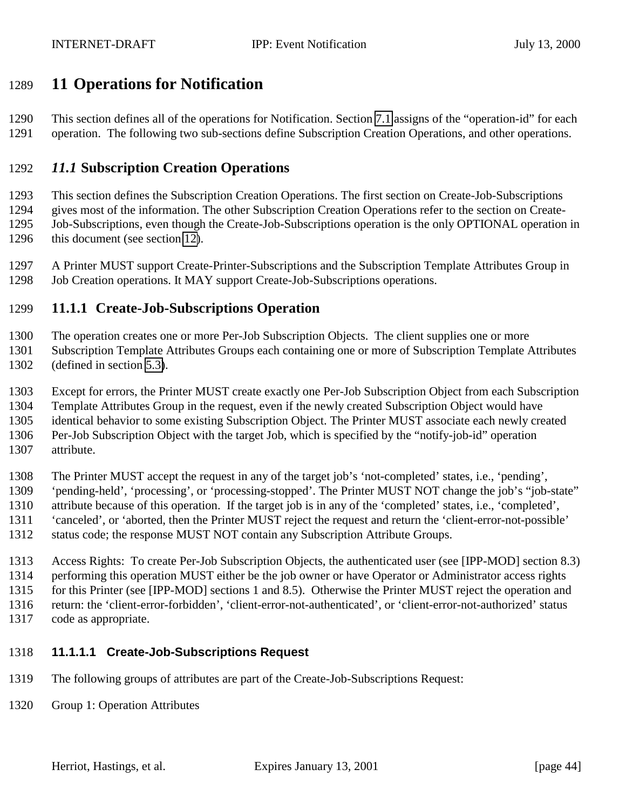## <span id="page-43-0"></span>**11 Operations for Notification**

 This section defines all of the operations for Notification. Section [7.1](#page-33-0) assigns of the "operation-id" for each operation. The following two sub-sections define Subscription Creation Operations, and other operations.

#### *11.1* **Subscription Creation Operations**

 This section defines the Subscription Creation Operations. The first section on Create-Job-Subscriptions gives most of the information. The other Subscription Creation Operations refer to the section on Create- Job-Subscriptions, even though the Create-Job-Subscriptions operation is the only OPTIONAL operation in 1296 this document (see section [12\)](#page-56-0).

 A Printer MUST support Create-Printer-Subscriptions and the Subscription Template Attributes Group in Job Creation operations. It MAY support Create-Job-Subscriptions operations.

### **11.1.1 Create-Job-Subscriptions Operation**

The operation creates one or more Per-Job Subscription Objects. The client supplies one or more

 Subscription Template Attributes Groups each containing one or more of Subscription Template Attributes (defined in section [5.3\)](#page-17-0).

Except for errors, the Printer MUST create exactly one Per-Job Subscription Object from each Subscription

Template Attributes Group in the request, even if the newly created Subscription Object would have

identical behavior to some existing Subscription Object. The Printer MUST associate each newly created

Per-Job Subscription Object with the target Job, which is specified by the "notify-job-id" operation

attribute.

 The Printer MUST accept the request in any of the target job's 'not-completed' states, i.e., 'pending', 'pending-held', 'processing', or 'processing-stopped'. The Printer MUST NOT change the job's "job-state" attribute because of this operation. If the target job is in any of the 'completed' states, i.e., 'completed', 'canceled', or 'aborted, then the Printer MUST reject the request and return the 'client-error-not-possible' status code; the response MUST NOT contain any Subscription Attribute Groups.

 Access Rights: To create Per-Job Subscription Objects, the authenticated user (see [IPP-MOD] section 8.3) performing this operation MUST either be the job owner or have Operator or Administrator access rights for this Printer (see [IPP-MOD] sections 1 and 8.5). Otherwise the Printer MUST reject the operation and return: the 'client-error-forbidden', 'client-error-not-authenticated', or 'client-error-not-authorized' status code as appropriate.

## **11.1.1.1 Create-Job-Subscriptions Request**

- The following groups of attributes are part of the Create-Job-Subscriptions Request:
- Group 1: Operation Attributes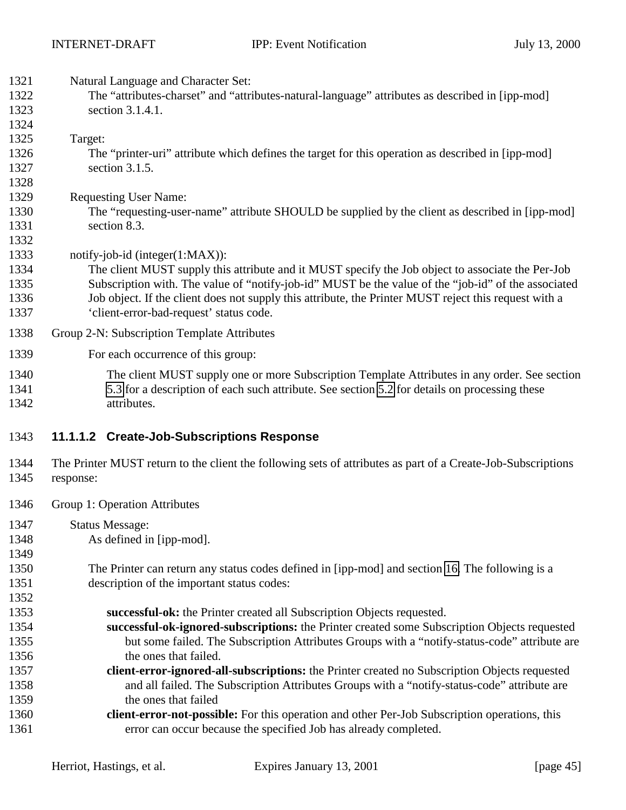<span id="page-44-0"></span>

| 1321<br>1322 | Natural Language and Character Set:<br>The "attributes-charset" and "attributes-natural-language" attributes as described in [ipp-mod] |
|--------------|----------------------------------------------------------------------------------------------------------------------------------------|
| 1323<br>1324 | section 3.1.4.1.                                                                                                                       |
| 1325         | Target:                                                                                                                                |
| 1326         | The "printer-uri" attribute which defines the target for this operation as described in [ipp-mod]                                      |
| 1327         | section 3.1.5.                                                                                                                         |
| 1328         |                                                                                                                                        |
| 1329         | <b>Requesting User Name:</b>                                                                                                           |
| 1330         | The "requesting-user-name" attribute SHOULD be supplied by the client as described in [ipp-mod]                                        |
| 1331         | section 8.3.                                                                                                                           |
| 1332         |                                                                                                                                        |
| 1333         | notify-job-id (integer(1:MAX)):                                                                                                        |
| 1334         | The client MUST supply this attribute and it MUST specify the Job object to associate the Per-Job                                      |
| 1335         | Subscription with. The value of "notify-job-id" MUST be the value of the "job-id" of the associated                                    |
| 1336         | Job object. If the client does not supply this attribute, the Printer MUST reject this request with a                                  |
| 1337         | 'client-error-bad-request' status code.                                                                                                |
| 1338         | Group 2-N: Subscription Template Attributes                                                                                            |
| 1339         | For each occurrence of this group:                                                                                                     |
| 1340         | The client MUST supply one or more Subscription Template Attributes in any order. See section                                          |
| 1341         | 5.3 for a description of each such attribute. See section 5.2 for details on processing these                                          |
| 1342         | attributes.                                                                                                                            |
| 1343         | 11.1.1.2 Create-Job-Subscriptions Response                                                                                             |
| 1344<br>1345 | The Printer MUST return to the client the following sets of attributes as part of a Create-Job-Subscriptions<br>response:              |
| 1346         | Group 1: Operation Attributes                                                                                                          |
| 1347         | <b>Status Message:</b>                                                                                                                 |
| 1348         | As defined in [ipp-mod].                                                                                                               |
| 1349         |                                                                                                                                        |
| 1350         | The Printer can return any status codes defined in [ipp-mod] and section 16. The following is a                                        |
| 1351         | description of the important status codes:                                                                                             |
| 1352         |                                                                                                                                        |
| 1353         | successful-ok: the Printer created all Subscription Objects requested.                                                                 |
| 1354         | successful-ok-ignored-subscriptions: the Printer created some Subscription Objects requested                                           |
| 1355         | but some failed. The Subscription Attributes Groups with a "notify-status-code" attribute are                                          |
| 1356         | the ones that failed.                                                                                                                  |
| 1357         | client-error-ignored-all-subscriptions: the Printer created no Subscription Objects requested                                          |
| 1358         | and all failed. The Subscription Attributes Groups with a "notify-status-code" attribute are                                           |

- 1359 the ones that failed
- **client-error-not-possible:** For this operation and other Per-Job Subscription operations, this error can occur because the specified Job has already completed.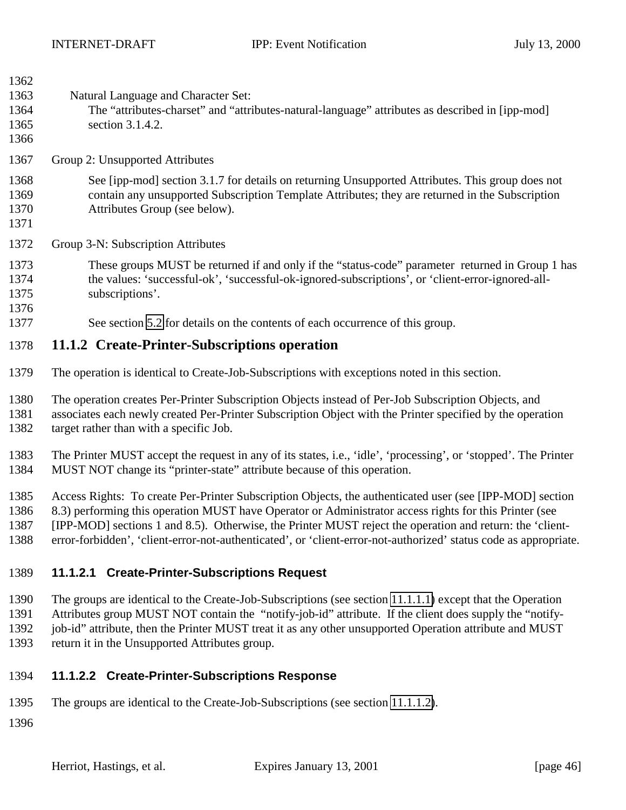<span id="page-45-0"></span>

| 1362 |                                                                                                           |
|------|-----------------------------------------------------------------------------------------------------------|
| 1363 | Natural Language and Character Set:                                                                       |
| 1364 | The "attributes-charset" and "attributes-natural-language" attributes as described in [ipp-mod]           |
| 1365 | section 3.1.4.2.                                                                                          |
| 1366 |                                                                                                           |
| 1367 | Group 2: Unsupported Attributes                                                                           |
| 1368 | See [ipp-mod] section 3.1.7 for details on returning Unsupported Attributes. This group does not          |
| 1369 | contain any unsupported Subscription Template Attributes; they are returned in the Subscription           |
| 1370 | Attributes Group (see below).                                                                             |
| 1371 |                                                                                                           |
| 1372 | Group 3-N: Subscription Attributes                                                                        |
|      |                                                                                                           |
| 1373 | These groups MUST be returned if and only if the "status-code" parameter returned in Group 1 has          |
| 1374 | the values: 'successful-ok', 'successful-ok-ignored-subscriptions', or 'client-error-ignored-all-         |
| 1375 | subscriptions'.                                                                                           |
| 1376 |                                                                                                           |
| 1377 | See section 5.2 for details on the contents of each occurrence of this group.                             |
| 1378 | 11.1.2 Create-Printer-Subscriptions operation                                                             |
| 1379 | The operation is identical to Create-Job-Subscriptions with exceptions noted in this section.             |
| 1380 | The operation creates Per-Printer Subscription Objects instead of Per-Job Subscription Objects, and       |
| 1381 | associates each newly created Per-Printer Subscription Object with the Printer specified by the operation |
| 1382 | target rather than with a specific Job.                                                                   |
|      |                                                                                                           |

 The Printer MUST accept the request in any of its states, i.e., 'idle', 'processing', or 'stopped'. The Printer MUST NOT change its "printer-state" attribute because of this operation.

 Access Rights: To create Per-Printer Subscription Objects, the authenticated user (see [IPP-MOD] section 8.3) performing this operation MUST have Operator or Administrator access rights for this Printer (see [IPP-MOD] sections 1 and 8.5). Otherwise, the Printer MUST reject the operation and return: the 'client-error-forbidden', 'client-error-not-authenticated', or 'client-error-not-authorized' status code as appropriate.

#### **11.1.2.1 Create-Printer-Subscriptions Request**

The groups are identical to the Create-Job-Subscriptions (see section [11.1.1.1\)](#page-43-0) except that the Operation

Attributes group MUST NOT contain the "notify-job-id" attribute. If the client does supply the "notify-

job-id" attribute, then the Printer MUST treat it as any other unsupported Operation attribute and MUST

return it in the Unsupported Attributes group.

# **11.1.2.2 Create-Printer-Subscriptions Response**

The groups are identical to the Create-Job-Subscriptions (see section [11.1.1.2\)](#page-44-0).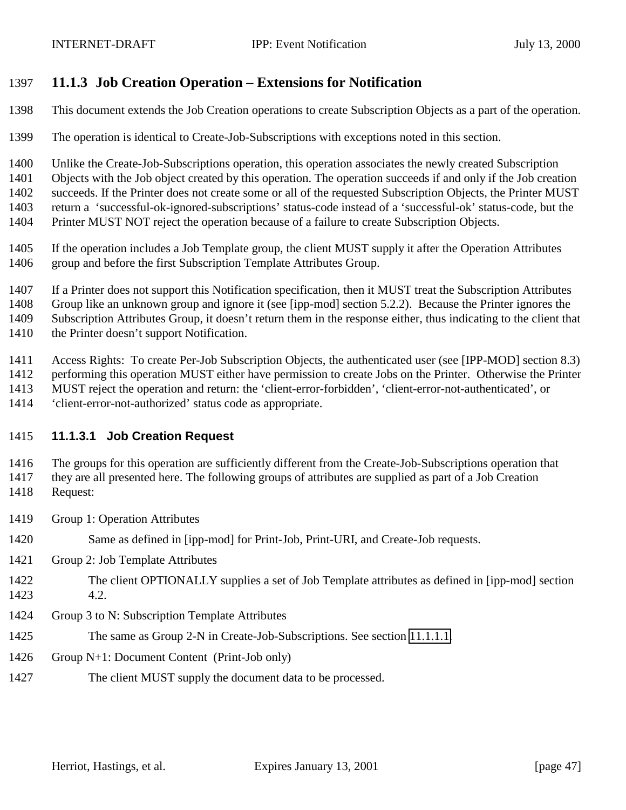#### <span id="page-46-0"></span>**11.1.3 Job Creation Operation – Extensions for Notification**

This document extends the Job Creation operations to create Subscription Objects as a part of the operation.

The operation is identical to Create-Job-Subscriptions with exceptions noted in this section.

Unlike the Create-Job-Subscriptions operation, this operation associates the newly created Subscription

 Objects with the Job object created by this operation. The operation succeeds if and only if the Job creation succeeds. If the Printer does not create some or all of the requested Subscription Objects, the Printer MUST return a 'successful-ok-ignored-subscriptions' status-code instead of a 'successful-ok' status-code, but the Printer MUST NOT reject the operation because of a failure to create Subscription Objects.

- If the operation includes a Job Template group, the client MUST supply it after the Operation Attributes group and before the first Subscription Template Attributes Group.
- If a Printer does not support this Notification specification, then it MUST treat the Subscription Attributes

Group like an unknown group and ignore it (see [ipp-mod] section 5.2.2). Because the Printer ignores the

Subscription Attributes Group, it doesn't return them in the response either, thus indicating to the client that

1410 the Printer doesn't support Notification.

Access Rights: To create Per-Job Subscription Objects, the authenticated user (see [IPP-MOD] section 8.3)

performing this operation MUST either have permission to create Jobs on the Printer. Otherwise the Printer

MUST reject the operation and return: the 'client-error-forbidden', 'client-error-not-authenticated', or

'client-error-not-authorized' status code as appropriate.

#### **11.1.3.1 Job Creation Request**

 The groups for this operation are sufficiently different from the Create-Job-Subscriptions operation that they are all presented here. The following groups of attributes are supplied as part of a Job Creation Request:

- Group 1: Operation Attributes
- Same as defined in [ipp-mod] for Print-Job, Print-URI, and Create-Job requests.
- Group 2: Job Template Attributes
- The client OPTIONALLY supplies a set of Job Template attributes as defined in [ipp-mod] section 4.2.
- Group 3 to N: Subscription Template Attributes
- The same as Group 2-N in Create-Job-Subscriptions. See section [11.1.1.1.](#page-43-0)
- Group N+1: Document Content (Print-Job only)
- The client MUST supply the document data to be processed.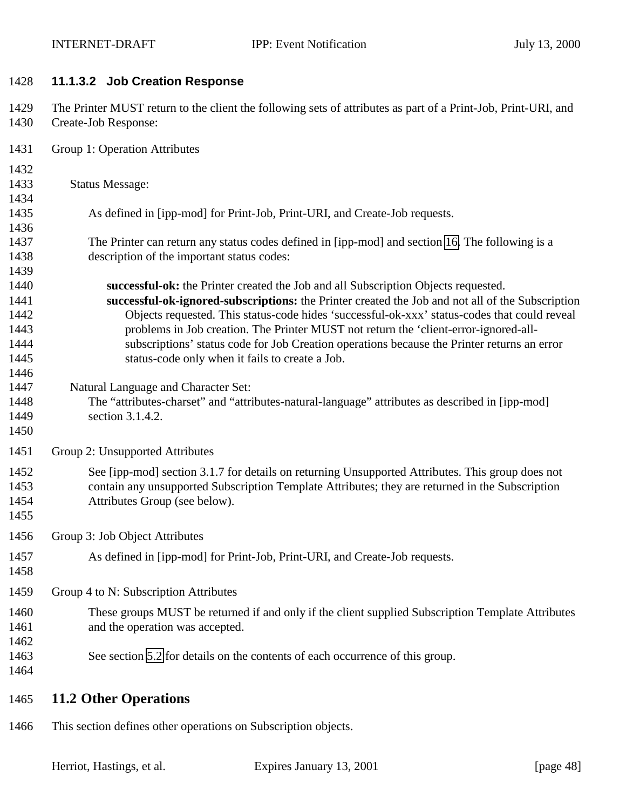#### **11.1.3.2 Job Creation Response**

 The Printer MUST return to the client the following sets of attributes as part of a Print-Job, Print-URI, and Create-Job Response:

- Group 1: Operation Attributes
- 

- Status Message:
- As defined in [ipp-mod] for Print-Job, Print-URI, and Create-Job requests.
- The Printer can return any status codes defined in [ipp-mod] and section [16.](#page-59-0) The following is a description of the important status codes:
- **successful-ok:** the Printer created the Job and all Subscription Objects requested. **successful-ok-ignored-subscriptions:** the Printer created the Job and not all of the Subscription Objects requested. This status-code hides 'successful-ok-xxx' status-codes that could reveal problems in Job creation. The Printer MUST not return the 'client-error-ignored-all- subscriptions' status code for Job Creation operations because the Printer returns an error 1445 status-code only when it fails to create a Job.
- Natural Language and Character Set:
- The "attributes-charset" and "attributes-natural-language" attributes as described in [ipp-mod] section 3.1.4.2.
- 

Group 2: Unsupported Attributes

- See [ipp-mod] section 3.1.7 for details on returning Unsupported Attributes. This group does not contain any unsupported Subscription Template Attributes; they are returned in the Subscription Attributes Group (see below).
- Group 3: Job Object Attributes
- As defined in [ipp-mod] for Print-Job, Print-URI, and Create-Job requests.
- 

Group 4 to N: Subscription Attributes

- These groups MUST be returned if and only if the client supplied Subscription Template Attributes 1461 and the operation was accepted.
- See section [5.2](#page-14-0) for details on the contents of each occurrence of this group.
- 

### **11.2 Other Operations**

This section defines other operations on Subscription objects.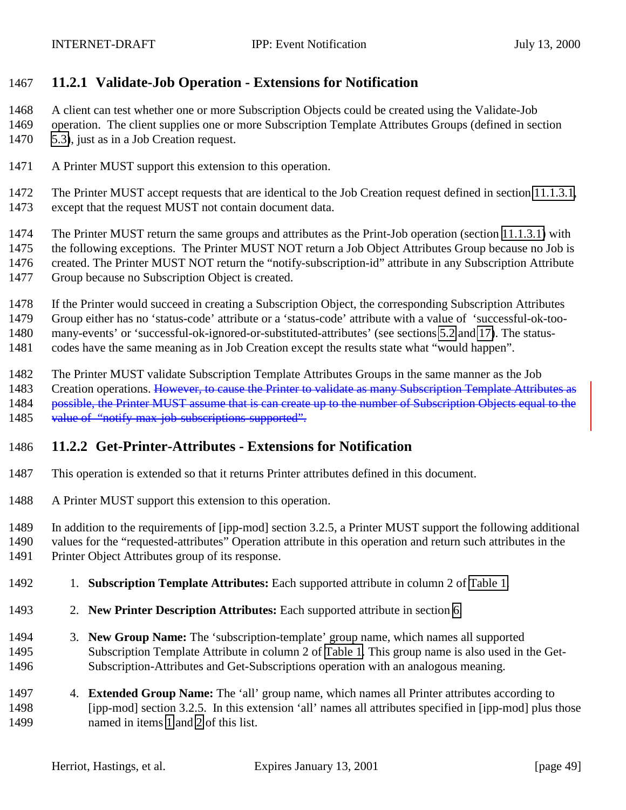#### **11.2.1 Validate-Job Operation - Extensions for Notification**

A client can test whether one or more Subscription Objects could be created using the Validate-Job

 operation. The client supplies one or more Subscription Template Attributes Groups (defined in section [5.3\)](#page-17-0), just as in a Job Creation request.

A Printer MUST support this extension to this operation.

 The Printer MUST accept requests that are identical to the Job Creation request defined in section [11.1.3.1,](#page-46-0) except that the request MUST not contain document data.

The Printer MUST return the same groups and attributes as the Print-Job operation (section [11.1.3.1\)](#page-46-0) with

1475 the following exceptions. The Printer MUST NOT return a Job Object Attributes Group because no Job is created. The Printer MUST NOT return the "notify-subscription-id" attribute in any Subscription Attribute Group because no Subscription Object is created.

- If the Printer would succeed in creating a Subscription Object, the corresponding Subscription Attributes
- Group either has no 'status-code' attribute or a 'status-code' attribute with a value of 'successful-ok-too-
- many-events' or 'successful-ok-ignored-or-substituted-attributes' (see sections [5.2](#page-14-0) and [17\)](#page-60-0). The status-
- codes have the same meaning as in Job Creation except the results state what "would happen".
- The Printer MUST validate Subscription Template Attributes Groups in the same manner as the Job
- 1483 Creation operations. However, to cause the Printer to validate as many Subscription Template Attributes as
- 1484 possible, the Printer MUST assume that is can create up to the number of Subscription Objects equal to the
- 1485 value of "notify-max-job-subscriptions-supported".

### **11.2.2 Get-Printer-Attributes - Extensions for Notification**

- This operation is extended so that it returns Printer attributes defined in this document.
- A Printer MUST support this extension to this operation.

In addition to the requirements of [ipp-mod] section 3.2.5, a Printer MUST support the following additional

values for the "requested-attributes" Operation attribute in this operation and return such attributes in the

- Printer Object Attributes group of its response.
- 1. **Subscription Template Attributes:** Each supported attribute in column 2 of [Table 1.](#page-17-0)
- 2. **New Printer Description Attributes:** Each supported attribute in section [6.](#page-31-0)
- 3. **New Group Name:** The 'subscription-template' group name, which names all supported Subscription Template Attribute in column 2 of [Table 1.](#page-17-0) This group name is also used in the Get-Subscription-Attributes and Get-Subscriptions operation with an analogous meaning.
- 4. **Extended Group Name:** The 'all' group name, which names all Printer attributes according to [ipp-mod] section 3.2.5. In this extension 'all' names all attributes specified in [ipp-mod] plus those named in items 1 and 2 of this list.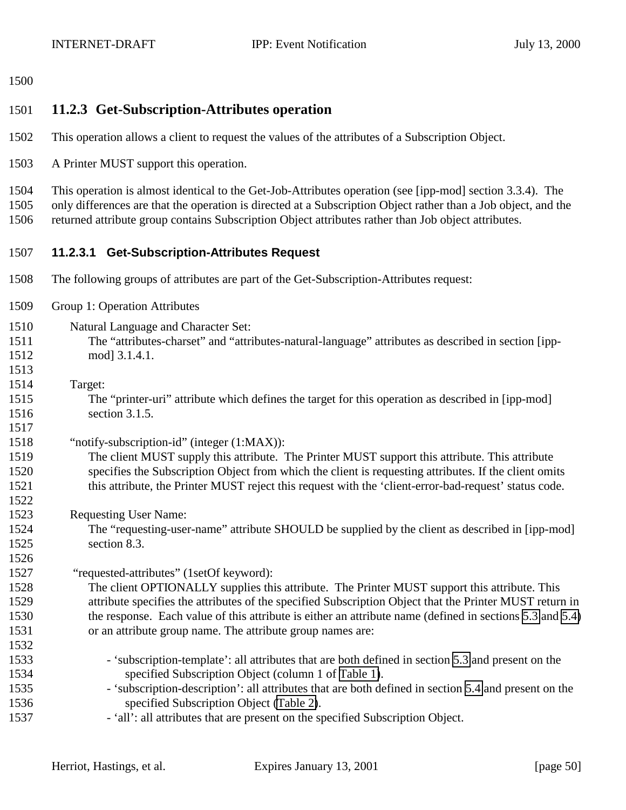<span id="page-49-0"></span>

## **11.2.3 Get-Subscription-Attributes operation**

- This operation allows a client to request the values of the attributes of a Subscription Object.
- A Printer MUST support this operation.

 This operation is almost identical to the Get-Job-Attributes operation (see [ipp-mod] section 3.3.4). The only differences are that the operation is directed at a Subscription Object rather than a Job object, and the returned attribute group contains Subscription Object attributes rather than Job object attributes.

- **11.2.3.1 Get-Subscription-Attributes Request**
- The following groups of attributes are part of the Get-Subscription-Attributes request:
- Group 1: Operation Attributes
- Natural Language and Character Set: The "attributes-charset" and "attributes-natural-language" attributes as described in section [ipp-1512 modl 3.1.4.1.
- Target:

 The "printer-uri" attribute which defines the target for this operation as described in [ipp-mod] section 3.1.5.

#### "notify-subscription-id" (integer (1:MAX)):

 The client MUST supply this attribute. The Printer MUST support this attribute. This attribute specifies the Subscription Object from which the client is requesting attributes. If the client omits this attribute, the Printer MUST reject this request with the 'client-error-bad-request' status code.

Requesting User Name:

 The "requesting-user-name" attribute SHOULD be supplied by the client as described in [ipp-mod] section 8.3.

1527 "requested-attributes" (1setOf keyword):

 The client OPTIONALLY supplies this attribute. The Printer MUST support this attribute. This attribute specifies the attributes of the specified Subscription Object that the Printer MUST return in the response. Each value of this attribute is either an attribute name (defined in sections [5.3](#page-17-0) and [5.4\)](#page-28-0) or an attribute group name. The attribute group names are: 

- 1533 'subscription-template': all attributes that are both defined in section [5.3](#page-17-0) and present on the specified Subscription Object (column 1 of [Table 1\)](#page-17-0).
- 'subscription-description': all attributes that are both defined in section [5.4](#page-28-0) and present on the specified Subscription Object [\(Table 2\)](#page-28-0).
- 'all': all attributes that are present on the specified Subscription Object.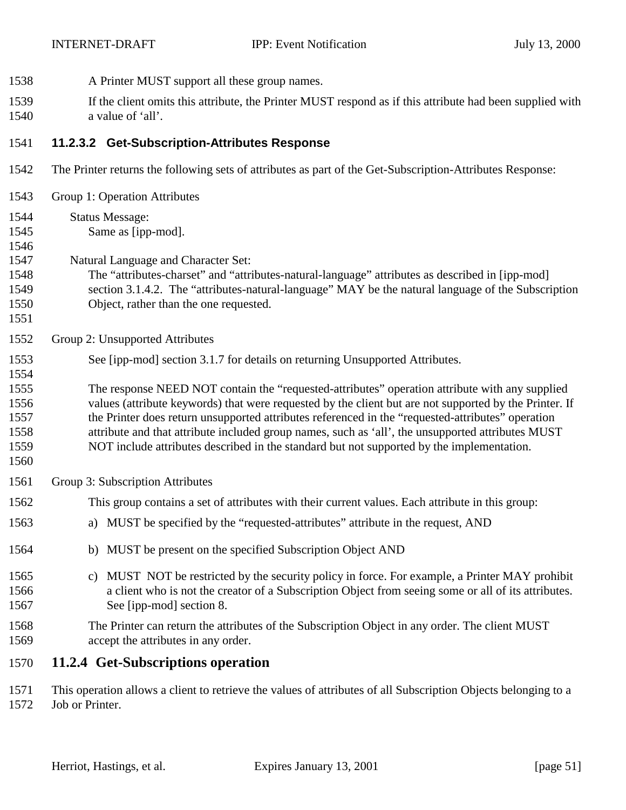- <span id="page-50-0"></span>A Printer MUST support all these group names.
- If the client omits this attribute, the Printer MUST respond as if this attribute had been supplied with a value of 'all'.

#### **11.2.3.2 Get-Subscription-Attributes Response**

- The Printer returns the following sets of attributes as part of the Get-Subscription-Attributes Response:
- Group 1: Operation Attributes
- Status Message:
- Same as [ipp-mod].

- Natural Language and Character Set:
- The "attributes-charset" and "attributes-natural-language" attributes as described in [ipp-mod] section 3.1.4.2. The "attributes-natural-language" MAY be the natural language of the Subscription Object, rather than the one requested.
- Group 2: Unsupported Attributes
- See [ipp-mod] section 3.1.7 for details on returning Unsupported Attributes.
- The response NEED NOT contain the "requested-attributes" operation attribute with any supplied values (attribute keywords) that were requested by the client but are not supported by the Printer. If the Printer does return unsupported attributes referenced in the "requested-attributes" operation attribute and that attribute included group names, such as 'all', the unsupported attributes MUST
- NOT include attributes described in the standard but not supported by the implementation.
- 
- Group 3: Subscription Attributes
- This group contains a set of attributes with their current values. Each attribute in this group:
- a) MUST be specified by the "requested-attributes" attribute in the request, AND
- b) MUST be present on the specified Subscription Object AND
- c) MUST NOT be restricted by the security policy in force. For example, a Printer MAY prohibit a client who is not the creator of a Subscription Object from seeing some or all of its attributes. See [ipp-mod] section 8.
- The Printer can return the attributes of the Subscription Object in any order. The client MUST accept the attributes in any order.

#### **11.2.4 Get-Subscriptions operation**

 This operation allows a client to retrieve the values of attributes of all Subscription Objects belonging to a Job or Printer.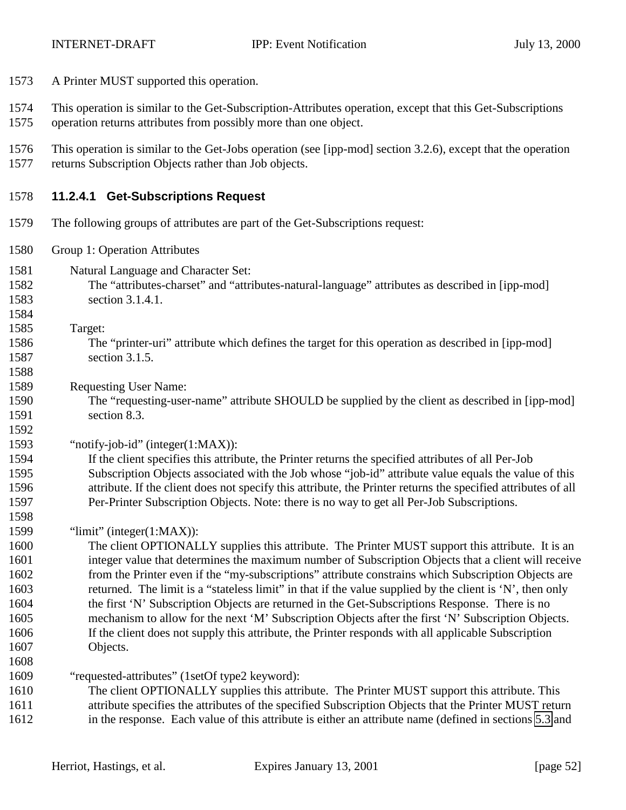- A Printer MUST supported this operation.
- This operation is similar to the Get-Subscription-Attributes operation, except that this Get-Subscriptions
- operation returns attributes from possibly more than one object.
- This operation is similar to the Get-Jobs operation (see [ipp-mod] section 3.2.6), except that the operation returns Subscription Objects rather than Job objects.

#### **11.2.4.1 Get-Subscriptions Request**

- The following groups of attributes are part of the Get-Subscriptions request:
- Group 1: Operation Attributes
- Natural Language and Character Set:
- The "attributes-charset" and "attributes-natural-language" attributes as described in [ipp-mod] section 3.1.4.1.
- Target:

- The "printer-uri" attribute which defines the target for this operation as described in [ipp-mod] section 3.1.5.
- Requesting User Name:
- The "requesting-user-name" attribute SHOULD be supplied by the client as described in [ipp-mod] section 8.3.

#### "notify-job-id" (integer(1:MAX)):

- If the client specifies this attribute, the Printer returns the specified attributes of all Per-Job Subscription Objects associated with the Job whose "job-id" attribute value equals the value of this attribute. If the client does not specify this attribute, the Printer returns the specified attributes of all Per-Printer Subscription Objects. Note: there is no way to get all Per-Job Subscriptions.
- "limit" (integer(1:MAX)):
- The client OPTIONALLY supplies this attribute. The Printer MUST support this attribute. It is an integer value that determines the maximum number of Subscription Objects that a client will receive from the Printer even if the "my-subscriptions" attribute constrains which Subscription Objects are returned. The limit is a "stateless limit" in that if the value supplied by the client is 'N', then only the first 'N' Subscription Objects are returned in the Get-Subscriptions Response. There is no mechanism to allow for the next 'M' Subscription Objects after the first 'N' Subscription Objects. If the client does not supply this attribute, the Printer responds with all applicable Subscription Objects.
- "requested-attributes" (1setOf type2 keyword):
- The client OPTIONALLY supplies this attribute. The Printer MUST support this attribute. This attribute specifies the attributes of the specified Subscription Objects that the Printer MUST return
- in the response. Each value of this attribute is either an attribute name (defined in sections [5.3](#page-17-0) and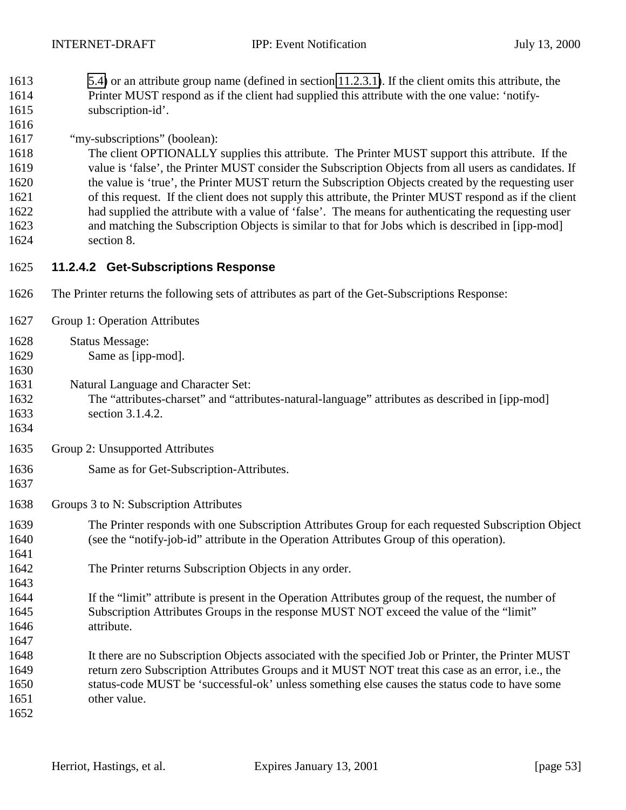- [5.4\)](#page-28-0) or an attribute group name (defined in section [11.2.3.1\)](#page-49-0). If the client omits this attribute, the Printer MUST respond as if the client had supplied this attribute with the one value: 'notify-
- 1615 subscription-id'.
- "my-subscriptions" (boolean):

 The client OPTIONALLY supplies this attribute. The Printer MUST support this attribute. If the value is 'false', the Printer MUST consider the Subscription Objects from all users as candidates. If the value is 'true', the Printer MUST return the Subscription Objects created by the requesting user of this request. If the client does not supply this attribute, the Printer MUST respond as if the client had supplied the attribute with a value of 'false'. The means for authenticating the requesting user and matching the Subscription Objects is similar to that for Jobs which is described in [ipp-mod] section 8.

- **11.2.4.2 Get-Subscriptions Response**
- The Printer returns the following sets of attributes as part of the Get-Subscriptions Response:
- Group 1: Operation Attributes
- Status Message:
- Same as [ipp-mod].
- Natural Language and Character Set:
- The "attributes-charset" and "attributes-natural-language" attributes as described in [ipp-mod] section 3.1.4.2.
- 

- Group 2: Unsupported Attributes
- Same as for Get-Subscription-Attributes.
- Groups 3 to N: Subscription Attributes
- The Printer responds with one Subscription Attributes Group for each requested Subscription Object (see the "notify-job-id" attribute in the Operation Attributes Group of this operation).
- The Printer returns Subscription Objects in any order.
- If the "limit" attribute is present in the Operation Attributes group of the request, the number of Subscription Attributes Groups in the response MUST NOT exceed the value of the "limit" attribute.
- It there are no Subscription Objects associated with the specified Job or Printer, the Printer MUST return zero Subscription Attributes Groups and it MUST NOT treat this case as an error, i.e., the status-code MUST be 'successful-ok' unless something else causes the status code to have some other value.
-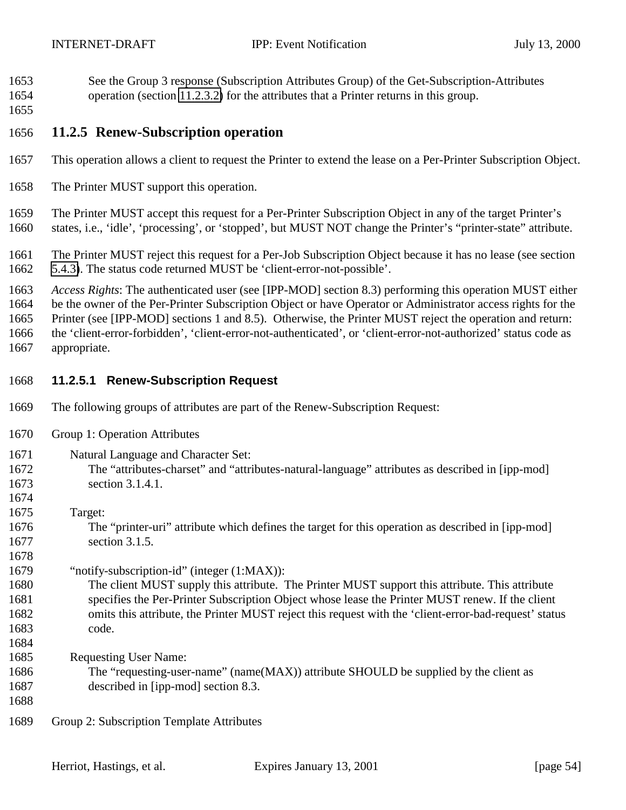- <span id="page-53-0"></span> See the Group 3 response (Subscription Attributes Group) of the Get-Subscription-Attributes operation (section [11.2.3.2\)](#page-50-0) for the attributes that a Printer returns in this group.
- 

#### **11.2.5 Renew-Subscription operation**

- This operation allows a client to request the Printer to extend the lease on a Per-Printer Subscription Object.
- The Printer MUST support this operation.

 The Printer MUST accept this request for a Per-Printer Subscription Object in any of the target Printer's states, i.e., 'idle', 'processing', or 'stopped', but MUST NOT change the Printer's "printer-state" attribute.

 The Printer MUST reject this request for a Per-Job Subscription Object because it has no lease (see section [5.4.3\)](#page-29-0). The status code returned MUST be 'client-error-not-possible'.

 *Access Rights*: The authenticated user (see [IPP-MOD] section 8.3) performing this operation MUST either be the owner of the Per-Printer Subscription Object or have Operator or Administrator access rights for the Printer (see [IPP-MOD] sections 1 and 8.5). Otherwise, the Printer MUST reject the operation and return: the 'client-error-forbidden', 'client-error-not-authenticated', or 'client-error-not-authorized' status code as appropriate.

#### **11.2.5.1 Renew-Subscription Request**

- The following groups of attributes are part of the Renew-Subscription Request:
- Group 1: Operation Attributes
- Natural Language and Character Set: The "attributes-charset" and "attributes-natural-language" attributes as described in [ipp-mod] section 3.1.4.1. Target: The "printer-uri" attribute which defines the target for this operation as described in [ipp-mod] section 3.1.5. "notify-subscription-id" (integer (1:MAX)): The client MUST supply this attribute. The Printer MUST support this attribute. This attribute specifies the Per-Printer Subscription Object whose lease the Printer MUST renew. If the client omits this attribute, the Printer MUST reject this request with the 'client-error-bad-request' status code. Requesting User Name: The "requesting-user-name" (name(MAX)) attribute SHOULD be supplied by the client as described in [ipp-mod] section 8.3. Group 2: Subscription Template Attributes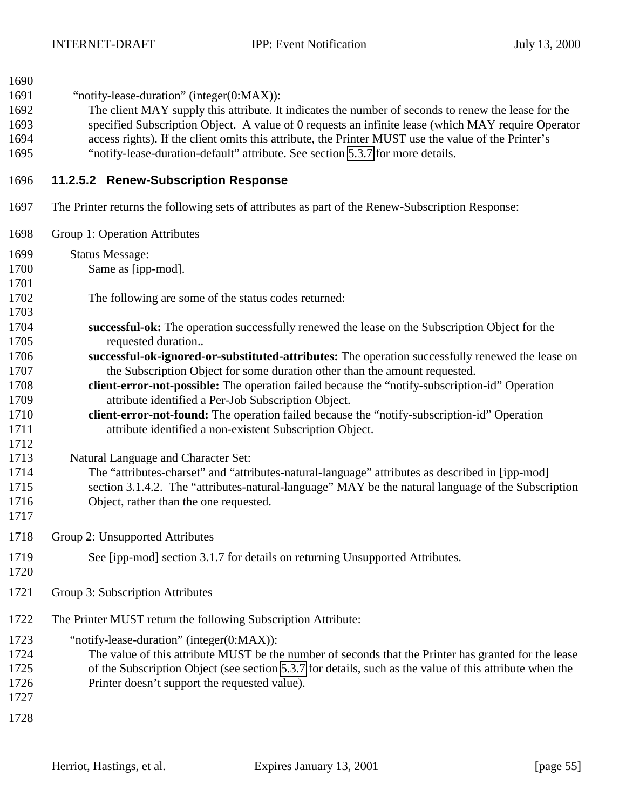| 1690<br>1691<br>1692<br>1693<br>1694<br>1695 | "notify-lease-duration" (integer(0:MAX)):<br>The client MAY supply this attribute. It indicates the number of seconds to renew the lease for the<br>specified Subscription Object. A value of 0 requests an infinite lease (which MAY require Operator<br>access rights). If the client omits this attribute, the Printer MUST use the value of the Printer's<br>"notify-lease-duration-default" attribute. See section 5.3.7 for more details. |
|----------------------------------------------|-------------------------------------------------------------------------------------------------------------------------------------------------------------------------------------------------------------------------------------------------------------------------------------------------------------------------------------------------------------------------------------------------------------------------------------------------|
| 1696                                         | 11.2.5.2 Renew-Subscription Response                                                                                                                                                                                                                                                                                                                                                                                                            |
| 1697                                         | The Printer returns the following sets of attributes as part of the Renew-Subscription Response:                                                                                                                                                                                                                                                                                                                                                |
| 1698                                         | Group 1: Operation Attributes                                                                                                                                                                                                                                                                                                                                                                                                                   |
| 1699                                         | <b>Status Message:</b>                                                                                                                                                                                                                                                                                                                                                                                                                          |
| 1700<br>1701                                 | Same as [ipp-mod].                                                                                                                                                                                                                                                                                                                                                                                                                              |
| 1702<br>1703                                 | The following are some of the status codes returned:                                                                                                                                                                                                                                                                                                                                                                                            |
| 1704                                         | successful-ok: The operation successfully renewed the lease on the Subscription Object for the                                                                                                                                                                                                                                                                                                                                                  |
| 1705                                         | requested duration                                                                                                                                                                                                                                                                                                                                                                                                                              |
| 1706                                         |                                                                                                                                                                                                                                                                                                                                                                                                                                                 |
| 1707                                         | successful-ok-ignored-or-substituted-attributes: The operation successfully renewed the lease on<br>the Subscription Object for some duration other than the amount requested.                                                                                                                                                                                                                                                                  |
| 1708                                         | client-error-not-possible: The operation failed because the "notify-subscription-id" Operation                                                                                                                                                                                                                                                                                                                                                  |
| 1709                                         | attribute identified a Per-Job Subscription Object.                                                                                                                                                                                                                                                                                                                                                                                             |
| 1710                                         | client-error-not-found: The operation failed because the "notify-subscription-id" Operation                                                                                                                                                                                                                                                                                                                                                     |
| 1711                                         | attribute identified a non-existent Subscription Object.                                                                                                                                                                                                                                                                                                                                                                                        |
| 1712                                         |                                                                                                                                                                                                                                                                                                                                                                                                                                                 |
| 1713                                         |                                                                                                                                                                                                                                                                                                                                                                                                                                                 |
|                                              | Natural Language and Character Set:                                                                                                                                                                                                                                                                                                                                                                                                             |
| 1714                                         | The "attributes-charset" and "attributes-natural-language" attributes as described in [ipp-mod]                                                                                                                                                                                                                                                                                                                                                 |
| 1715                                         | section 3.1.4.2. The "attributes-natural-language" MAY be the natural language of the Subscription                                                                                                                                                                                                                                                                                                                                              |
| 1716<br>1717                                 | Object, rather than the one requested.                                                                                                                                                                                                                                                                                                                                                                                                          |
| 1718                                         | Group 2: Unsupported Attributes                                                                                                                                                                                                                                                                                                                                                                                                                 |
|                                              |                                                                                                                                                                                                                                                                                                                                                                                                                                                 |
| 1719<br>1720                                 | See [ipp-mod] section 3.1.7 for details on returning Unsupported Attributes.                                                                                                                                                                                                                                                                                                                                                                    |
| 1721                                         | Group 3: Subscription Attributes                                                                                                                                                                                                                                                                                                                                                                                                                |
| 1722                                         | The Printer MUST return the following Subscription Attribute:                                                                                                                                                                                                                                                                                                                                                                                   |
| 1723<br>1724<br>1725<br>1726<br>1727         | "notify-lease-duration" (integer(0:MAX)):<br>The value of this attribute MUST be the number of seconds that the Printer has granted for the lease<br>of the Subscription Object (see section 5.3.7 for details, such as the value of this attribute when the<br>Printer doesn't support the requested value).                                                                                                                                   |
| 1728                                         |                                                                                                                                                                                                                                                                                                                                                                                                                                                 |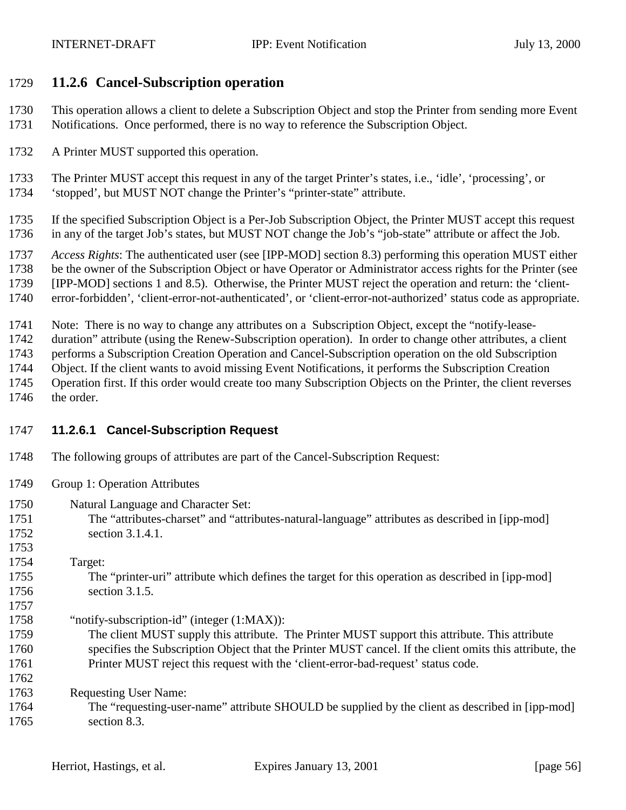#### <span id="page-55-0"></span>**11.2.6 Cancel-Subscription operation**

- This operation allows a client to delete a Subscription Object and stop the Printer from sending more Event
- Notifications. Once performed, there is no way to reference the Subscription Object.
- A Printer MUST supported this operation.
- The Printer MUST accept this request in any of the target Printer's states, i.e., 'idle', 'processing', or
- 'stopped', but MUST NOT change the Printer's "printer-state" attribute.
- If the specified Subscription Object is a Per-Job Subscription Object, the Printer MUST accept this request in any of the target Job's states, but MUST NOT change the Job's "job-state" attribute or affect the Job.
- *Access Rights*: The authenticated user (see [IPP-MOD] section 8.3) performing this operation MUST either
- be the owner of the Subscription Object or have Operator or Administrator access rights for the Printer (see
- [IPP-MOD] sections 1 and 8.5). Otherwise, the Printer MUST reject the operation and return: the 'client-
- error-forbidden', 'client-error-not-authenticated', or 'client-error-not-authorized' status code as appropriate.
- Note: There is no way to change any attributes on a Subscription Object, except the "notify-lease-
- duration" attribute (using the Renew-Subscription operation). In order to change other attributes, a client
- performs a Subscription Creation Operation and Cancel-Subscription operation on the old Subscription
- Object. If the client wants to avoid missing Event Notifications, it performs the Subscription Creation
- Operation first. If this order would create too many Subscription Objects on the Printer, the client reverses
- the order.

### **11.2.6.1 Cancel-Subscription Request**

- The following groups of attributes are part of the Cancel-Subscription Request:
- Group 1: Operation Attributes
- Natural Language and Character Set:
- The "attributes-charset" and "attributes-natural-language" attributes as described in [ipp-mod] section 3.1.4.1.
- Target:

- The "printer-uri" attribute which defines the target for this operation as described in [ipp-mod] section 3.1.5.
- "notify-subscription-id" (integer (1:MAX)):
- The client MUST supply this attribute. The Printer MUST support this attribute. This attribute specifies the Subscription Object that the Printer MUST cancel. If the client omits this attribute, the Printer MUST reject this request with the 'client-error-bad-request' status code.
- Requesting User Name:
- The "requesting-user-name" attribute SHOULD be supplied by the client as described in [ipp-mod] section 8.3.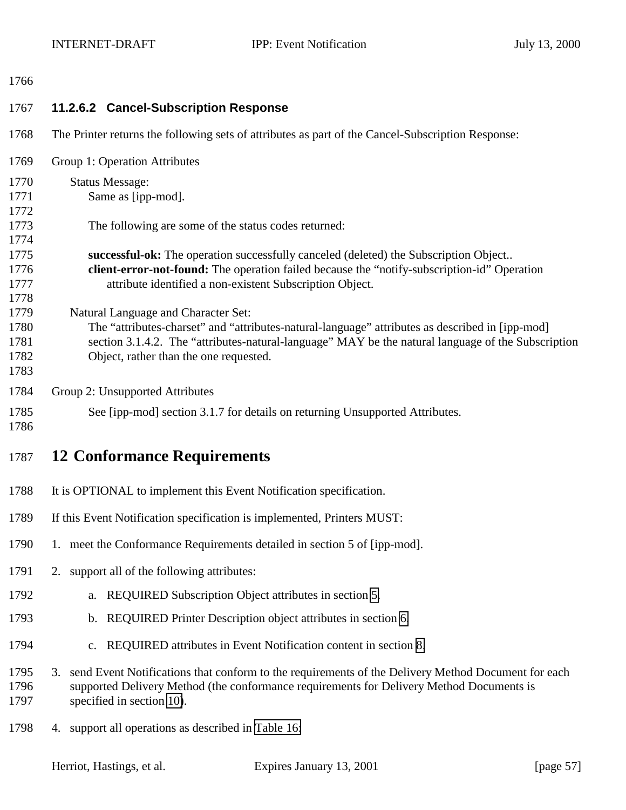#### <span id="page-56-0"></span>

| 1767                                 | 11.2.6.2 Cancel-Subscription Response                                                                                                                                                                                                                                                  |
|--------------------------------------|----------------------------------------------------------------------------------------------------------------------------------------------------------------------------------------------------------------------------------------------------------------------------------------|
| 1768                                 | The Printer returns the following sets of attributes as part of the Cancel-Subscription Response:                                                                                                                                                                                      |
| 1769                                 | Group 1: Operation Attributes                                                                                                                                                                                                                                                          |
| 1770<br>1771<br>1772                 | <b>Status Message:</b><br>Same as [ipp-mod].                                                                                                                                                                                                                                           |
| 1773<br>1774                         | The following are some of the status codes returned:                                                                                                                                                                                                                                   |
| 1775<br>1776<br>1777<br>1778         | successful-ok: The operation successfully canceled (deleted) the Subscription Object<br>client-error-not-found: The operation failed because the "notify-subscription-id" Operation<br>attribute identified a non-existent Subscription Object.                                        |
| 1779<br>1780<br>1781<br>1782<br>1783 | Natural Language and Character Set:<br>The "attributes-charset" and "attributes-natural-language" attributes as described in [ipp-mod]<br>section 3.1.4.2. The "attributes-natural-language" MAY be the natural language of the Subscription<br>Object, rather than the one requested. |
| 1784                                 | Group 2: Unsupported Attributes                                                                                                                                                                                                                                                        |
| 1785<br>1786                         | See [ipp-mod] section 3.1.7 for details on returning Unsupported Attributes.                                                                                                                                                                                                           |
| 1787                                 | <b>12 Conformance Requirements</b>                                                                                                                                                                                                                                                     |
| 1788                                 | It is OPTIONAL to implement this Event Notification specification.                                                                                                                                                                                                                     |
| 1789                                 | If this Event Notification specification is implemented, Printers MUST:                                                                                                                                                                                                                |
| 1790                                 | 1. meet the Conformance Requirements detailed in section 5 of [ipp-mod].                                                                                                                                                                                                               |
| 1791                                 | 2. support all of the following attributes:                                                                                                                                                                                                                                            |
| 1792                                 | REQUIRED Subscription Object attributes in section 5.<br>a.                                                                                                                                                                                                                            |
| 1793                                 | b. REQUIRED Printer Description object attributes in section 6.                                                                                                                                                                                                                        |
| 1794                                 | c. REQUIRED attributes in Event Notification content in section 8.                                                                                                                                                                                                                     |
| 1795<br>1796<br>1797                 | send Event Notifications that conform to the requirements of the Delivery Method Document for each<br>3.<br>supported Delivery Method (the conformance requirements for Delivery Method Documents is<br>specified in section 10).                                                      |
| 1798                                 | 4. support all operations as described in Table 16:                                                                                                                                                                                                                                    |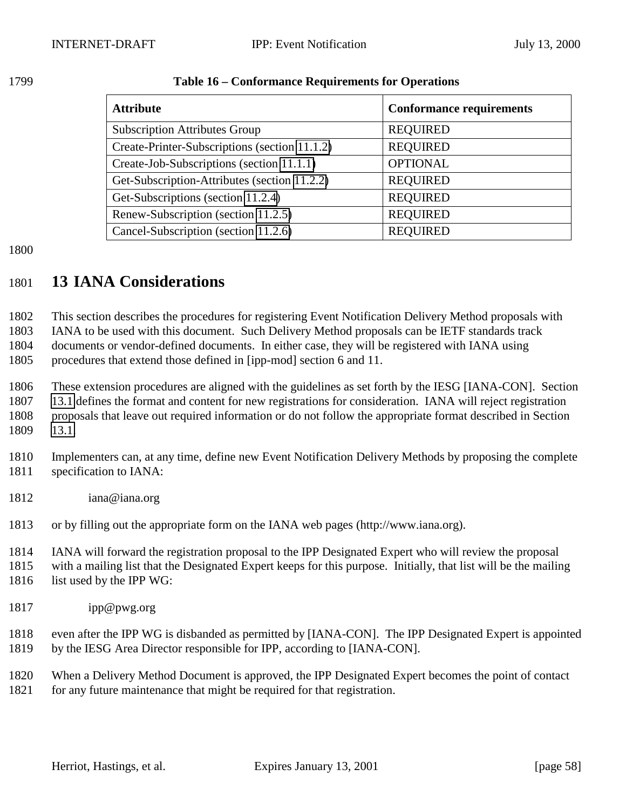| <b>Attribute</b>                              | <b>Conformance requirements</b> |
|-----------------------------------------------|---------------------------------|
| <b>Subscription Attributes Group</b>          | <b>REQUIRED</b>                 |
| Create-Printer-Subscriptions (section 11.1.2) | <b>REQUIRED</b>                 |
| Create-Job-Subscriptions (section 11.1.1)     | <b>OPTIONAL</b>                 |
| Get-Subscription-Attributes (section 11.2.2)  | <b>REQUIRED</b>                 |
| Get-Subscriptions (section 11.2.4)            | <b>REQUIRED</b>                 |
| Renew-Subscription (section 11.2.5)           | <b>REQUIRED</b>                 |
| Cancel-Subscription (section 11.2.6)          | <b>REQUIRED</b>                 |

#### <span id="page-57-0"></span>**Table 16 – Conformance Requirements for Operations**

## **13 IANA Considerations**

 This section describes the procedures for registering Event Notification Delivery Method proposals with IANA to be used with this document. Such Delivery Method proposals can be IETF standards track

documents or vendor-defined documents. In either case, they will be registered with IANA using

procedures that extend those defined in [ipp-mod] section 6 and 11.

 These extension procedures are aligned with the guidelines as set forth by the IESG [IANA-CON]. Section [13.1](#page-58-0) defines the format and content for new registrations for consideration. IANA will reject registration proposals that leave out required information or do not follow the appropriate format described in Section [13.1.](#page-58-0)

 Implementers can, at any time, define new Event Notification Delivery Methods by proposing the complete specification to IANA:

- iana@iana.org
- or by filling out the appropriate form on the IANA web pages (http://www.iana.org).

IANA will forward the registration proposal to the IPP Designated Expert who will review the proposal

 with a mailing list that the Designated Expert keeps for this purpose. Initially, that list will be the mailing 1816 list used by the IPP WG:

- 
- ipp@pwg.org

 even after the IPP WG is disbanded as permitted by [IANA-CON]. The IPP Designated Expert is appointed by the IESG Area Director responsible for IPP, according to [IANA-CON].

 When a Delivery Method Document is approved, the IPP Designated Expert becomes the point of contact for any future maintenance that might be required for that registration.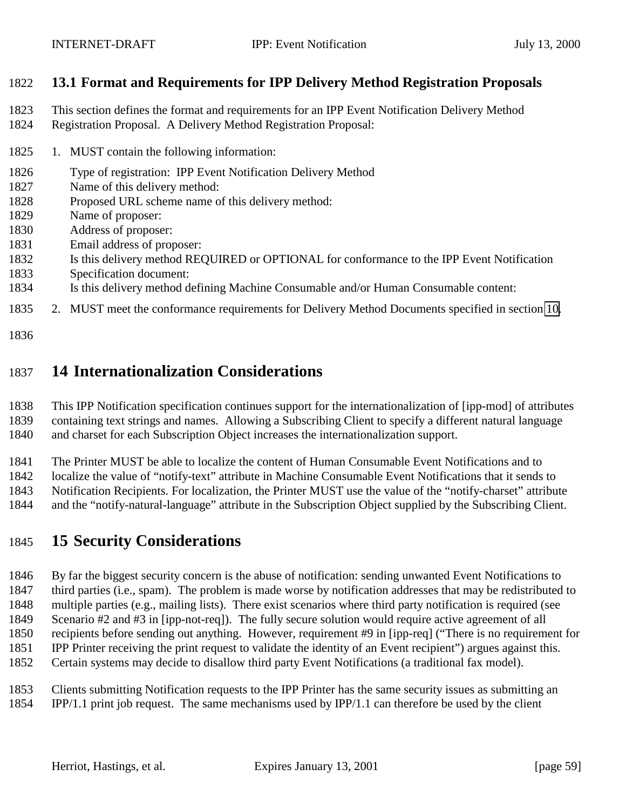### <span id="page-58-0"></span>**13.1 Format and Requirements for IPP Delivery Method Registration Proposals**

- This section defines the format and requirements for an IPP Event Notification Delivery Method
- Registration Proposal. A Delivery Method Registration Proposal:
- 1825 1. MUST contain the following information:
- Type of registration: IPP Event Notification Delivery Method
- Name of this delivery method:
- Proposed URL scheme name of this delivery method:
- Name of proposer:
- Address of proposer:
- Email address of proposer:
- Is this delivery method REQUIRED or OPTIONAL for conformance to the IPP Event Notification
- Specification document:
- Is this delivery method defining Machine Consumable and/or Human Consumable content:
- 2. MUST meet the conformance requirements for Delivery Method Documents specified in section [10.](#page-41-0)
- 

# **14 Internationalization Considerations**

 This IPP Notification specification continues support for the internationalization of [ipp-mod] of attributes containing text strings and names. Allowing a Subscribing Client to specify a different natural language

and charset for each Subscription Object increases the internationalization support.

The Printer MUST be able to localize the content of Human Consumable Event Notifications and to

localize the value of "notify-text" attribute in Machine Consumable Event Notifications that it sends to

Notification Recipients. For localization, the Printer MUST use the value of the "notify-charset" attribute

and the "notify-natural-language" attribute in the Subscription Object supplied by the Subscribing Client.

# **15 Security Considerations**

 By far the biggest security concern is the abuse of notification: sending unwanted Event Notifications to third parties (i.e., spam). The problem is made worse by notification addresses that may be redistributed to multiple parties (e.g., mailing lists). There exist scenarios where third party notification is required (see Scenario #2 and #3 in [ipp-not-req]). The fully secure solution would require active agreement of all recipients before sending out anything. However, requirement #9 in [ipp-req] ("There is no requirement for IPP Printer receiving the print request to validate the identity of an Event recipient") argues against this. Certain systems may decide to disallow third party Event Notifications (a traditional fax model).

- Clients submitting Notification requests to the IPP Printer has the same security issues as submitting an
- IPP/1.1 print job request. The same mechanisms used by IPP/1.1 can therefore be used by the client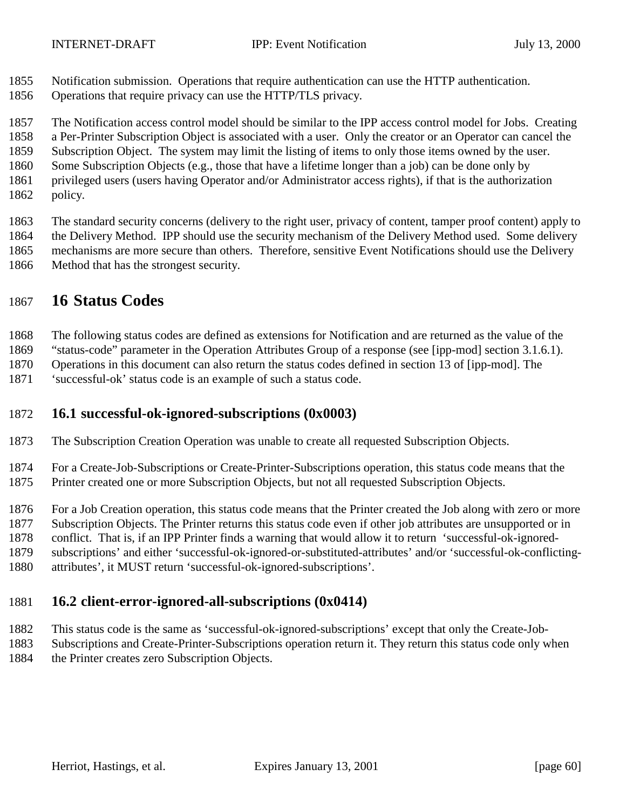- <span id="page-59-0"></span>Notification submission. Operations that require authentication can use the HTTP authentication.
- Operations that require privacy can use the HTTP/TLS privacy.

The Notification access control model should be similar to the IPP access control model for Jobs. Creating

a Per-Printer Subscription Object is associated with a user. Only the creator or an Operator can cancel the

Subscription Object. The system may limit the listing of items to only those items owned by the user.

- Some Subscription Objects (e.g., those that have a lifetime longer than a job) can be done only by
- privileged users (users having Operator and/or Administrator access rights), if that is the authorization
- policy.

 The standard security concerns (delivery to the right user, privacy of content, tamper proof content) apply to the Delivery Method. IPP should use the security mechanism of the Delivery Method used. Some delivery mechanisms are more secure than others. Therefore, sensitive Event Notifications should use the Delivery Method that has the strongest security.

## **16 Status Codes**

The following status codes are defined as extensions for Notification and are returned as the value of the

"status-code" parameter in the Operation Attributes Group of a response (see [ipp-mod] section 3.1.6.1).

Operations in this document can also return the status codes defined in section 13 of [ipp-mod]. The

'successful-ok' status code is an example of such a status code.

### **16.1 successful-ok-ignored-subscriptions (0x0003)**

The Subscription Creation Operation was unable to create all requested Subscription Objects.

 For a Create-Job-Subscriptions or Create-Printer-Subscriptions operation, this status code means that the Printer created one or more Subscription Objects, but not all requested Subscription Objects.

For a Job Creation operation, this status code means that the Printer created the Job along with zero or more

Subscription Objects. The Printer returns this status code even if other job attributes are unsupported or in

conflict. That is, if an IPP Printer finds a warning that would allow it to return 'successful-ok-ignored-

subscriptions' and either 'successful-ok-ignored-or-substituted-attributes' and/or 'successful-ok-conflicting-

attributes', it MUST return 'successful-ok-ignored-subscriptions'.

# **16.2 client-error-ignored-all-subscriptions (0x0414)**

This status code is the same as 'successful-ok-ignored-subscriptions' except that only the Create-Job-

Subscriptions and Create-Printer-Subscriptions operation return it. They return this status code only when

the Printer creates zero Subscription Objects.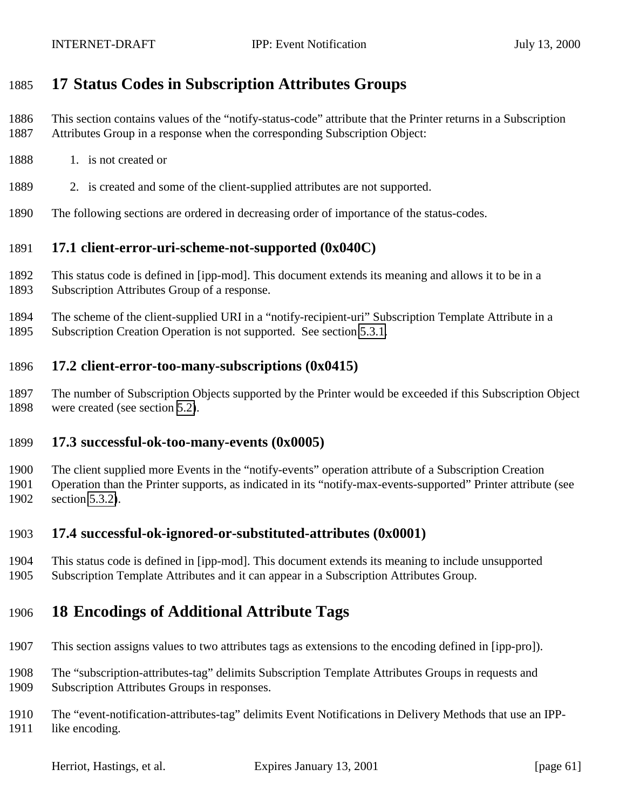# <span id="page-60-0"></span>**17 Status Codes in Subscription Attributes Groups**

- This section contains values of the "notify-status-code" attribute that the Printer returns in a Subscription Attributes Group in a response when the corresponding Subscription Object:
- 1888 1. is not created or
- 2. is created and some of the client-supplied attributes are not supported.
- The following sections are ordered in decreasing order of importance of the status-codes.

#### **17.1 client-error-uri-scheme-not-supported (0x040C)**

- This status code is defined in [ipp-mod]. This document extends its meaning and allows it to be in a Subscription Attributes Group of a response.
- The scheme of the client-supplied URI in a "notify-recipient-uri" Subscription Template Attribute in a Subscription Creation Operation is not supported. See section [5.3.1.](#page-17-0)

#### **17.2 client-error-too-many-subscriptions (0x0415)**

 The number of Subscription Objects supported by the Printer would be exceeded if this Subscription Object were created (see section [5.2\)](#page-14-0).

#### **17.3 successful-ok-too-many-events (0x0005)**

 The client supplied more Events in the "notify-events" operation attribute of a Subscription Creation Operation than the Printer supports, as indicated in its "notify-max-events-supported" Printer attribute (see section [5.3.2\)](#page-18-0).

#### **17.4 successful-ok-ignored-or-substituted-attributes (0x0001)**

 This status code is defined in [ipp-mod]. This document extends its meaning to include unsupported Subscription Template Attributes and it can appear in a Subscription Attributes Group.

## **18 Encodings of Additional Attribute Tags**

- This section assigns values to two attributes tags as extensions to the encoding defined in [ipp-pro]).
- The "subscription-attributes-tag" delimits Subscription Template Attributes Groups in requests and Subscription Attributes Groups in responses.

 The "event-notification-attributes-tag" delimits Event Notifications in Delivery Methods that use an IPP-like encoding.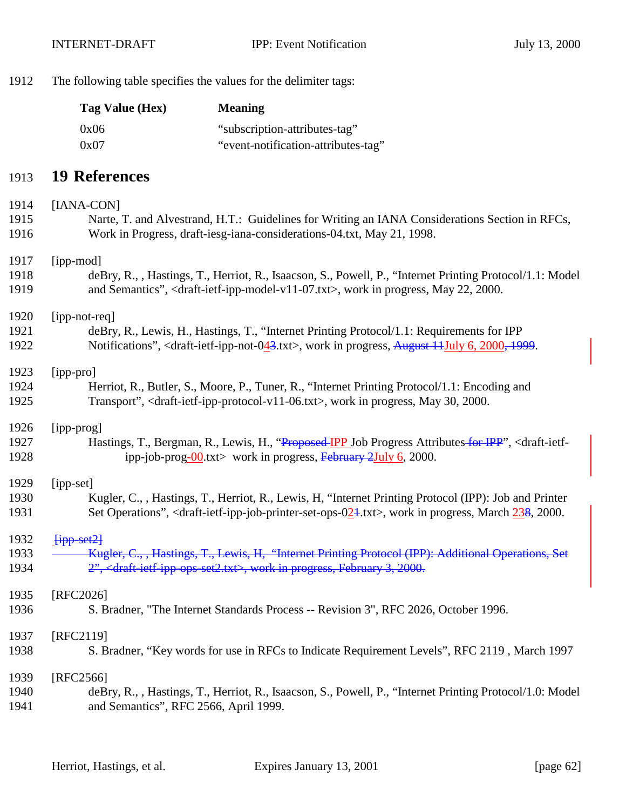The following table specifies the values for the delimiter tags:

| Tag Value (Hex) | <b>Meaning</b>                      |
|-----------------|-------------------------------------|
| 0x06            | "subscription-attributes-tag"       |
| 0x07            | "event-notification-attributes-tag" |

#### **19 References**

# [IANA-CON] Narte, T. and Alvestrand, H.T.: Guidelines for Writing an IANA Considerations Section in RFCs, Work in Progress, draft-iesg-iana-considerations-04.txt, May 21, 1998. [ipp-mod] deBry, R., , Hastings, T., Herriot, R., Isaacson, S., Powell, P., "Internet Printing Protocol/1.1: Model and Semantics", <draft-ietf-ipp-model-v11-07.txt>, work in progress, May 22, 2000. [ipp-not-req] deBry, R., Lewis, H., Hastings, T., "Internet Printing Protocol/1.1: Requirements for IPP Notifications", <draft-ietf-ipp-not-043.txt>, work in progress, August 11July 6, 2000, 1999. [ipp-pro] Herriot, R., Butler, S., Moore, P., Tuner, R., "Internet Printing Protocol/1.1: Encoding and Transport", <draft-ietf-ipp-protocol-v11-06.txt>, work in progress, May 30, 2000. [ipp-prog] 1927 Hastings, T., Bergman, R., Lewis, H., "Proposed IPP Job Progress Attributes for IPP", <draft-ietf-1928 ipp-job-prog-00.txt> work in progress, February 2July 6, 2000. [ipp-set] Kugler, C., , Hastings, T., Herriot, R., Lewis, H, "Internet Printing Protocol (IPP): Job and Printer 1931 Set Operations", <draft-ietf-ipp-job-printer-set-ops-024.txt>, work in progress, March 238, 2000.  $\frac{1}{1}$   $\frac{1}{1}$   $\frac{1}{1}$   $\frac{1}{2}$ **Kugler, C., , Hastings, T., Lewis, H. "Internet Printing Protocol (IPP): Additional Operations, Set** 1934 2", <draft-ietf-ipp-ops-set2.txt>, work in progress, February 3, 2000. [RFC2026] S. Bradner, "The Internet Standards Process -- Revision 3", RFC 2026, October 1996. [RFC2119] S. Bradner, "Key words for use in RFCs to Indicate Requirement Levels", RFC 2119 , March 1997 [RFC2566]

#### deBry, R., , Hastings, T., Herriot, R., Isaacson, S., Powell, P., "Internet Printing Protocol/1.0: Model and Semantics", RFC 2566, April 1999.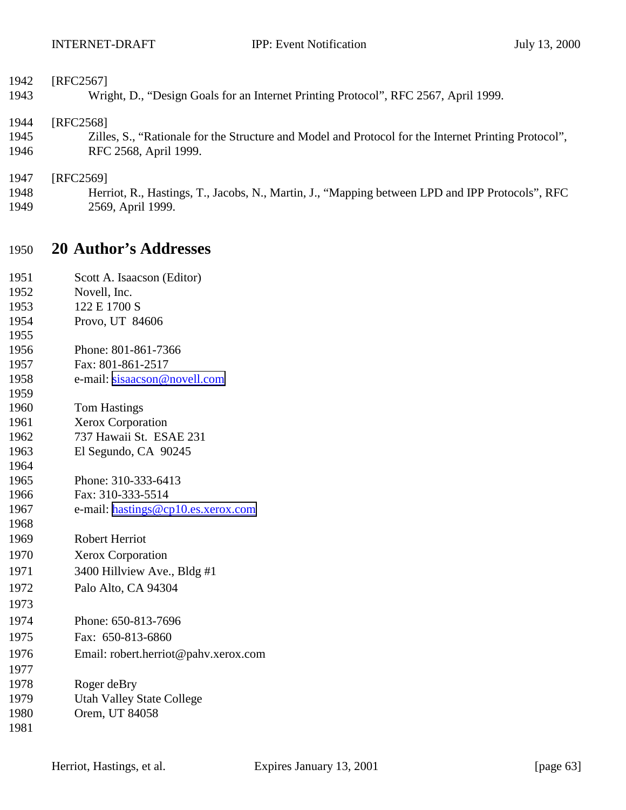| 1950 | <b>20 Author's Addresses</b>                                                                         |
|------|------------------------------------------------------------------------------------------------------|
| 1949 | 2569, April 1999.                                                                                    |
| 1948 | Herriot, R., Hastings, T., Jacobs, N., Martin, J., "Mapping between LPD and IPP Protocols", RFC      |
| 1947 | [RFC2569]                                                                                            |
| 1946 | RFC 2568, April 1999.                                                                                |
| 1945 | Zilles, S., "Rationale for the Structure and Model and Protocol for the Internet Printing Protocol", |
| 1944 | [RFC2568]                                                                                            |
| 1943 | Wright, D., "Design Goals for an Internet Printing Protocol", RFC 2567, April 1999.                  |
| 1942 | [RFC2567]                                                                                            |
|      |                                                                                                      |

| 1951 | Scott A. Isaacson (Editor)           |
|------|--------------------------------------|
| 1952 | Novell, Inc.                         |
| 1953 | 122 E 1700 S                         |
| 1954 | Provo, UT 84606                      |
| 1955 |                                      |
| 1956 | Phone: 801-861-7366                  |
| 1957 | Fax: 801-861-2517                    |
| 1958 | e-mail: sisaacson@novell.com         |
| 1959 |                                      |
| 1960 | <b>Tom Hastings</b>                  |
| 1961 | Xerox Corporation                    |
| 1962 | 737 Hawaii St. ESAE 231              |
| 1963 | El Segundo, CA 90245                 |
| 1964 |                                      |
| 1965 | Phone: 310-333-6413                  |
| 1966 | Fax: 310-333-5514                    |
| 1967 | e-mail: hastings@cp10.es.xerox.com   |
| 1968 |                                      |
| 1969 | <b>Robert Herriot</b>                |
| 1970 | <b>Xerox Corporation</b>             |
| 1971 | 3400 Hillview Ave., Bldg #1          |
| 1972 | Palo Alto, CA 94304                  |
| 1973 |                                      |
| 1974 | Phone: 650-813-7696                  |
| 1975 | Fax: 650-813-6860                    |
| 1976 | Email: robert.herriot@pahv.xerox.com |
| 1977 |                                      |
| 1978 | Roger deBry                          |
| 1979 | <b>Utah Valley State College</b>     |
| 1980 | Orem, UT 84058                       |
| 1981 |                                      |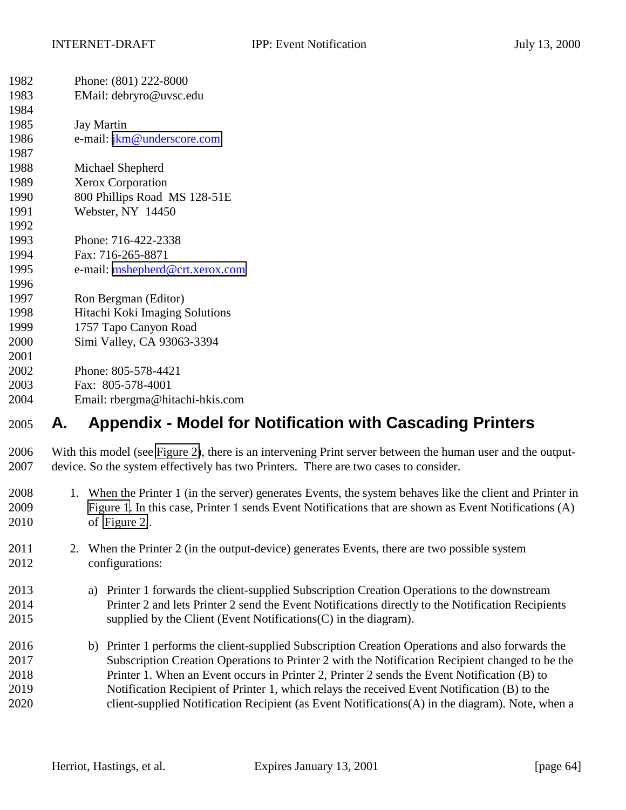| 1982 | Phone: (801) 222-8000             |  |
|------|-----------------------------------|--|
| 1983 | EMail: debryro@uvsc.edu           |  |
| 1984 |                                   |  |
| 1985 | <b>Jay Martin</b>                 |  |
| 1986 | e-mail: <i>jkm@underscore.com</i> |  |
| 1987 |                                   |  |
| 1988 | Michael Shepherd                  |  |
| 1989 | <b>Xerox Corporation</b>          |  |
| 1990 | 800 Phillips Road MS 128-51E      |  |
| 1991 | Webster, NY 14450                 |  |
| 1992 |                                   |  |
| 1993 | Phone: 716-422-2338               |  |
| 1994 | Fax: 716-265-8871                 |  |
| 1995 | e-mail: mshepherd@crt.xerox.com   |  |
| 1996 |                                   |  |
| 1997 | Ron Bergman (Editor)              |  |
| 1998 | Hitachi Koki Imaging Solutions    |  |
| 1999 | 1757 Tapo Canyon Road             |  |
| 2000 | Simi Valley, CA 93063-3394        |  |
| 2001 |                                   |  |
| 2002 | Phone: 805-578-4421               |  |
| 2003 | Fax: 805-578-4001                 |  |
| 2004 | Email: rbergma@hitachi-hkis.com   |  |
|      | .                                 |  |

# **A. Appendix - Model for Notification with Cascading Printers**

 With this model (see [Figure 2\)](#page-64-0), there is an intervening Print server between the human user and the output-device. So the system effectively has two Printers. There are two cases to consider.

- 1. When the Printer 1 (in the server) generates Events, the system behaves like the client and Printer in [Figure 1.](#page-8-0) In this case, Printer 1 sends Event Notifications that are shown as Event Notifications (A) of [Figure 2,](#page-64-0).
- 2. When the Printer 2 (in the output-device) generates Events, there are two possible system configurations:
- a) Printer 1 forwards the client-supplied Subscription Creation Operations to the downstream Printer 2 and lets Printer 2 send the Event Notifications directly to the Notification Recipients supplied by the Client (Event Notifications(C) in the diagram).
- b) Printer 1 performs the client-supplied Subscription Creation Operations and also forwards the Subscription Creation Operations to Printer 2 with the Notification Recipient changed to be the Printer 1. When an Event occurs in Printer 2, Printer 2 sends the Event Notification (B) to Notification Recipient of Printer 1, which relays the received Event Notification (B) to the client-supplied Notification Recipient (as Event Notifications(A) in the diagram). Note, when a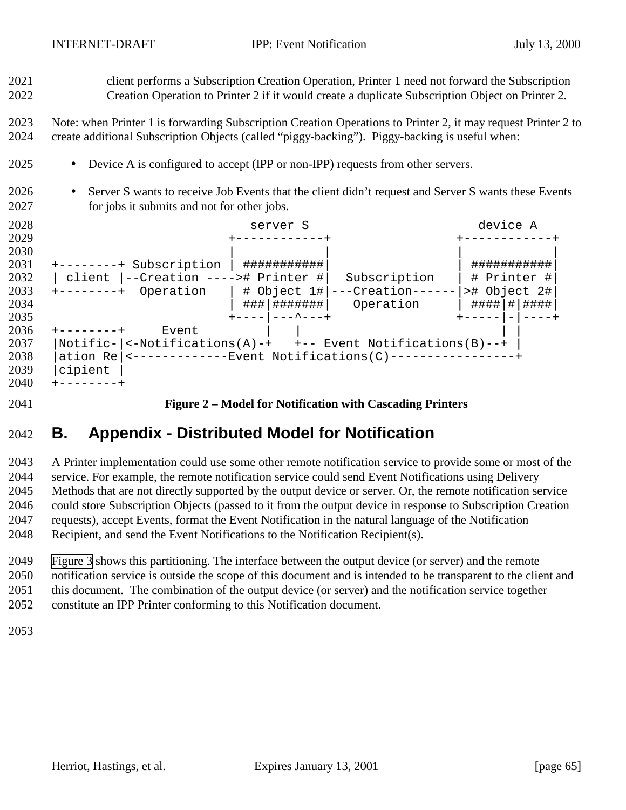<span id="page-64-0"></span> client performs a Subscription Creation Operation, Printer 1 need not forward the Subscription Creation Operation to Printer 2 if it would create a duplicate Subscription Object on Printer 2.

 Note: when Printer 1 is forwarding Subscription Creation Operations to Printer 2, it may request Printer 2 to create additional Subscription Objects (called "piggy-backing"). Piggy-backing is useful when:

- Device A is configured to accept (IPP or non-IPP) requests from other servers.
- Server S wants to receive Job Events that the client didn't request and Server S wants these Events for jobs it submits and not for other jobs.



**Figure 2 – Model for Notification with Cascading Printers**

# **B. Appendix - Distributed Model for Notification**

 A Printer implementation could use some other remote notification service to provide some or most of the service. For example, the remote notification service could send Event Notifications using Delivery Methods that are not directly supported by the output device or server. Or, the remote notification service could store Subscription Objects (passed to it from the output device in response to Subscription Creation requests), accept Events, format the Event Notification in the natural language of the Notification Recipient, and send the Event Notifications to the Notification Recipient(s).

 [Figure 3](#page-65-0) shows this partitioning. The interface between the output device (or server) and the remote notification service is outside the scope of this document and is intended to be transparent to the client and this document. The combination of the output device (or server) and the notification service together constitute an IPP Printer conforming to this Notification document.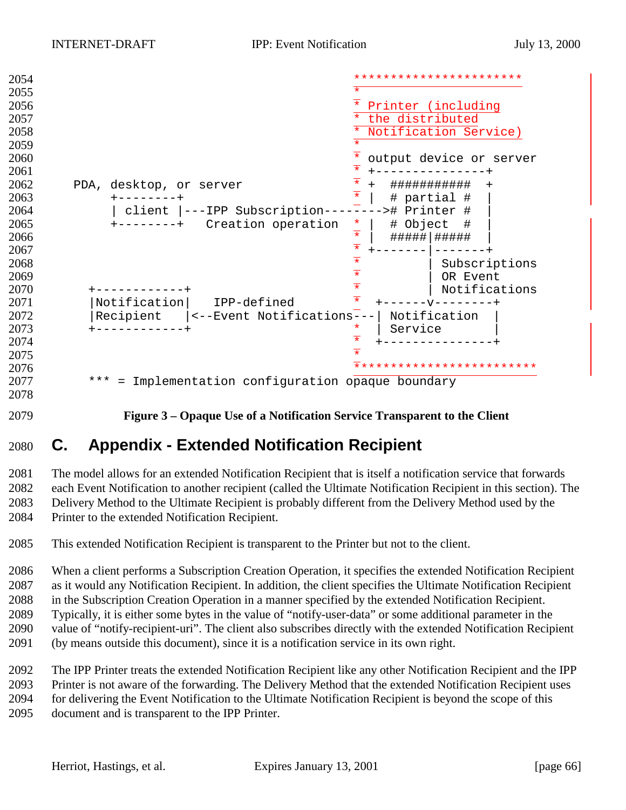<span id="page-65-0"></span>

| 2054 |                                                              | ***********************                      |
|------|--------------------------------------------------------------|----------------------------------------------|
| 2055 |                                                              | *                                            |
| 2056 |                                                              | Printer (including                           |
| 2057 |                                                              | $\star$<br>the distributed                   |
| 2058 |                                                              | Notification Service)                        |
| 2059 |                                                              | $\star$                                      |
| 2060 |                                                              | output device or server                      |
| 2061 |                                                              | $\overline{\ast}$                            |
| 2062 | PDA, desktop, or server                                      | $\frac{1}{*}$<br>###########<br>$+$          |
| 2063 |                                                              | # partial #                                  |
| 2064 | ---IPP Subscription--<br>client                              | ># Printer #                                 |
| 2065 | Creation operation                                           | # Object<br>- #                              |
| 2066 |                                                              | $\frac{x}{x}$ $\frac{x}{x}$<br>#####   ##### |
| 2067 |                                                              |                                              |
| 2068 |                                                              | $\overline{\ast}$<br>Subscriptions           |
| 2069 |                                                              | $\overline{\ast}$<br>OR Event                |
| 2070 |                                                              | $\overline{\ast}$<br>Notifications           |
| 2071 | Notification<br>IPP-defined                                  |                                              |
| 2072 | Recipient<br><--Event Notifications-                         | Notification                                 |
| 2073 |                                                              | Service<br>*                                 |
| 2074 |                                                              |                                              |
| 2075 |                                                              |                                              |
| 2076 |                                                              | *********************                        |
| 2077 | $***$<br>Implementation configuration opaque boundary<br>$=$ |                                              |
| 2078 |                                                              |                                              |

**Figure 3 – Opaque Use of a Notification Service Transparent to the Client**

# **C. Appendix - Extended Notification Recipient**

 The model allows for an extended Notification Recipient that is itself a notification service that forwards each Event Notification to another recipient (called the Ultimate Notification Recipient in this section). The Delivery Method to the Ultimate Recipient is probably different from the Delivery Method used by the Printer to the extended Notification Recipient.

This extended Notification Recipient is transparent to the Printer but not to the client.

 When a client performs a Subscription Creation Operation, it specifies the extended Notification Recipient as it would any Notification Recipient. In addition, the client specifies the Ultimate Notification Recipient in the Subscription Creation Operation in a manner specified by the extended Notification Recipient. Typically, it is either some bytes in the value of "notify-user-data" or some additional parameter in the value of "notify-recipient-uri". The client also subscribes directly with the extended Notification Recipient (by means outside this document), since it is a notification service in its own right.

 The IPP Printer treats the extended Notification Recipient like any other Notification Recipient and the IPP Printer is not aware of the forwarding. The Delivery Method that the extended Notification Recipient uses for delivering the Event Notification to the Ultimate Notification Recipient is beyond the scope of this document and is transparent to the IPP Printer.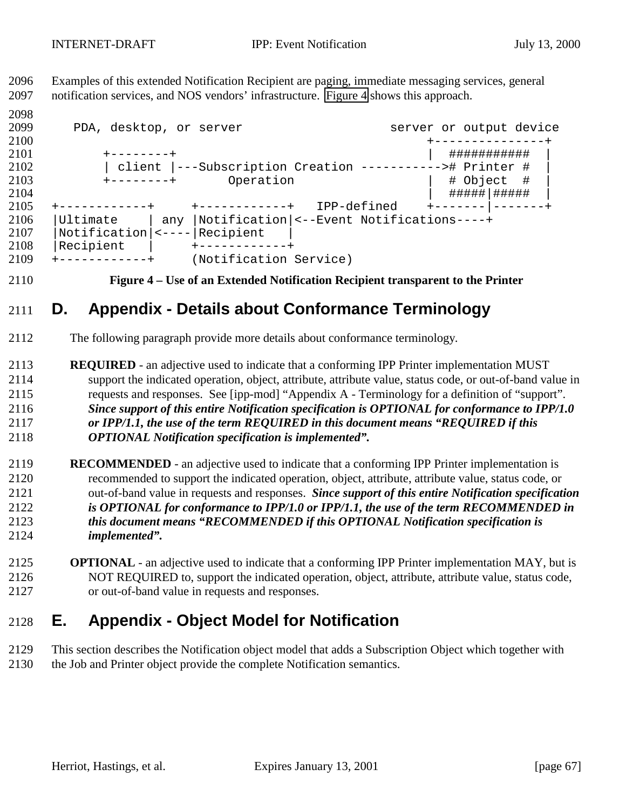Examples of this extended Notification Recipient are paging, immediate messaging services, general notification services, and NOS vendors' infrastructure. Figure 4 shows this approach.

 2099 PDA, desktop, or server server server or output device +---------------+ +--------+ | ########### | | client |---Subscription Creation -----------># Printer # | +--------+ Operation | # Object # | | #####|##### | 2104<br>2105 +--------------+ +------------+ IPP-defined +-------|-------+ |Ultimate | any |Notification|<--Event Notifications----+ |Notification|<----|Recipient | |Recipient | +------------+ +------------+ (Notification Service)

**Figure 4 – Use of an Extended Notification Recipient transparent to the Printer**

# **D. Appendix - Details about Conformance Terminology**

- The following paragraph provide more details about conformance terminology.
- **REQUIRED**  an adjective used to indicate that a conforming IPP Printer implementation MUST support the indicated operation, object, attribute, attribute value, status code, or out-of-band value in requests and responses. See [ipp-mod] "Appendix A - Terminology for a definition of "support". *Since support of this entire Notification specification is OPTIONAL for conformance to IPP/1.0 or IPP/1.1, the use of the term REQUIRED in this document means "REQUIRED if this OPTIONAL Notification specification is implemented".*
- **RECOMMENDED**  an adjective used to indicate that a conforming IPP Printer implementation is recommended to support the indicated operation, object, attribute, attribute value, status code, or out-of-band value in requests and responses. *Since support of this entire Notification specification is OPTIONAL for conformance to IPP/1.0 or IPP/1.1, the use of the term RECOMMENDED in this document means "RECOMMENDED if this OPTIONAL Notification specification is implemented".*
- **OPTIONAL**  an adjective used to indicate that a conforming IPP Printer implementation MAY, but is NOT REQUIRED to, support the indicated operation, object, attribute, attribute value, status code, or out-of-band value in requests and responses.

# **E. Appendix - Object Model for Notification**

 This section describes the Notification object model that adds a Subscription Object which together with the Job and Printer object provide the complete Notification semantics.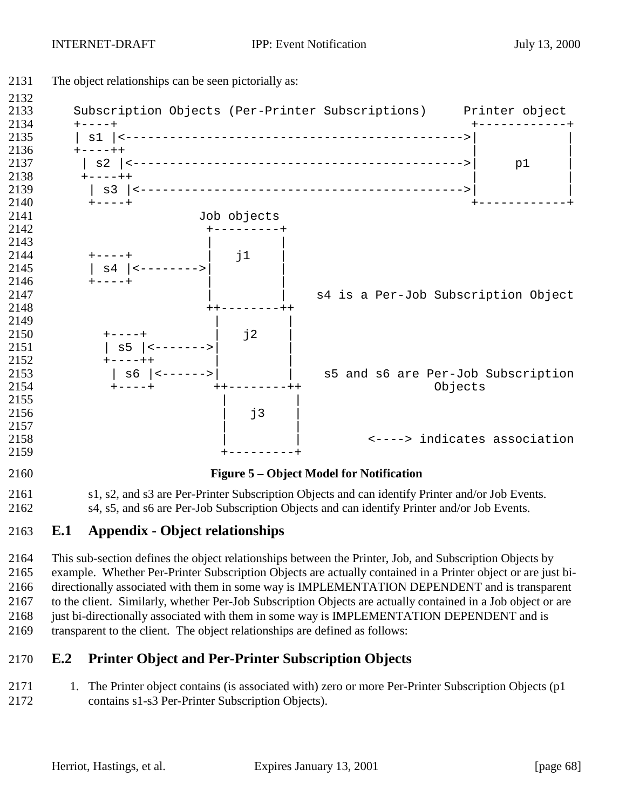

### **E.1 Appendix - Object relationships**

 This sub-section defines the object relationships between the Printer, Job, and Subscription Objects by example. Whether Per-Printer Subscription Objects are actually contained in a Printer object or are just bi- directionally associated with them in some way is IMPLEMENTATION DEPENDENT and is transparent to the client. Similarly, whether Per-Job Subscription Objects are actually contained in a Job object or are 2168 just bi-directionally associated with them in some way is IMPLEMENTATION DEPENDENT and is transparent to the client. The object relationships are defined as follows:

### **E.2 Printer Object and Per-Printer Subscription Objects**

2171 1. The Printer object contains (is associated with) zero or more Per-Printer Subscription Objects (p1 contains s1-s3 Per-Printer Subscription Objects).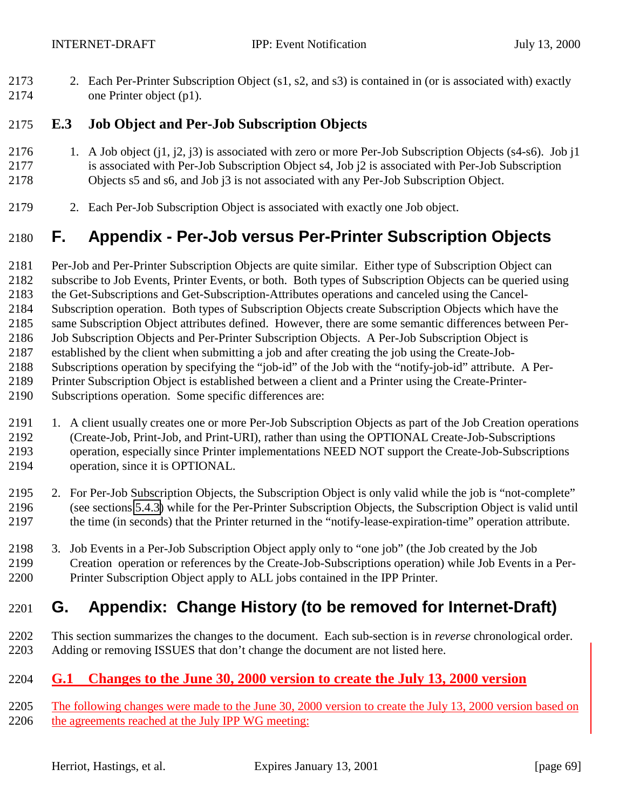2. Each Per-Printer Subscription Object (s1, s2, and s3) is contained in (or is associated with) exactly one Printer object (p1).

#### **E.3 Job Object and Per-Job Subscription Objects**

- 1. A Job object (j1, j2, j3) is associated with zero or more Per-Job Subscription Objects (s4-s6). Job j1 is associated with Per-Job Subscription Object s4, Job j2 is associated with Per-Job Subscription Objects s5 and s6, and Job j3 is not associated with any Per-Job Subscription Object.
- 2. Each Per-Job Subscription Object is associated with exactly one Job object.

# **F. Appendix - Per-Job versus Per-Printer Subscription Objects**

Per-Job and Per-Printer Subscription Objects are quite similar. Either type of Subscription Object can

- subscribe to Job Events, Printer Events, or both. Both types of Subscription Objects can be queried using
- the Get-Subscriptions and Get-Subscription-Attributes operations and canceled using the Cancel-
- Subscription operation. Both types of Subscription Objects create Subscription Objects which have the
- same Subscription Object attributes defined. However, there are some semantic differences between Per-
- Job Subscription Objects and Per-Printer Subscription Objects. A Per-Job Subscription Object is
- established by the client when submitting a job and after creating the job using the Create-Job-
- Subscriptions operation by specifying the "job-id" of the Job with the "notify-job-id" attribute. A Per-
- Printer Subscription Object is established between a client and a Printer using the Create-Printer-
- Subscriptions operation. Some specific differences are:
- 1. A client usually creates one or more Per-Job Subscription Objects as part of the Job Creation operations (Create-Job, Print-Job, and Print-URI), rather than using the OPTIONAL Create-Job-Subscriptions operation, especially since Printer implementations NEED NOT support the Create-Job-Subscriptions operation, since it is OPTIONAL.
- 2. For Per-Job Subscription Objects, the Subscription Object is only valid while the job is "not-complete" (see sections [5.4.3\)](#page-29-0) while for the Per-Printer Subscription Objects, the Subscription Object is valid until the time (in seconds) that the Printer returned in the "notify-lease-expiration-time" operation attribute.
- 3. Job Events in a Per-Job Subscription Object apply only to "one job" (the Job created by the Job Creation operation or references by the Create-Job-Subscriptions operation) while Job Events in a Per-Printer Subscription Object apply to ALL jobs contained in the IPP Printer.

# **G. Appendix: Change History (to be removed for Internet-Draft)**

 This section summarizes the changes to the document. Each sub-section is in *reverse* chronological order. Adding or removing ISSUES that don't change the document are not listed here.

## **G.1 Changes to the June 30, 2000 version to create the July 13, 2000 version**

2205 The following changes were made to the June 30, 2000 version to create the July 13, 2000 version based on 2206 the agreements reached at the July IPP WG meeting: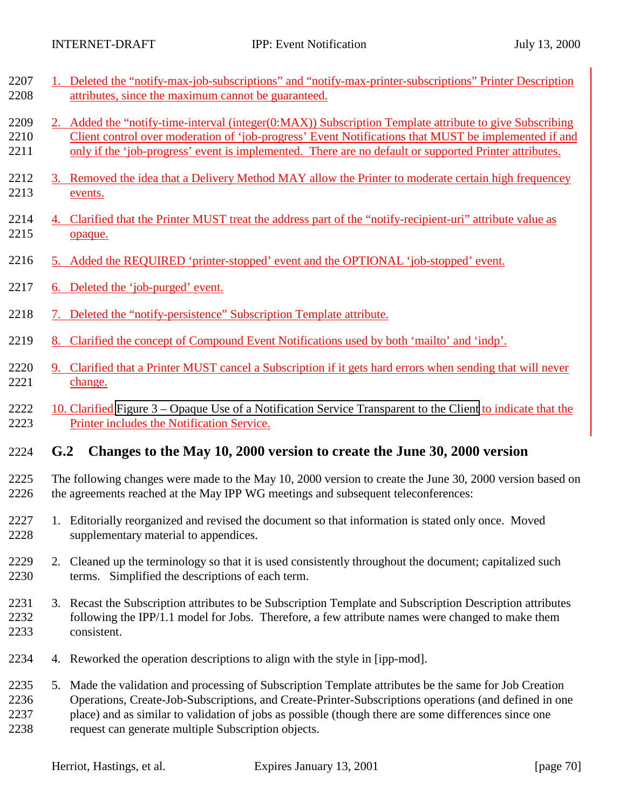2208 attributes, since the maximum cannot be guaranteed.

2207 1. Deleted the "notify-max-job-subscriptions" and "notify-max-printer-subscriptions" Printer Description

| 2209<br>2210<br>2211         |                                                                                                                                                                                               | 2. Added the "notify-time-interval (integer(0:MAX)) Subscription Template attribute to give Subscribing<br>Client control over moderation of 'job-progress' Event Notifications that MUST be implemented if and<br>only if the 'job-progress' event is implemented. There are no default or supported Printer attributes.                                                      |              |  |
|------------------------------|-----------------------------------------------------------------------------------------------------------------------------------------------------------------------------------------------|--------------------------------------------------------------------------------------------------------------------------------------------------------------------------------------------------------------------------------------------------------------------------------------------------------------------------------------------------------------------------------|--------------|--|
| 2212<br>2213                 |                                                                                                                                                                                               | 3. Removed the idea that a Delivery Method MAY allow the Printer to moderate certain high frequencey<br>events.                                                                                                                                                                                                                                                                |              |  |
| 2214<br>2215                 |                                                                                                                                                                                               | 4. Clarified that the Printer MUST treat the address part of the "notify-recipient-uri" attribute value as<br>opaque.                                                                                                                                                                                                                                                          |              |  |
| 2216                         |                                                                                                                                                                                               | 5. Added the REQUIRED 'printer-stopped' event and the OPTIONAL 'job-stopped' event.                                                                                                                                                                                                                                                                                            |              |  |
| 2217                         | 6. Deleted the 'job-purged' event.                                                                                                                                                            |                                                                                                                                                                                                                                                                                                                                                                                |              |  |
| 2218                         |                                                                                                                                                                                               | 7. Deleted the "notify-persistence" Subscription Template attribute.                                                                                                                                                                                                                                                                                                           |              |  |
| 2219                         |                                                                                                                                                                                               | 8. Clarified the concept of Compound Event Notifications used by both 'mailto' and 'indp'.                                                                                                                                                                                                                                                                                     |              |  |
| 2220<br>2221                 |                                                                                                                                                                                               | 9. Clarified that a Printer MUST cancel a Subscription if it gets hard errors when sending that will never<br>change.                                                                                                                                                                                                                                                          |              |  |
| 2222<br>2223                 |                                                                                                                                                                                               | 10. Clarified Figure 3 – Opaque Use of a Notification Service Transparent to the Client to indicate that the<br>Printer includes the Notification Service.                                                                                                                                                                                                                     |              |  |
| 2224                         | G.2                                                                                                                                                                                           | Changes to the May 10, 2000 version to create the June 30, 2000 version                                                                                                                                                                                                                                                                                                        |              |  |
| 2225<br>2226                 | The following changes were made to the May 10, 2000 version to create the June 30, 2000 version based on<br>the agreements reached at the May IPP WG meetings and subsequent teleconferences: |                                                                                                                                                                                                                                                                                                                                                                                |              |  |
| 2227<br>2228                 |                                                                                                                                                                                               | 1. Editorially reorganized and revised the document so that information is stated only once. Moved<br>supplementary material to appendices.                                                                                                                                                                                                                                    |              |  |
| 2229<br>2230                 |                                                                                                                                                                                               | 2. Cleaned up the terminology so that it is used consistently throughout the document; capitalized such<br>terms. Simplified the descriptions of each term.                                                                                                                                                                                                                    |              |  |
| 2231<br>2232<br>2233         |                                                                                                                                                                                               | 3. Recast the Subscription attributes to be Subscription Template and Subscription Description attributes<br>following the IPP/1.1 model for Jobs. Therefore, a few attribute names were changed to make them<br>consistent.                                                                                                                                                   |              |  |
| 2234                         |                                                                                                                                                                                               | 4. Reworked the operation descriptions to align with the style in [ipp-mod].                                                                                                                                                                                                                                                                                                   |              |  |
| 2235<br>2236<br>2237<br>2238 |                                                                                                                                                                                               | 5. Made the validation and processing of Subscription Template attributes be the same for Job Creation<br>Operations, Create-Job-Subscriptions, and Create-Printer-Subscriptions operations (and defined in one<br>place) and as similar to validation of jobs as possible (though there are some differences since one<br>request can generate multiple Subscription objects. |              |  |
|                              |                                                                                                                                                                                               | Herriot, Hastings, et al.<br>Expires January 13, 2001                                                                                                                                                                                                                                                                                                                          | [page $70$ ] |  |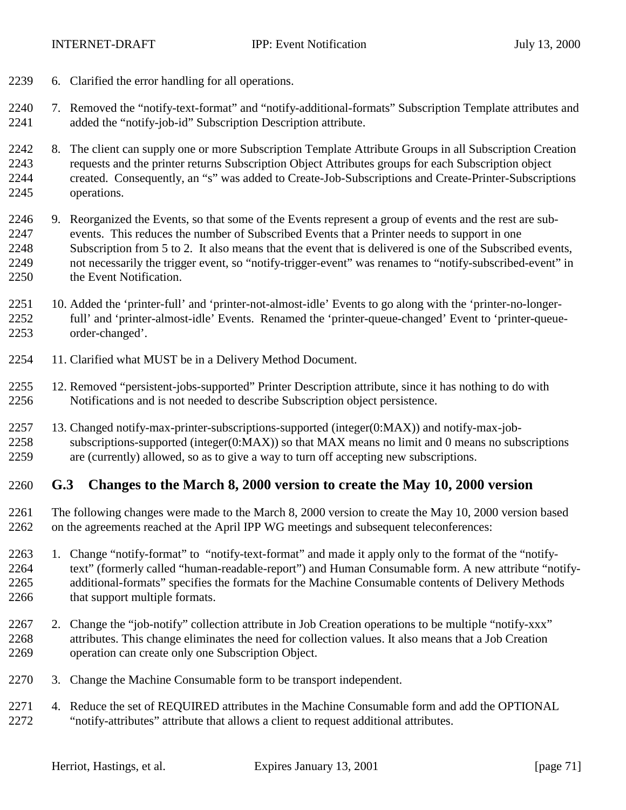- 6. Clarified the error handling for all operations.
- 7. Removed the "notify-text-format" and "notify-additional-formats" Subscription Template attributes and added the "notify-job-id" Subscription Description attribute.
- 8. The client can supply one or more Subscription Template Attribute Groups in all Subscription Creation requests and the printer returns Subscription Object Attributes groups for each Subscription object created. Consequently, an "s" was added to Create-Job-Subscriptions and Create-Printer-Subscriptions operations.
- 9. Reorganized the Events, so that some of the Events represent a group of events and the rest are sub- events. This reduces the number of Subscribed Events that a Printer needs to support in one Subscription from 5 to 2. It also means that the event that is delivered is one of the Subscribed events, not necessarily the trigger event, so "notify-trigger-event" was renames to "notify-subscribed-event" in 2250 the Event Notification.
- 10. Added the 'printer-full' and 'printer-not-almost-idle' Events to go along with the 'printer-no-longer- full' and 'printer-almost-idle' Events. Renamed the 'printer-queue-changed' Event to 'printer-queue-order-changed'.
- 11. Clarified what MUST be in a Delivery Method Document.
- 12. Removed "persistent-jobs-supported" Printer Description attribute, since it has nothing to do with Notifications and is not needed to describe Subscription object persistence.
- 13. Changed notify-max-printer-subscriptions-supported (integer(0:MAX)) and notify-max-job- subscriptions-supported (integer(0:MAX)) so that MAX means no limit and 0 means no subscriptions are (currently) allowed, so as to give a way to turn off accepting new subscriptions.

#### **G.3 Changes to the March 8, 2000 version to create the May 10, 2000 version**

- The following changes were made to the March 8, 2000 version to create the May 10, 2000 version based on the agreements reached at the April IPP WG meetings and subsequent teleconferences:
- 1. Change "notify-format" to "notify-text-format" and made it apply only to the format of the "notify-2264 text" (formerly called "human-readable-report") and Human Consumable form. A new attribute "notify- additional-formats" specifies the formats for the Machine Consumable contents of Delivery Methods 2266 that support multiple formats.
- 2267 2. Change the "job-notify" collection attribute in Job Creation operations to be multiple "notify-xxx" attributes. This change eliminates the need for collection values. It also means that a Job Creation operation can create only one Subscription Object.
- 3. Change the Machine Consumable form to be transport independent.
- 4. Reduce the set of REQUIRED attributes in the Machine Consumable form and add the OPTIONAL "notify-attributes" attribute that allows a client to request additional attributes.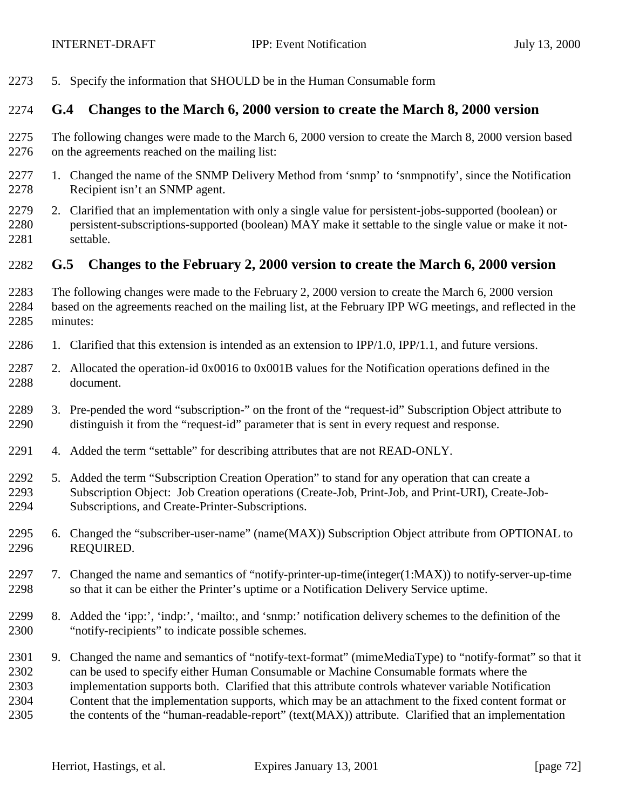5. Specify the information that SHOULD be in the Human Consumable form

#### **G.4 Changes to the March 6, 2000 version to create the March 8, 2000 version**

- The following changes were made to the March 6, 2000 version to create the March 8, 2000 version based on the agreements reached on the mailing list:
- 1. Changed the name of the SNMP Delivery Method from 'snmp' to 'snmpnotify', since the Notification Recipient isn't an SNMP agent.
- 2. Clarified that an implementation with only a single value for persistent-jobs-supported (boolean) or persistent-subscriptions-supported (boolean) MAY make it settable to the single value or make it not-settable.

#### **G.5 Changes to the February 2, 2000 version to create the March 6, 2000 version**

- The following changes were made to the February 2, 2000 version to create the March 6, 2000 version based on the agreements reached on the mailing list, at the February IPP WG meetings, and reflected in the minutes:
- 1. Clarified that this extension is intended as an extension to IPP/1.0, IPP/1.1, and future versions.
- 2. Allocated the operation-id 0x0016 to 0x001B values for the Notification operations defined in the document.
- 3. Pre-pended the word "subscription-" on the front of the "request-id" Subscription Object attribute to distinguish it from the "request-id" parameter that is sent in every request and response.
- 4. Added the term "settable" for describing attributes that are not READ-ONLY.
- 5. Added the term "Subscription Creation Operation" to stand for any operation that can create a Subscription Object: Job Creation operations (Create-Job, Print-Job, and Print-URI), Create-Job-Subscriptions, and Create-Printer-Subscriptions.
- 6. Changed the "subscriber-user-name" (name(MAX)) Subscription Object attribute from OPTIONAL to REQUIRED.
- 7. Changed the name and semantics of "notify-printer-up-time(integer(1:MAX)) to notify-server-up-time so that it can be either the Printer's uptime or a Notification Delivery Service uptime.
- 8. Added the 'ipp:', 'indp:', 'mailto:, and 'snmp:' notification delivery schemes to the definition of the "notify-recipients" to indicate possible schemes.
- 9. Changed the name and semantics of "notify-text-format" (mimeMediaType) to "notify-format" so that it can be used to specify either Human Consumable or Machine Consumable formats where the implementation supports both. Clarified that this attribute controls whatever variable Notification Content that the implementation supports, which may be an attachment to the fixed content format or the contents of the "human-readable-report" (text(MAX)) attribute. Clarified that an implementation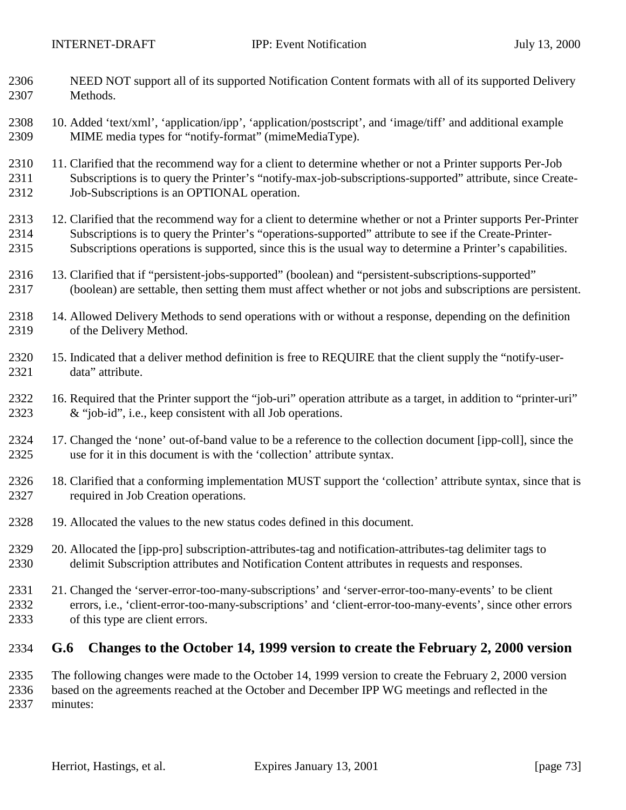- NEED NOT support all of its supported Notification Content formats with all of its supported Delivery Methods.
- 10. Added 'text/xml', 'application/ipp', 'application/postscript', and 'image/tiff' and additional example MIME media types for "notify-format" (mimeMediaType).
- 2310 11. Clarified that the recommend way for a client to determine whether or not a Printer supports Per-Job Subscriptions is to query the Printer's "notify-max-job-subscriptions-supported" attribute, since Create-2312 Job-Subscriptions is an OPTIONAL operation.
- 2313 12. Clarified that the recommend way for a client to determine whether or not a Printer supports Per-Printer Subscriptions is to query the Printer's "operations-supported" attribute to see if the Create-Printer-Subscriptions operations is supported, since this is the usual way to determine a Printer's capabilities.
- 13. Clarified that if "persistent-jobs-supported" (boolean) and "persistent-subscriptions-supported" (boolean) are settable, then setting them must affect whether or not jobs and subscriptions are persistent.
- 14. Allowed Delivery Methods to send operations with or without a response, depending on the definition of the Delivery Method.
- 15. Indicated that a deliver method definition is free to REQUIRE that the client supply the "notify-user-data" attribute.
- 16. Required that the Printer support the "job-uri" operation attribute as a target, in addition to "printer-uri" & "job-id", i.e., keep consistent with all Job operations.
- 17. Changed the 'none' out-of-band value to be a reference to the collection document [ipp-coll], since the use for it in this document is with the 'collection' attribute syntax.
- 18. Clarified that a conforming implementation MUST support the 'collection' attribute syntax, since that is required in Job Creation operations.
- 19. Allocated the values to the new status codes defined in this document.
- 20. Allocated the [ipp-pro] subscription-attributes-tag and notification-attributes-tag delimiter tags to delimit Subscription attributes and Notification Content attributes in requests and responses.
- 21. Changed the 'server-error-too-many-subscriptions' and 'server-error-too-many-events' to be client errors, i.e., 'client-error-too-many-subscriptions' and 'client-error-too-many-events', since other errors of this type are client errors.

## **G.6 Changes to the October 14, 1999 version to create the February 2, 2000 version**

 The following changes were made to the October 14, 1999 version to create the February 2, 2000 version based on the agreements reached at the October and December IPP WG meetings and reflected in the minutes: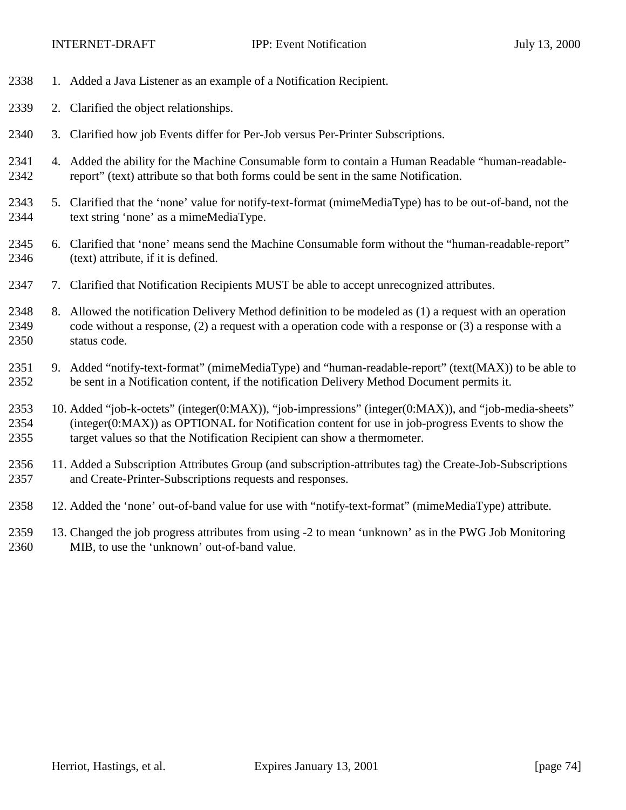- 1. Added a Java Listener as an example of a Notification Recipient.
- 2. Clarified the object relationships.
- 3. Clarified how job Events differ for Per-Job versus Per-Printer Subscriptions.
- 4. Added the ability for the Machine Consumable form to contain a Human Readable "human-readable-report" (text) attribute so that both forms could be sent in the same Notification.
- 5. Clarified that the 'none' value for notify-text-format (mimeMediaType) has to be out-of-band, not the text string 'none' as a mimeMediaType.
- 6. Clarified that 'none' means send the Machine Consumable form without the "human-readable-report" (text) attribute, if it is defined.
- 7. Clarified that Notification Recipients MUST be able to accept unrecognized attributes.
- 8. Allowed the notification Delivery Method definition to be modeled as (1) a request with an operation code without a response, (2) a request with a operation code with a response or (3) a response with a status code.
- 9. Added "notify-text-format" (mimeMediaType) and "human-readable-report" (text(MAX)) to be able to be sent in a Notification content, if the notification Delivery Method Document permits it.
- 10. Added "job-k-octets" (integer(0:MAX)), "job-impressions" (integer(0:MAX)), and "job-media-sheets" (integer(0:MAX)) as OPTIONAL for Notification content for use in job-progress Events to show the target values so that the Notification Recipient can show a thermometer.
- 11. Added a Subscription Attributes Group (and subscription-attributes tag) the Create-Job-Subscriptions and Create-Printer-Subscriptions requests and responses.
- 12. Added the 'none' out-of-band value for use with "notify-text-format" (mimeMediaType) attribute.
- 13. Changed the job progress attributes from using -2 to mean 'unknown' as in the PWG Job Monitoring MIB, to use the 'unknown' out-of-band value.